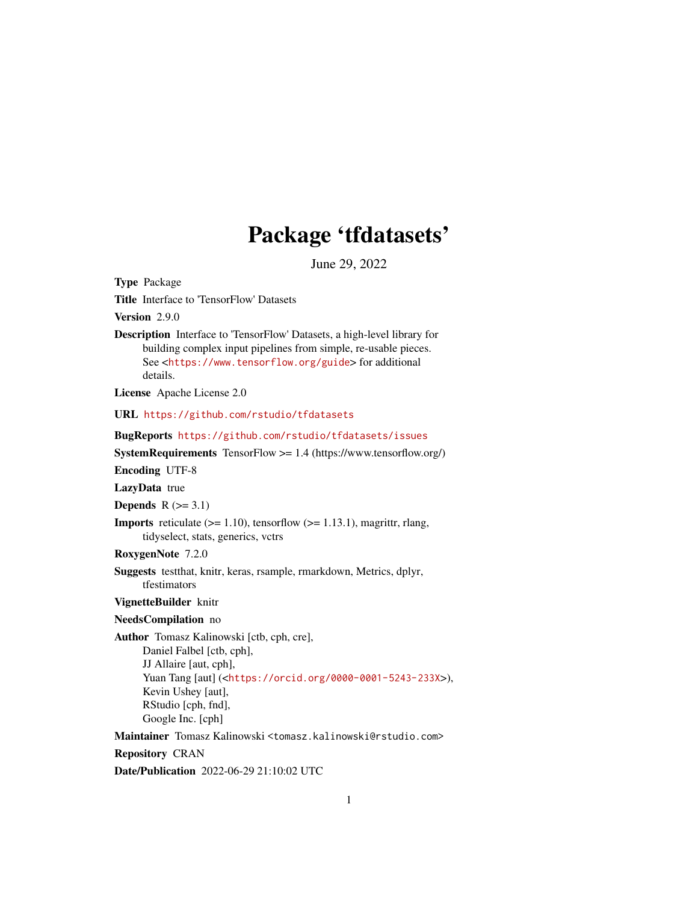# Package 'tfdatasets'

June 29, 2022

<span id="page-0-0"></span>Type Package Title Interface to 'TensorFlow' Datasets Version 2.9.0 Description Interface to 'TensorFlow' Datasets, a high-level library for building complex input pipelines from simple, re-usable pieces. See <<https://www.tensorflow.org/guide>> for additional details. License Apache License 2.0 URL <https://github.com/rstudio/tfdatasets> BugReports <https://github.com/rstudio/tfdatasets/issues> SystemRequirements TensorFlow >= 1.4 (https://www.tensorflow.org/) Encoding UTF-8 LazyData true Depends  $R$  ( $>= 3.1$ ) **Imports** reticulate  $(>= 1.10)$ , tensorflow  $(>= 1.13.1)$ , magrittr, rlang, tidyselect, stats, generics, vctrs RoxygenNote 7.2.0 Suggests testthat, knitr, keras, rsample, rmarkdown, Metrics, dplyr, tfestimators VignetteBuilder knitr NeedsCompilation no Author Tomasz Kalinowski [ctb, cph, cre], Daniel Falbel [ctb, cph], JJ Allaire [aut, cph], Yuan Tang [aut] (<<https://orcid.org/0000-0001-5243-233X>>), Kevin Ushey [aut], RStudio [cph, fnd], Google Inc. [cph] Maintainer Tomasz Kalinowski <tomasz.kalinowski@rstudio.com> Repository CRAN

Date/Publication 2022-06-29 21:10:02 UTC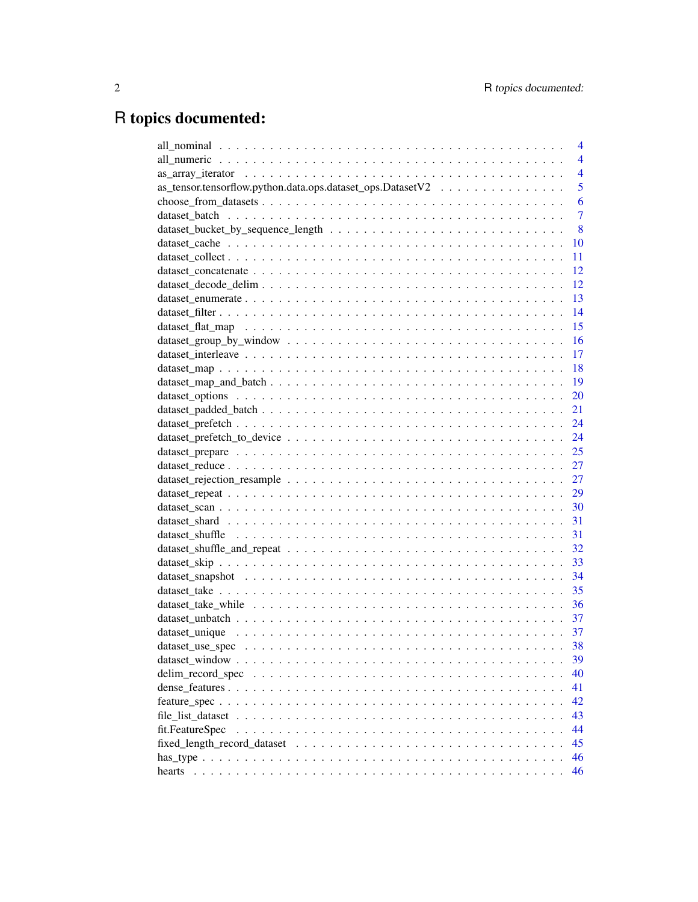# R topics documented:

|                                                            | 4              |
|------------------------------------------------------------|----------------|
|                                                            | $\overline{4}$ |
|                                                            | $\overline{4}$ |
| as_tensor.tensorflow.python.data.ops.dataset_ops.DatasetV2 | 5              |
|                                                            | 6              |
|                                                            | $\overline{7}$ |
|                                                            | 8              |
|                                                            | 10             |
|                                                            | 11             |
|                                                            | 12             |
|                                                            | 12             |
|                                                            | 13             |
|                                                            | 14             |
|                                                            | 15             |
|                                                            | 16             |
|                                                            | -17            |
|                                                            |                |
|                                                            |                |
|                                                            | 20             |
|                                                            |                |
|                                                            |                |
|                                                            |                |
|                                                            | 25             |
|                                                            | 27             |
|                                                            | 27             |
|                                                            | 29             |
|                                                            |                |
|                                                            |                |
|                                                            |                |
|                                                            | 32             |
|                                                            |                |
|                                                            | 34             |
|                                                            | 35             |
|                                                            | 36             |
|                                                            |                |
|                                                            |                |
|                                                            |                |
|                                                            | 39             |
|                                                            | 40             |
|                                                            | 41             |
|                                                            | 42             |
|                                                            | 43             |
| fit.FeatureSpec                                            | 44             |
|                                                            | 45             |
|                                                            | 46             |
|                                                            | 46             |
| hearts                                                     |                |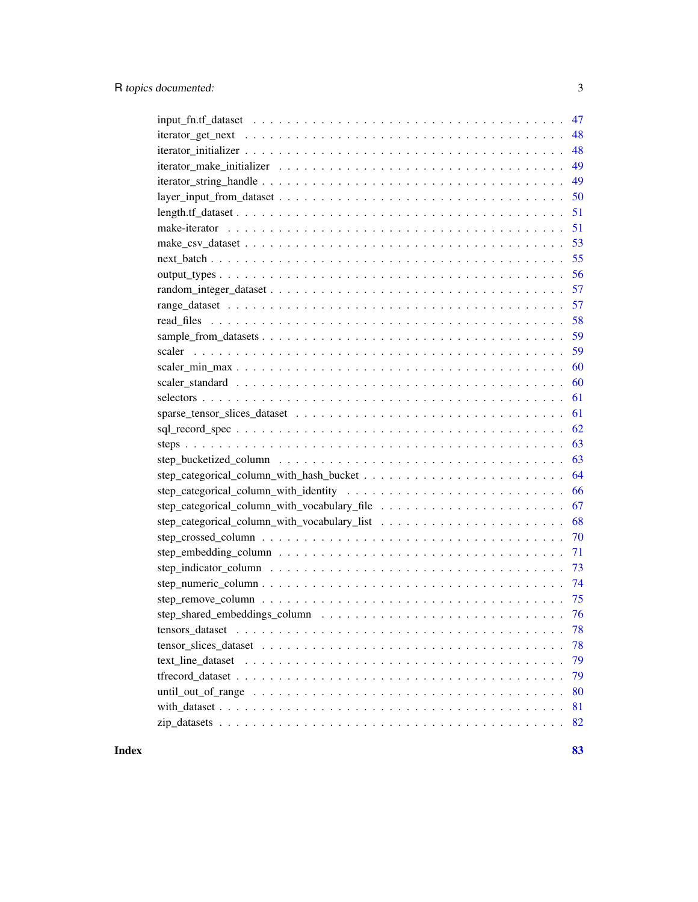| 48                                                                                                                               |
|----------------------------------------------------------------------------------------------------------------------------------|
| 48                                                                                                                               |
| 49                                                                                                                               |
| 49                                                                                                                               |
| 50                                                                                                                               |
| 51                                                                                                                               |
| 51                                                                                                                               |
| 53                                                                                                                               |
| 55                                                                                                                               |
| 56                                                                                                                               |
| 57                                                                                                                               |
| 57                                                                                                                               |
| 58                                                                                                                               |
| 59                                                                                                                               |
| 59                                                                                                                               |
| 60                                                                                                                               |
| 60                                                                                                                               |
| 61                                                                                                                               |
| 61                                                                                                                               |
| 62                                                                                                                               |
| 63                                                                                                                               |
| 63                                                                                                                               |
| 64                                                                                                                               |
| 66                                                                                                                               |
| 67                                                                                                                               |
| 68                                                                                                                               |
| 70                                                                                                                               |
| 71                                                                                                                               |
| 73                                                                                                                               |
|                                                                                                                                  |
|                                                                                                                                  |
|                                                                                                                                  |
| tensors_dataset<br>78                                                                                                            |
| 78                                                                                                                               |
| 79                                                                                                                               |
| 79                                                                                                                               |
| until_out_of_range $\dots \dots \dots \dots \dots \dots \dots \dots \dots \dots \dots \dots \dots \dots \dots \dots \dots$<br>80 |
| 81                                                                                                                               |
| 82                                                                                                                               |

**Index [83](#page-82-0) Proposed by Except American** Section 2014, the Section 2014 of the Section 2014 of the Section 2014 of the Section 2014 of the Section 2014 of the Section 2014 of the Section 2014 of the Section 2014 of the Secti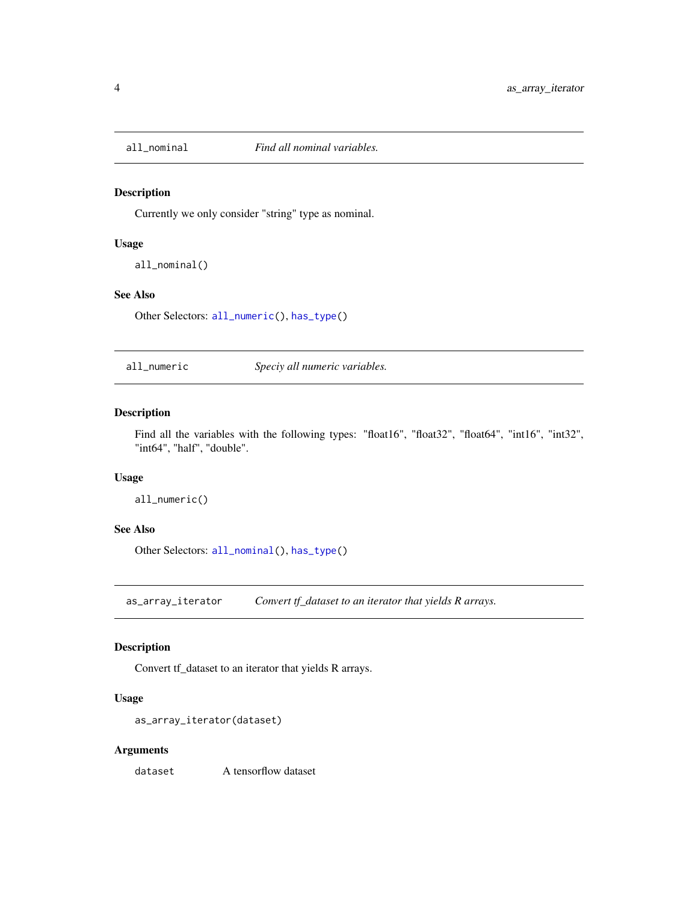<span id="page-3-2"></span><span id="page-3-0"></span>

## Description

Currently we only consider "string" type as nominal.

# Usage

all\_nominal()

# See Also

Other Selectors: [all\\_numeric\(](#page-3-1)), [has\\_type\(](#page-45-1))

<span id="page-3-1"></span>all\_numeric *Speciy all numeric variables.*

Description

Find all the variables with the following types: "float16", "float32", "float64", "int16", "int32", "int64", "half", "double".

#### Usage

all\_numeric()

#### See Also

Other Selectors: [all\\_nominal\(](#page-3-2)), [has\\_type\(](#page-45-1))

as\_array\_iterator *Convert tf\_dataset to an iterator that yields R arrays.*

# Description

Convert tf\_dataset to an iterator that yields R arrays.

## Usage

```
as_array_iterator(dataset)
```
## Arguments

dataset A tensorflow dataset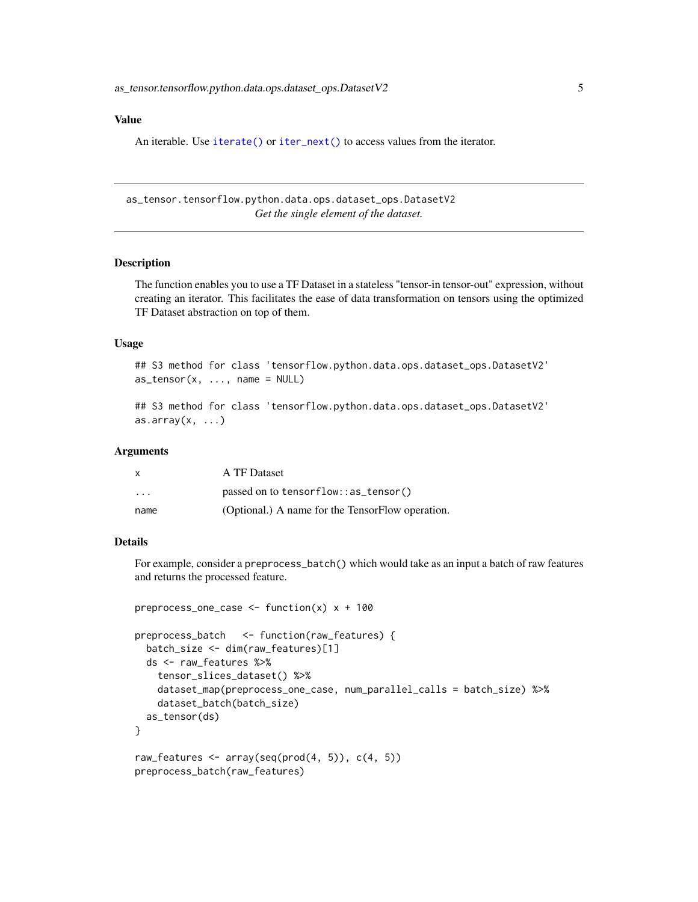## <span id="page-4-0"></span>Value

An iterable. Use [iterate\(\)](#page-0-0) or [iter\\_next\(\)](#page-0-0) to access values from the iterator.

as\_tensor.tensorflow.python.data.ops.dataset\_ops.DatasetV2 *Get the single element of the dataset.*

# **Description**

The function enables you to use a TF Dataset in a stateless "tensor-in tensor-out" expression, without creating an iterator. This facilitates the ease of data transformation on tensors using the optimized TF Dataset abstraction on top of them.

# Usage

```
## S3 method for class 'tensorflow.python.data.ops.dataset_ops.DatasetV2'
as_{\text{t}} as \text{t}} as (x, \ldots, \text{name} = \text{NULL})
```
## S3 method for class 'tensorflow.python.data.ops.dataset\_ops.DatasetV2' as.array $(x, \ldots)$ 

#### Arguments

| x                       | A TF Dataset                                     |
|-------------------------|--------------------------------------------------|
| $\cdot$ $\cdot$ $\cdot$ | passed on to tensorflow::as_tensor()             |
| name                    | (Optional.) A name for the TensorFlow operation. |

## Details

For example, consider a preprocess\_batch() which would take as an input a batch of raw features and returns the processed feature.

```
preprocess_one_case <- function(x) x + 100
preprocess_batch <- function(raw_features) {
 batch_size <- dim(raw_features)[1]
 ds <- raw_features %>%
   tensor_slices_dataset() %>%
   dataset_map(preprocess_one_case, num_parallel_calls = batch_size) %>%
    dataset_batch(batch_size)
 as_tensor(ds)
}
raw_features \leq array(seq(prod(4, 5)), c(4, 5))
preprocess_batch(raw_features)
```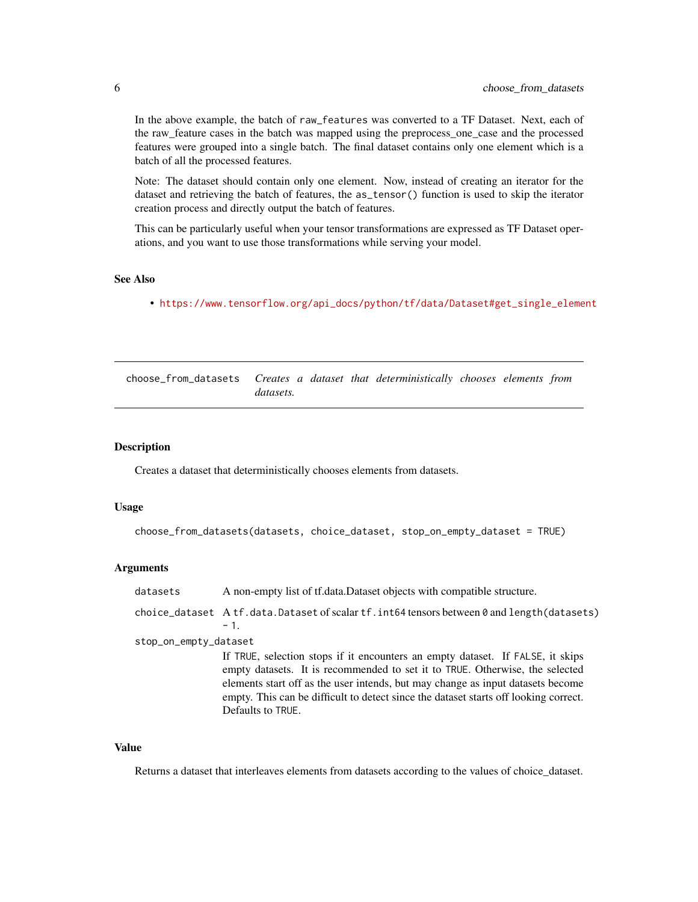<span id="page-5-0"></span>In the above example, the batch of raw\_features was converted to a TF Dataset. Next, each of the raw\_feature cases in the batch was mapped using the preprocess\_one\_case and the processed features were grouped into a single batch. The final dataset contains only one element which is a batch of all the processed features.

Note: The dataset should contain only one element. Now, instead of creating an iterator for the dataset and retrieving the batch of features, the as\_tensor() function is used to skip the iterator creation process and directly output the batch of features.

This can be particularly useful when your tensor transformations are expressed as TF Dataset operations, and you want to use those transformations while serving your model.

#### See Also

• [https://www.tensorflow.org/api\\_docs/python/tf/data/Dataset#get\\_single\\_element](https://www.tensorflow.org/api_docs/python/tf/data/Dataset#get_single_element)

choose\_from\_datasets *Creates a dataset that deterministically chooses elements from datasets.*

## Description

Creates a dataset that deterministically chooses elements from datasets.

#### Usage

```
choose_from_datasets(datasets, choice_dataset, stop_on_empty_dataset = TRUE)
```
#### Arguments

| datasets              | A non-empty list of traditional part objects with compatible structure.                              |
|-----------------------|------------------------------------------------------------------------------------------------------|
|                       | choice_dataset Atf.data.Dataset of scalar $tf$ .int64 tensors between 0 and length(datasets)<br>$-1$ |
| stop_on_empty_dataset |                                                                                                      |
|                       | If TRUE cologian stops if it appointers an ampty detect. If $E \wedge E$ it skips                    |

If TRUE, selection stops if it encounters an empty dataset. If FALSE, it skips empty datasets. It is recommended to set it to TRUE. Otherwise, the selected elements start off as the user intends, but may change as input datasets become empty. This can be difficult to detect since the dataset starts off looking correct. Defaults to TRUE.

## Value

Returns a dataset that interleaves elements from datasets according to the values of choice\_dataset.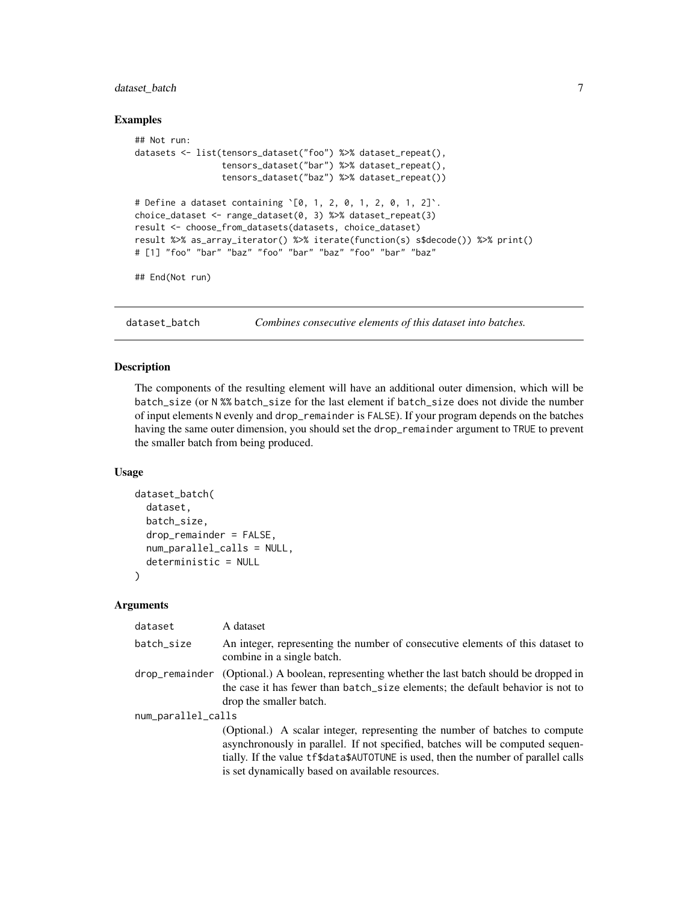# <span id="page-6-0"></span>dataset\_batch 7

#### Examples

```
## Not run:
datasets <- list(tensors_dataset("foo") %>% dataset_repeat(),
                 tensors_dataset("bar") %>% dataset_repeat(),
                 tensors_dataset("baz") %>% dataset_repeat())
# Define a dataset containing `[0, 1, 2, 0, 1, 2, 0, 1, 2]`.
choice_dataset <- range_dataset(0, 3) %>% dataset_repeat(3)
result <- choose_from_datasets(datasets, choice_dataset)
result %>% as_array_iterator() %>% iterate(function(s) s$decode()) %>% print()
# [1] "foo" "bar" "baz" "foo" "bar" "baz" "foo" "bar" "baz"
```
## End(Not run)

<span id="page-6-1"></span>dataset\_batch *Combines consecutive elements of this dataset into batches.*

## Description

The components of the resulting element will have an additional outer dimension, which will be batch\_size (or N %% batch\_size for the last element if batch\_size does not divide the number of input elements N evenly and drop\_remainder is FALSE). If your program depends on the batches having the same outer dimension, you should set the drop\_remainder argument to TRUE to prevent the smaller batch from being produced.

## Usage

```
dataset_batch(
  dataset,
  batch_size,
  drop_remainder = FALSE,
  num_parallel_calls = NULL,
  deterministic = NULL
\mathcal{L}
```
#### Arguments

| dataset            | A dataset                                                                                                                                                                                                                                                                                               |
|--------------------|---------------------------------------------------------------------------------------------------------------------------------------------------------------------------------------------------------------------------------------------------------------------------------------------------------|
| batch_size         | An integer, representing the number of consecutive elements of this dataset to<br>combine in a single batch.                                                                                                                                                                                            |
| drop_remainder     | (Optional.) A boolean, representing whether the last batch should be dropped in<br>the case it has fewer than batch_size elements; the default behavior is not to<br>drop the smaller batch.                                                                                                            |
| num_parallel_calls |                                                                                                                                                                                                                                                                                                         |
|                    | (Optional.) A scalar integer, representing the number of batches to compute<br>asynchronously in parallel. If not specified, batches will be computed sequen-<br>tially. If the value tf\$data\$AUTOTUNE is used, then the number of parallel calls<br>is set dynamically based on available resources. |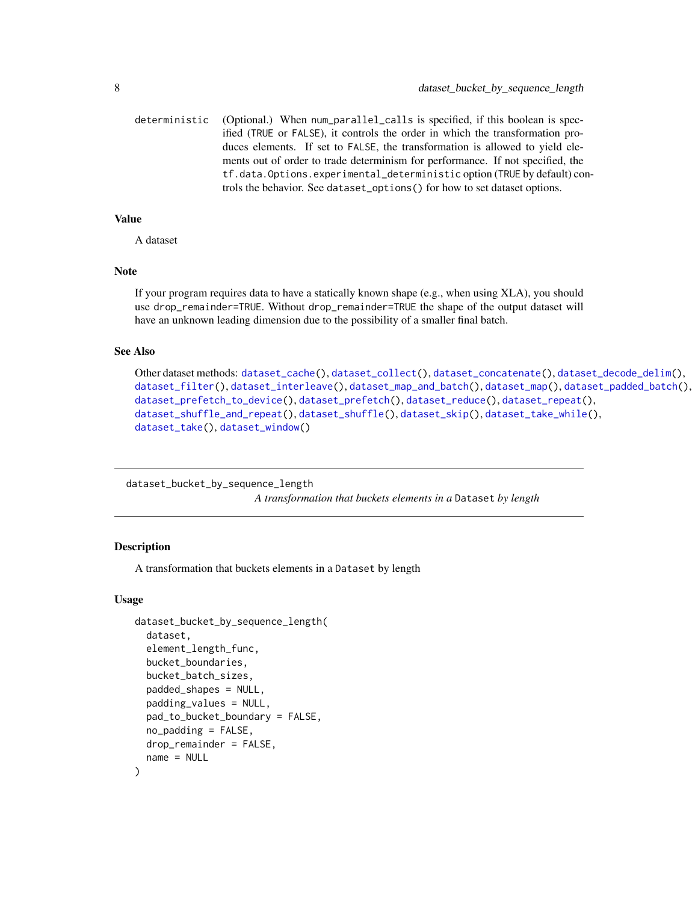```
deterministic (Optional.) When num_parallel_calls is specified, if this boolean is spec-
                  ified (TRUE or FALSE), it controls the order in which the transformation pro-
                  duces elements. If set to FALSE, the transformation is allowed to yield ele-
                  ments out of order to trade determinism for performance. If not specified, the
                  tf.data.Options.experimental_deterministic option (TRUE by default) con-
                  trols the behavior. See dataset_options() for how to set dataset options.
```
#### Value

A dataset

#### Note

If your program requires data to have a statically known shape (e.g., when using XLA), you should use drop\_remainder=TRUE. Without drop\_remainder=TRUE the shape of the output dataset will have an unknown leading dimension due to the possibility of a smaller final batch.

#### See Also

```
Other dataset methods: dataset_cache(), dataset_collect(), dataset_concatenate(), dataset_decode_delim(),
dataset_filter(), dataset_interleave(), dataset_map_and_batch(), dataset_map(), dataset_padded_batch(),
dataset_prefetch_to_device(), dataset_prefetch(), dataset_reduce(), dataset_repeat(),
dataset_shuffle_and_repeat(), dataset_shuffle(), dataset_skip(), dataset_take_while(),
dataset_take(), dataset_window()
```
dataset\_bucket\_by\_sequence\_length

*A transformation that buckets elements in a* Dataset *by length*

#### **Description**

A transformation that buckets elements in a Dataset by length

#### Usage

```
dataset_bucket_by_sequence_length(
  dataset,
  element_length_func,
  bucket_boundaries,
  bucket_batch_sizes,
  padded_shapes = NULL,
  padding_values = NULL,
  pad_to_bucket_boundary = FALSE,
  no\_padding = FALSE,
  drop_remainder = FALSE,
  name = NULL
)
```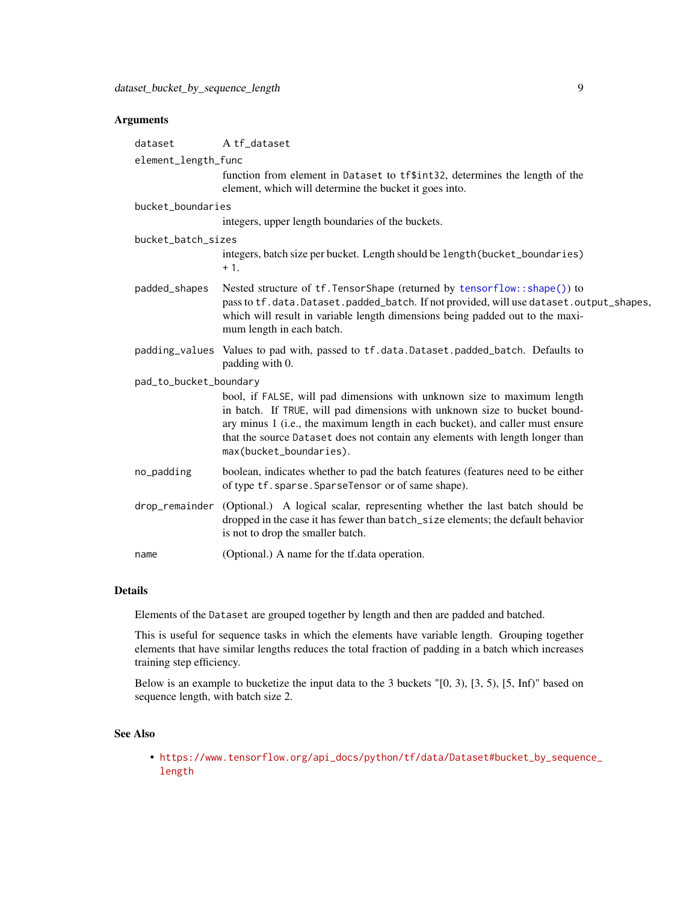# Arguments

| dataset                | A tf_dataset                                                                                                                                                                                                                                                                                                                                      |
|------------------------|---------------------------------------------------------------------------------------------------------------------------------------------------------------------------------------------------------------------------------------------------------------------------------------------------------------------------------------------------|
| element_length_func    |                                                                                                                                                                                                                                                                                                                                                   |
|                        | function from element in Dataset to tf\$int32, determines the length of the<br>element, which will determine the bucket it goes into.                                                                                                                                                                                                             |
| bucket_boundaries      |                                                                                                                                                                                                                                                                                                                                                   |
|                        | integers, upper length boundaries of the buckets.                                                                                                                                                                                                                                                                                                 |
| bucket_batch_sizes     |                                                                                                                                                                                                                                                                                                                                                   |
|                        | integers, batch size per bucket. Length should be length (bucket_boundaries)<br>$+1.$                                                                                                                                                                                                                                                             |
| padded_shapes          | Nested structure of tf. TensorShape (returned by tensorflow::shape()) to<br>pass to tf.data.Dataset.padded_batch. If not provided, will use dataset.output_shapes,<br>which will result in variable length dimensions being padded out to the maxi-<br>mum length in each batch.                                                                  |
|                        | padding_values Values to pad with, passed to tf.data.Dataset.padded_batch. Defaults to<br>padding with 0.                                                                                                                                                                                                                                         |
| pad_to_bucket_boundary |                                                                                                                                                                                                                                                                                                                                                   |
|                        | bool, if FALSE, will pad dimensions with unknown size to maximum length<br>in batch. If TRUE, will pad dimensions with unknown size to bucket bound-<br>ary minus 1 (i.e., the maximum length in each bucket), and caller must ensure<br>that the source Dataset does not contain any elements with length longer than<br>max(bucket_boundaries). |
| no_padding             | boolean, indicates whether to pad the batch features (features need to be either<br>of type tf. sparse. SparseTensor or of same shape).                                                                                                                                                                                                           |
| drop_remainder         | (Optional.) A logical scalar, representing whether the last batch should be<br>dropped in the case it has fewer than batch_size elements; the default behavior<br>is not to drop the smaller batch.                                                                                                                                               |
| name                   | (Optional.) A name for the tf.data operation.                                                                                                                                                                                                                                                                                                     |

# Details

Elements of the Dataset are grouped together by length and then are padded and batched.

This is useful for sequence tasks in which the elements have variable length. Grouping together elements that have similar lengths reduces the total fraction of padding in a batch which increases training step efficiency.

Below is an example to bucketize the input data to the 3 buckets "[0, 3), [3, 5), [5, Inf)" based on sequence length, with batch size 2.

# See Also

• [https://www.tensorflow.org/api\\_docs/python/tf/data/Dataset#bucket\\_by\\_sequen](https://www.tensorflow.org/api_docs/python/tf/data/Dataset#bucket_by_sequence_length)ce\_ [length](https://www.tensorflow.org/api_docs/python/tf/data/Dataset#bucket_by_sequence_length)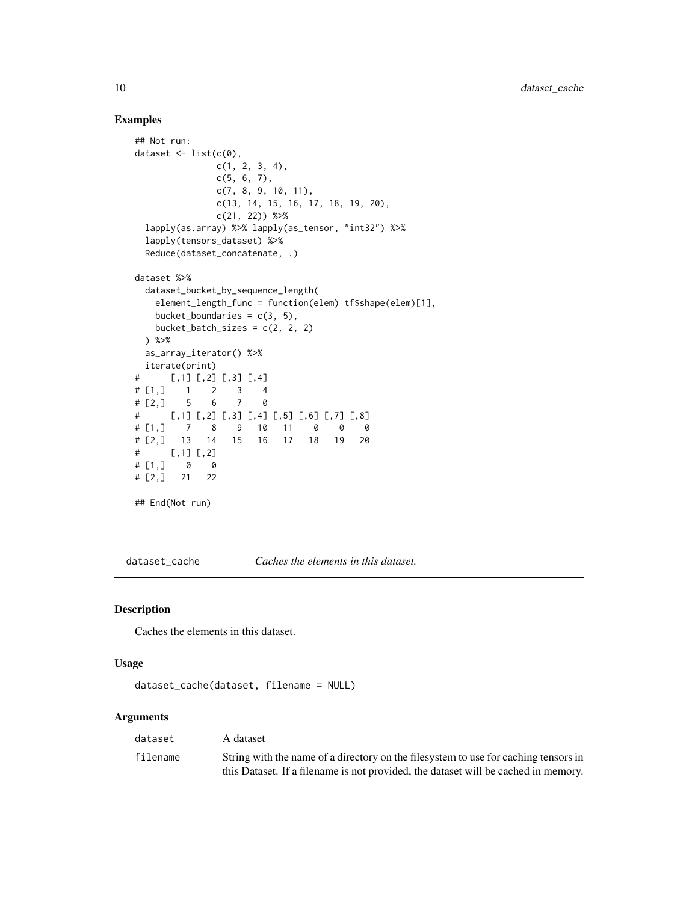# Examples

```
## Not run:
dataset \leq - list(c(0),
              c(1, 2, 3, 4),
              c(5, 6, 7),
              c(7, 8, 9, 10, 11),
              c(13, 14, 15, 16, 17, 18, 19, 20),
              c(21, 22)) %>%
 lapply(as.array) %>% lapply(as_tensor, "int32") %>%
 lapply(tensors_dataset) %>%
 Reduce(dataset_concatenate, .)
dataset %>%
 dataset_bucket_by_sequence_length(
   element_length_func = function(elem) tf$shape(elem)[1],
   bucket_boundaries = c(3, 5),
   bucket_batch_sizes = c(2, 2, 2)) %>%
 as_array_iterator() %>%
 iterate(print)
# [,1] [,2] [,3] [,4]
# [1,] 1 2 3 4
# [2,] 5 6 7 0
# [,1] [,2] [,3] [,4] [,5] [,6] [,7] [,8]
# [1,] 7 8 9 10 11 0 0 0
# [2,] 13 14 15 16 17 18 19 20
# [,1] [,2]
# [1, ] 0 0# [2,] 21 22
## End(Not run)
```
<span id="page-9-1"></span>dataset\_cache *Caches the elements in this dataset.*

## Description

Caches the elements in this dataset.

# Usage

```
dataset_cache(dataset, filename = NULL)
```
#### Arguments

| dataset  | A dataset                                                                           |
|----------|-------------------------------------------------------------------------------------|
| filename | String with the name of a directory on the filesystem to use for caching tensors in |
|          | this Dataset. If a filename is not provided, the dataset will be cached in memory.  |

<span id="page-9-0"></span>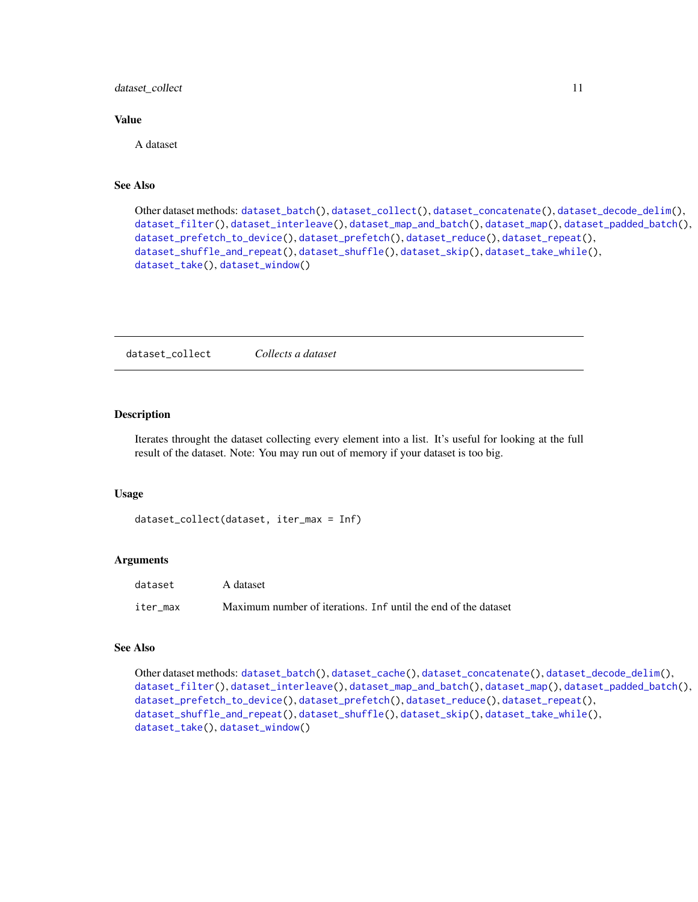<span id="page-10-0"></span>dataset\_collect 11

## Value

A dataset

## See Also

```
Other dataset methods: dataset_batch(), dataset_collect(), dataset_concatenate(), dataset_decode_delim(),
dataset_filter(), dataset_interleave(), dataset_map_and_batch(), dataset_map(), dataset_padded_batch(),
dataset_prefetch_to_device(), dataset_prefetch(), dataset_reduce(), dataset_repeat(),
dataset_shuffle_and_repeat(), dataset_shuffle(), dataset_skip(), dataset_take_while(),
dataset_take(), dataset_window()
```
<span id="page-10-1"></span>dataset\_collect *Collects a dataset*

#### Description

Iterates throught the dataset collecting every element into a list. It's useful for looking at the full result of the dataset. Note: You may run out of memory if your dataset is too big.

#### Usage

```
dataset_collect(dataset, iter_max = Inf)
```
#### Arguments

| dataset  | A dataset                                                      |
|----------|----------------------------------------------------------------|
| iter max | Maximum number of iterations. Inf until the end of the dataset |

# See Also

```
Other dataset methods: dataset_batch(), dataset_cache(), dataset_concatenate(), dataset_decode_delim(),
dataset_filter(), dataset_interleave(), dataset_map_and_batch(), dataset_map(), dataset_padded_batch(),
dataset_prefetch_to_device(), dataset_prefetch(), dataset_reduce(), dataset_repeat(),
dataset_shuffle_and_repeat(), dataset_shuffle(), dataset_skip(), dataset_take_while(),
dataset_take(), dataset_window()
```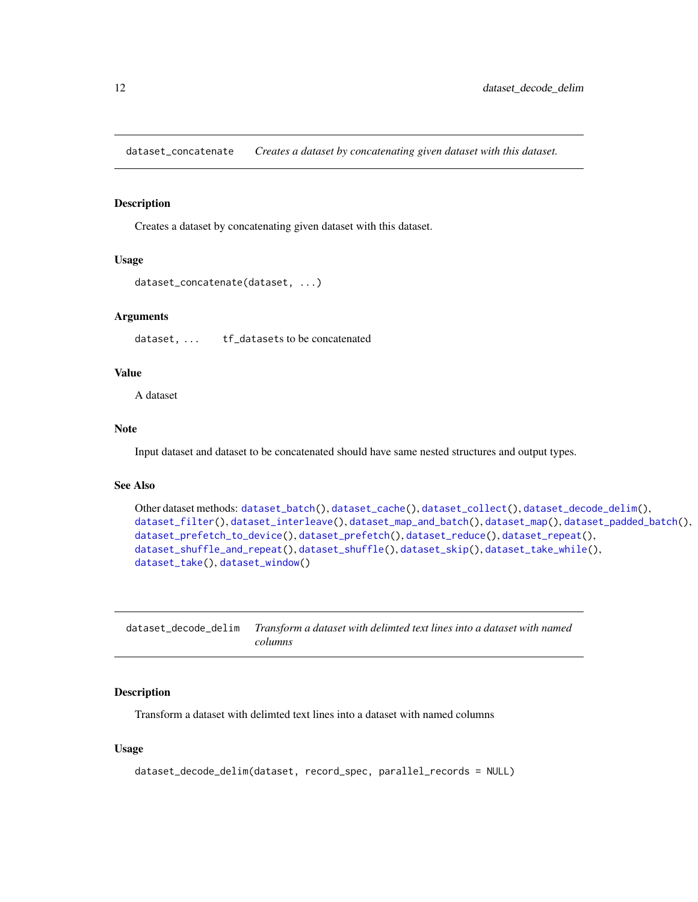<span id="page-11-1"></span><span id="page-11-0"></span>dataset\_concatenate *Creates a dataset by concatenating given dataset with this dataset.*

#### Description

Creates a dataset by concatenating given dataset with this dataset.

#### Usage

```
dataset_concatenate(dataset, ...)
```
## Arguments

dataset, ... tf\_datasets to be concatenated

## Value

A dataset

## Note

Input dataset and dataset to be concatenated should have same nested structures and output types.

# See Also

```
Other dataset methods: dataset_batch(), dataset_cache(), dataset_collect(), dataset_decode_delim(),
dataset_filter(), dataset_interleave(), dataset_map_and_batch(), dataset_map(), dataset_padded_batch(),
dataset_prefetch_to_device(), dataset_prefetch(), dataset_reduce(), dataset_repeat(),
dataset_shuffle_and_repeat(), dataset_shuffle(), dataset_skip(), dataset_take_while(),
dataset_take(), dataset_window()
```
<span id="page-11-2"></span>

| dataset_decode_delim Transform a dataset with delimted text lines into a dataset with named |
|---------------------------------------------------------------------------------------------|
| columns                                                                                     |

## Description

Transform a dataset with delimted text lines into a dataset with named columns

## Usage

```
dataset_decode_delim(dataset, record_spec, parallel_records = NULL)
```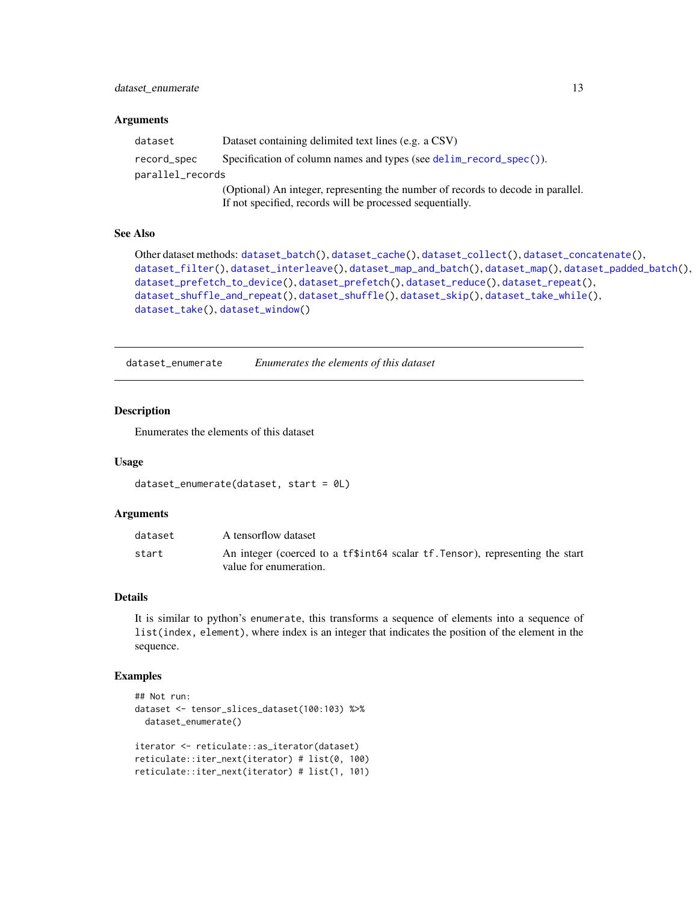# <span id="page-12-0"></span>dataset\_enumerate 13

#### **Arguments**

| dataset          | Dataset containing delimited text lines (e.g. a CSV)                             |
|------------------|----------------------------------------------------------------------------------|
| record_spec      | Specification of column names and types (see delim_record_spec()).               |
| parallel_records |                                                                                  |
|                  | (Optional) An integer, representing the number of records to decode in parallel. |
|                  | If not specified, records will be processed sequentially.                        |

## See Also

```
Other dataset methods: dataset_batch(), dataset_cache(), dataset_collect(), dataset_concatenate(),
dataset_filter(), dataset_interleave(), dataset_map_and_batch(), dataset_map(), dataset_padded_batch(),
dataset_prefetch_to_device(), dataset_prefetch(), dataset_reduce(), dataset_repeat(),
dataset_shuffle_and_repeat(), dataset_shuffle(), dataset_skip(), dataset_take_while(),
dataset_take(), dataset_window()
```
dataset\_enumerate *Enumerates the elements of this dataset*

#### Description

Enumerates the elements of this dataset

#### Usage

```
dataset_enumerate(dataset, start = 0L)
```
#### Arguments

| dataset | A tensorflow dataset                                                                                    |
|---------|---------------------------------------------------------------------------------------------------------|
| start   | An integer (coerced to a tf\$int64 scalar tf. Tensor), representing the start<br>value for enumeration. |

#### Details

It is similar to python's enumerate, this transforms a sequence of elements into a sequence of list(index, element), where index is an integer that indicates the position of the element in the sequence.

## Examples

```
## Not run:
dataset <- tensor_slices_dataset(100:103) %>%
 dataset_enumerate()
iterator <- reticulate::as_iterator(dataset)
reticulate::iter_next(iterator) # list(0, 100)
reticulate::iter_next(iterator) # list(1, 101)
```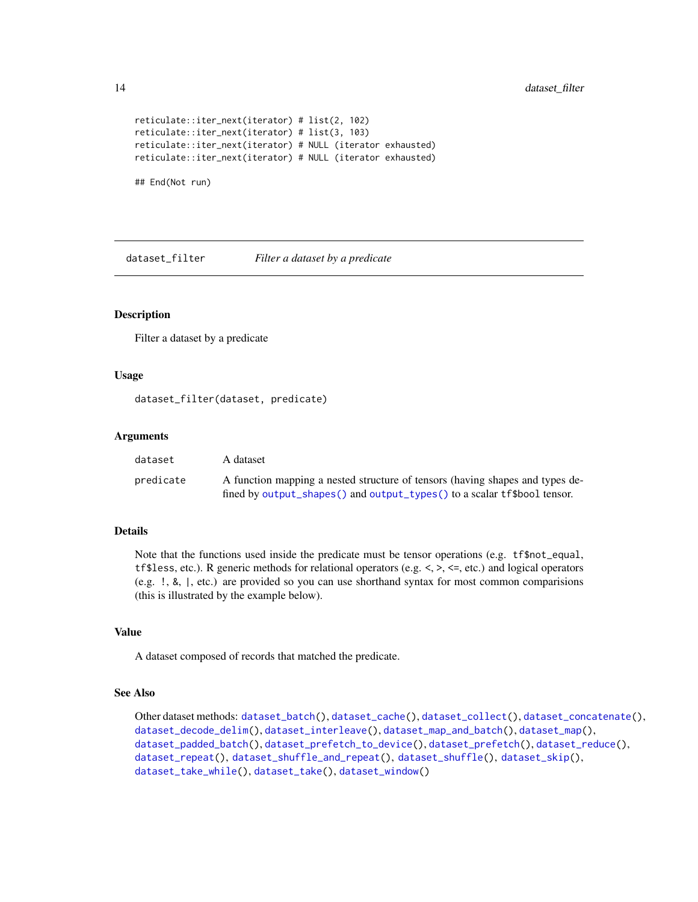```
reticulate::iter_next(iterator) # list(2, 102)
reticulate::iter_next(iterator) # list(3, 103)
reticulate::iter_next(iterator) # NULL (iterator exhausted)
reticulate::iter_next(iterator) # NULL (iterator exhausted)
```
## End(Not run)

<span id="page-13-1"></span>dataset\_filter *Filter a dataset by a predicate*

## **Description**

Filter a dataset by a predicate

## Usage

dataset\_filter(dataset, predicate)

#### Arguments

| dataset   | A dataset                                                                     |
|-----------|-------------------------------------------------------------------------------|
| predicate | A function mapping a nested structure of tensors (having shapes and types de- |
|           | fined by output_shapes() and output_types() to a scalar tf\$bool tensor.      |

## Details

Note that the functions used inside the predicate must be tensor operations (e.g. tf\$not\_equal, tf\$less, etc.). R generic methods for relational operators (e.g.  $\leq, \geq, \leq,$  etc.) and logical operators (e.g. !, &, |, etc.) are provided so you can use shorthand syntax for most common comparisions (this is illustrated by the example below).

# Value

A dataset composed of records that matched the predicate.

#### See Also

```
Other dataset methods: dataset_batch(), dataset_cache(), dataset_collect(), dataset_concatenate(),
dataset_decode_delim(), dataset_interleave(), dataset_map_and_batch(), dataset_map(),
dataset_padded_batch(), dataset_prefetch_to_device(), dataset_prefetch(), dataset_reduce(),
dataset_repeat(), dataset_shuffle_and_repeat(), dataset_shuffle(), dataset_skip(),
dataset_take_while(), dataset_take(), dataset_window()
```
<span id="page-13-0"></span>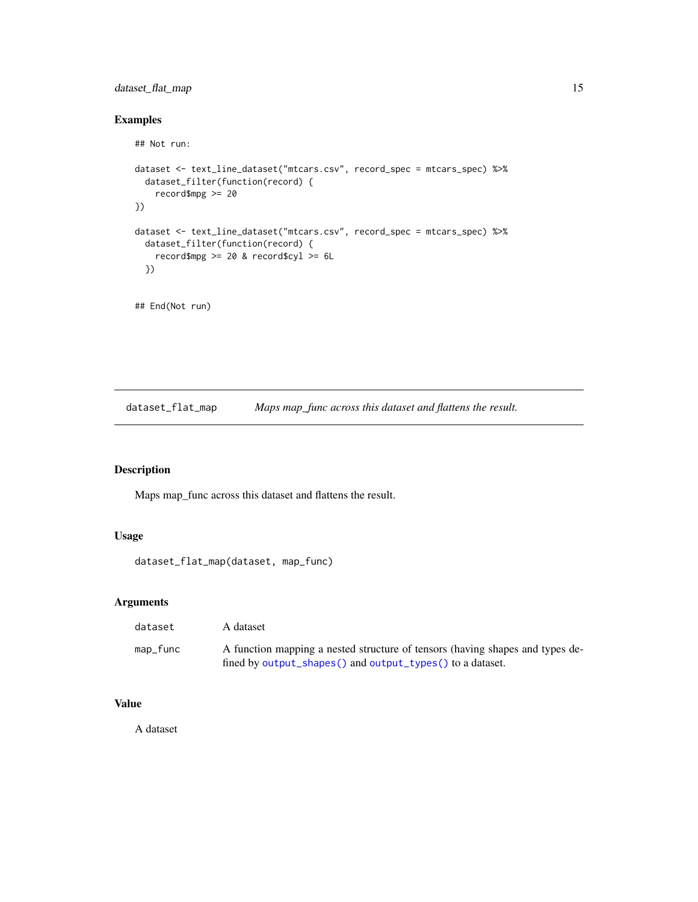# <span id="page-14-0"></span>dataset\_flat\_map 15

# Examples

```
## Not run:
dataset <- text_line_dataset("mtcars.csv", record_spec = mtcars_spec) %>%
  dataset_filter(function(record) {
   record$mpg >= 20
})
dataset <- text_line_dataset("mtcars.csv", record_spec = mtcars_spec) %>%
  dataset_filter(function(record) {
    record$mpg >= 20 & record$cyl >= 6L
  })
```
## End(Not run)

dataset\_flat\_map *Maps map\_func across this dataset and flattens the result.*

# Description

Maps map\_func across this dataset and flattens the result.

# Usage

```
dataset_flat_map(dataset, map_func)
```
## Arguments

| dataset  | A dataset                                                                                                                                  |
|----------|--------------------------------------------------------------------------------------------------------------------------------------------|
| map_func | A function mapping a nested structure of tensors (having shapes and types de-<br>fined by output_shapes() and output_types() to a dataset. |

# Value

A dataset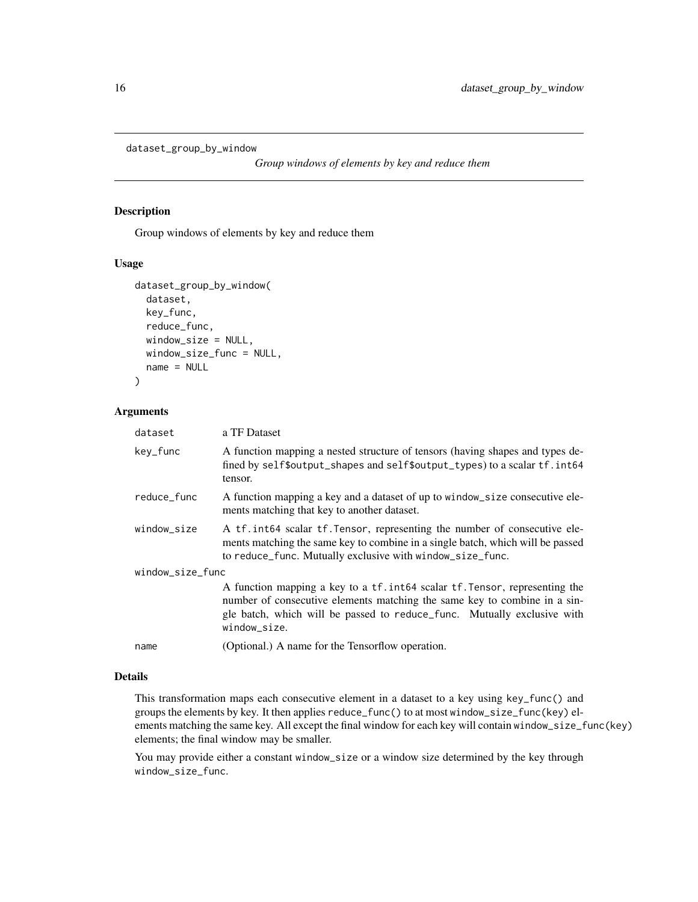```
dataset_group_by_window
```
*Group windows of elements by key and reduce them*

#### Description

Group windows of elements by key and reduce them

#### Usage

```
dataset_group_by_window(
  dataset,
  key_func,
  reduce_func,
  window_size = NULL,
 window_size_func = NULL,
  name = NULL
)
```
## Arguments

| dataset          | a TF Dataset                                                                                                                                                                                                                                        |  |
|------------------|-----------------------------------------------------------------------------------------------------------------------------------------------------------------------------------------------------------------------------------------------------|--|
| key_func         | A function mapping a nested structure of tensors (having shapes and types de-<br>fined by self\$output_shapes and self\$output_types) to a scalar tf. int64<br>tensor.                                                                              |  |
| reduce_func      | A function mapping a key and a dataset of up to window_size consecutive ele-<br>ments matching that key to another dataset.                                                                                                                         |  |
| window_size      | A tf. int64 scalar tf. Tensor, representing the number of consecutive ele-<br>ments matching the same key to combine in a single batch, which will be passed<br>to reduce_func. Mutually exclusive with window_size_func.                           |  |
| window_size_func |                                                                                                                                                                                                                                                     |  |
|                  | A function mapping a key to a tf. int64 scalar tf. Tensor, representing the<br>number of consecutive elements matching the same key to combine in a sin-<br>gle batch, which will be passed to reduce_func. Mutually exclusive with<br>window_size. |  |
| name             | (Optional.) A name for the Tensorflow operation.                                                                                                                                                                                                    |  |

#### Details

This transformation maps each consecutive element in a dataset to a key using key\_func() and groups the elements by key. It then applies reduce\_func() to at most window\_size\_func(key) elements matching the same key. All except the final window for each key will contain window\_size\_func(key) elements; the final window may be smaller.

You may provide either a constant window\_size or a window size determined by the key through window\_size\_func.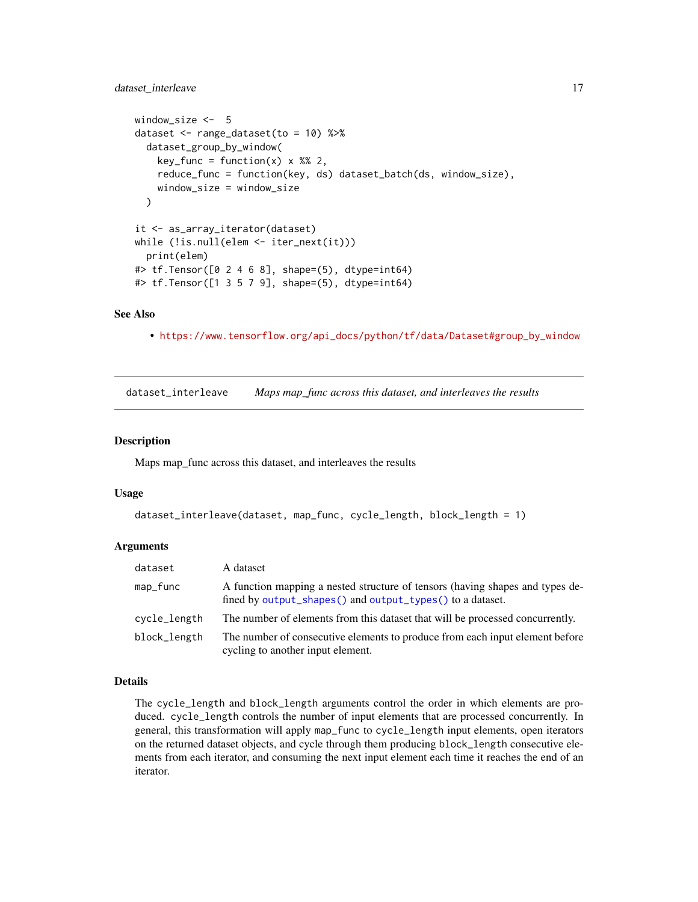# <span id="page-16-0"></span>dataset\_interleave 17

```
window_size <- 5
dataset <- range_dataset(to = 10) %>%
  dataset_group_by_window(
    key\_func = function(x) \times %2,reduce_func = function(key, ds) dataset_batch(ds, window_size),
    window_size = window_size
  )
it <- as_array_iterator(dataset)
while (!is.null(elem <- iter_next(it)))
 print(elem)
#> tf.Tensor([0 2 4 6 8], shape=(5), dtype=int64)
#> tf.Tensor([1 3 5 7 9], shape=(5), dtype=int64)
```
## See Also

• [https://www.tensorflow.org/api\\_docs/python/tf/data/Dataset#group\\_by\\_window](https://www.tensorflow.org/api_docs/python/tf/data/Dataset#group_by_window)

<span id="page-16-1"></span>dataset\_interleave *Maps map\_func across this dataset, and interleaves the results*

#### Description

Maps map\_func across this dataset, and interleaves the results

#### Usage

```
dataset_interleave(dataset, map_func, cycle_length, block_length = 1)
```
## Arguments

| dataset      | A dataset                                                                                                                                  |
|--------------|--------------------------------------------------------------------------------------------------------------------------------------------|
| map_func     | A function mapping a nested structure of tensors (having shapes and types de-<br>fined by output_shapes() and output_types() to a dataset. |
| cycle_length | The number of elements from this dataset that will be processed concurrently.                                                              |
| block_length | The number of consecutive elements to produce from each input element before<br>cycling to another input element.                          |

#### Details

The cycle\_length and block\_length arguments control the order in which elements are produced. cycle\_length controls the number of input elements that are processed concurrently. In general, this transformation will apply map\_func to cycle\_length input elements, open iterators on the returned dataset objects, and cycle through them producing block\_length consecutive elements from each iterator, and consuming the next input element each time it reaches the end of an iterator.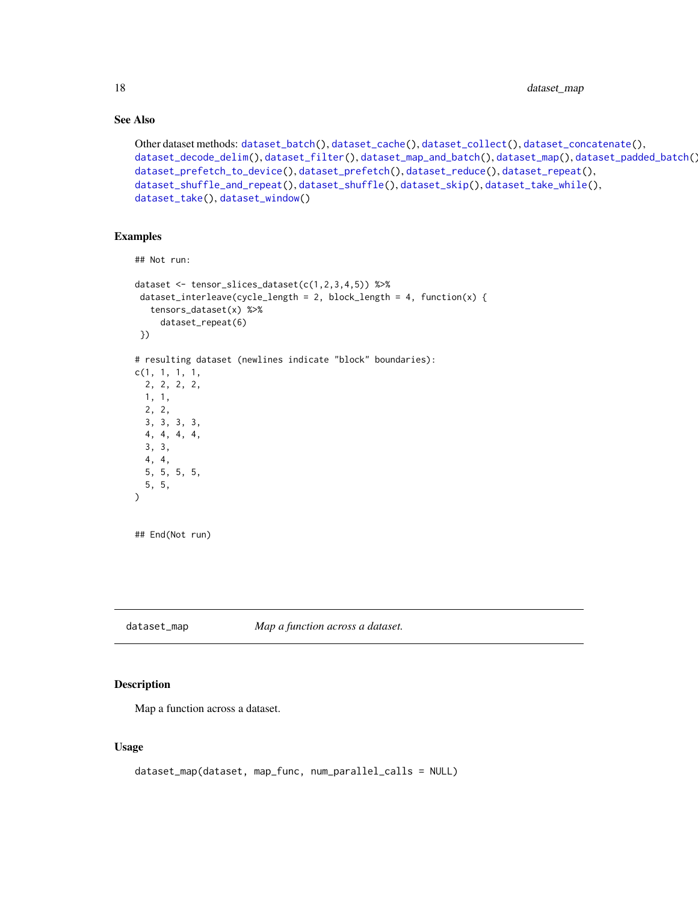# See Also

```
Other dataset methods: dataset_batch(), dataset_cache(), dataset_collect(), dataset_concatenate(),
dataset_decode_delim(), dataset_filter(), dataset_map_and_batch(), dataset_map(), dataset_padded_batch(),
dataset_prefetch_to_device(), dataset_prefetch(), dataset_reduce(), dataset_repeat(),
dataset_shuffle_and_repeat(), dataset_shuffle(), dataset_skip(), dataset_take_while(),
dataset_take(), dataset_window()
```
#### Examples

```
## Not run:
dataset <- tensor_slices_dataset(c(1,2,3,4,5)) %>%
dataset_interleave(cycle_length = 2, block_length = 4, function(x) {
  tensors_dataset(x) %>%
     dataset_repeat(6)
})
# resulting dataset (newlines indicate "block" boundaries):
c(1, 1, 1, 1,
 2, 2, 2, 2,
 1, 1,
 2, 2,
 3, 3, 3, 3,
 4, 4, 4, 4,
 3, 3,
 4, 4,
 5, 5, 5, 5,
 5, 5,
)
## End(Not run)
```
<span id="page-17-1"></span>dataset\_map *Map a function across a dataset.*

## Description

Map a function across a dataset.

#### Usage

```
dataset_map(dataset, map_func, num_parallel_calls = NULL)
```
<span id="page-17-0"></span>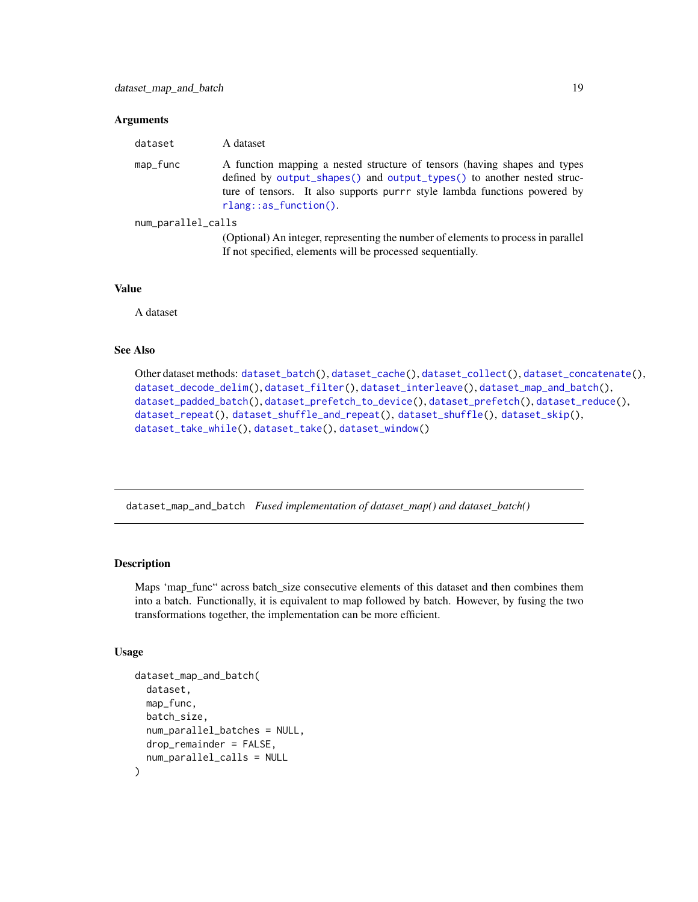#### <span id="page-18-0"></span>**Arguments**

| dataset            | A dataset                                                                                                                                                                                                                                                    |
|--------------------|--------------------------------------------------------------------------------------------------------------------------------------------------------------------------------------------------------------------------------------------------------------|
| map_func           | A function mapping a nested structure of tensors (having shapes and types<br>defined by output_shapes() and output_types() to another nested struc-<br>ture of tensors. It also supports purrr style lambda functions powered by<br>$r$ lang::as_function(). |
| num_parallel_calls |                                                                                                                                                                                                                                                              |
|                    | (Optional) An integer, representing the number of elements to process in parallel                                                                                                                                                                            |

If not specified, elements will be processed sequentially.

#### Value

A dataset

# See Also

Other dataset methods: [dataset\\_batch\(](#page-6-1)), [dataset\\_cache\(](#page-9-1)), [dataset\\_collect\(](#page-10-1)), [dataset\\_concatenate\(](#page-11-1)), [dataset\\_decode\\_delim\(](#page-11-2)), [dataset\\_filter\(](#page-13-1)), [dataset\\_interleave\(](#page-16-1)), [dataset\\_map\\_and\\_batch\(](#page-18-1)), [dataset\\_padded\\_batch\(](#page-20-1)), [dataset\\_prefetch\\_to\\_device\(](#page-23-1)), [dataset\\_prefetch\(](#page-23-2)), [dataset\\_reduce\(](#page-26-1)), [dataset\\_repeat\(](#page-28-1)), [dataset\\_shuffle\\_and\\_repeat\(](#page-31-1)), [dataset\\_shuffle\(](#page-30-1)), [dataset\\_skip\(](#page-32-1)), [dataset\\_take\\_while\(](#page-35-1)), [dataset\\_take\(](#page-34-1)), [dataset\\_window\(](#page-38-1))

<span id="page-18-1"></span>dataset\_map\_and\_batch *Fused implementation of dataset\_map() and dataset\_batch()*

# Description

Maps 'map\_func" across batch\_size consecutive elements of this dataset and then combines them into a batch. Functionally, it is equivalent to map followed by batch. However, by fusing the two transformations together, the implementation can be more efficient.

## Usage

```
dataset_map_and_batch(
  dataset,
 map_func,
 batch_size,
  num_parallel_batches = NULL,
  drop_remainder = FALSE,
  num_parallel_calls = NULL
)
```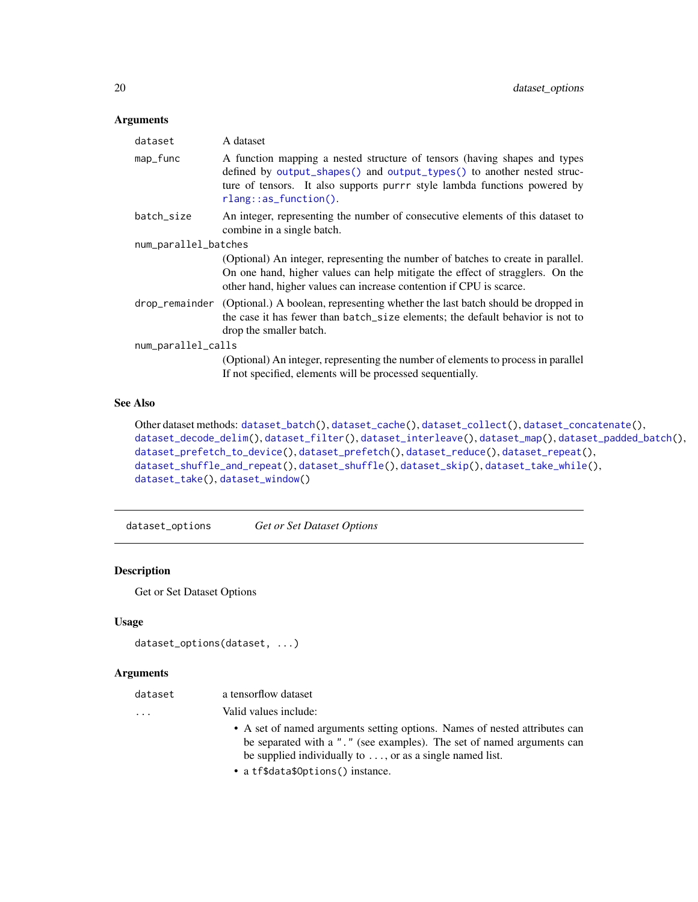## <span id="page-19-0"></span>Arguments

| dataset              | A dataset                                                                                                                                                                                                                                                    |  |
|----------------------|--------------------------------------------------------------------------------------------------------------------------------------------------------------------------------------------------------------------------------------------------------------|--|
| map_func             | A function mapping a nested structure of tensors (having shapes and types<br>defined by output_shapes() and output_types() to another nested struc-<br>ture of tensors. It also supports purrr style lambda functions powered by<br>$rlang::as_function()$ . |  |
| batch size           | An integer, representing the number of consecutive elements of this dataset to<br>combine in a single batch.                                                                                                                                                 |  |
| num_parallel_batches |                                                                                                                                                                                                                                                              |  |
|                      | (Optional) An integer, representing the number of batches to create in parallel.<br>On one hand, higher values can help mitigate the effect of stragglers. On the<br>other hand, higher values can increase contention if CPU is scarce.                     |  |
|                      | drop_remainder (Optional.) A boolean, representing whether the last batch should be dropped in<br>the case it has fewer than batch_size elements; the default behavior is not to<br>drop the smaller batch.                                                  |  |
| num_parallel_calls   |                                                                                                                                                                                                                                                              |  |
|                      | (Optional) An integer, representing the number of elements to process in parallel<br>If not specified, elements will be processed sequentially.                                                                                                              |  |

# See Also

```
Other dataset methods: dataset_batch(), dataset_cache(), dataset_collect(), dataset_concatenate(),
dataset_decode_delim(), dataset_filter(), dataset_interleave(), dataset_map(), dataset_padded_batch(),
dataset_prefetch_to_device(), dataset_prefetch(), dataset_reduce(), dataset_repeat(),
dataset_shuffle_and_repeat(), dataset_shuffle(), dataset_skip(), dataset_take_while(),
dataset_take(), dataset_window()
```
dataset\_options *Get or Set Dataset Options*

# Description

Get or Set Dataset Options

## Usage

```
dataset_options(dataset, ...)
```
## Arguments

| dataset                 | a tensorflow dataset                                                                                                                                                                                                     |
|-------------------------|--------------------------------------------------------------------------------------------------------------------------------------------------------------------------------------------------------------------------|
| $\cdot$ $\cdot$ $\cdot$ | Valid values include:                                                                                                                                                                                                    |
|                         | • A set of named arguments setting options. Names of nested attributes can<br>be separated with a "." (see examples). The set of named arguments can<br>be supplied individually to $\dots$ , or as a single named list. |
|                         | • a tf\$data\$0ptions() instance.                                                                                                                                                                                        |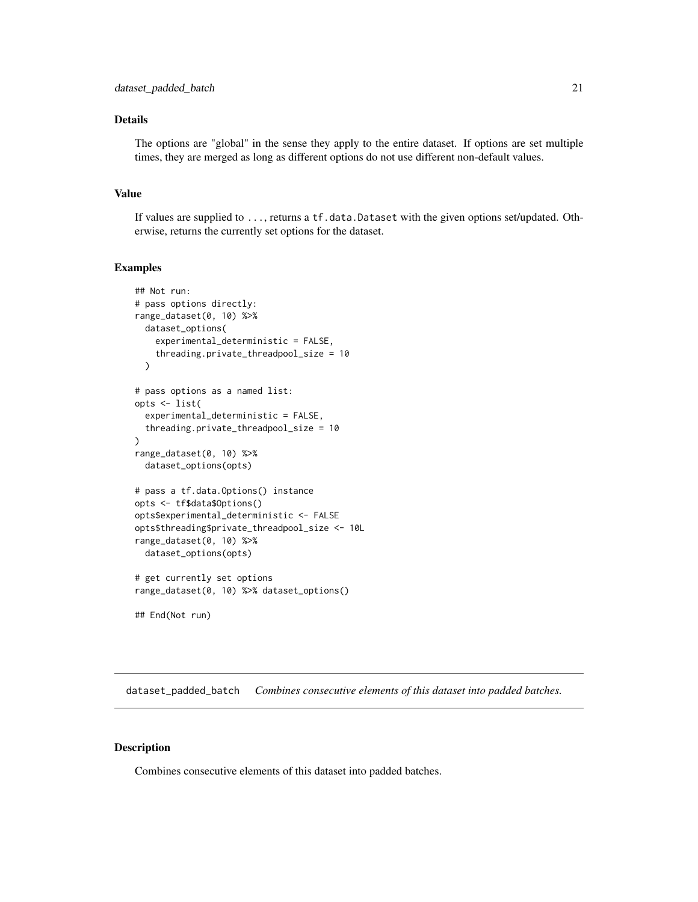# <span id="page-20-0"></span>Details

The options are "global" in the sense they apply to the entire dataset. If options are set multiple times, they are merged as long as different options do not use different non-default values.

## Value

If values are supplied to ..., returns a tf.data.Dataset with the given options set/updated. Otherwise, returns the currently set options for the dataset.

## Examples

```
## Not run:
# pass options directly:
range_dataset(0, 10) %>%
 dataset_options(
    experimental_deterministic = FALSE,
    threading.private_threadpool_size = 10
 )
# pass options as a named list:
opts <- list(
 experimental_deterministic = FALSE,
 threading.private_threadpool_size = 10
)
range_dataset(0, 10) %>%
 dataset_options(opts)
# pass a tf.data.Options() instance
opts <- tf$data$Options()
opts$experimental_deterministic <- FALSE
opts$threading$private_threadpool_size <- 10L
range_dataset(0, 10) %>%
 dataset_options(opts)
# get currently set options
range_dataset(0, 10) %>% dataset_options()
```
## End(Not run)

<span id="page-20-1"></span>dataset\_padded\_batch *Combines consecutive elements of this dataset into padded batches.*

#### Description

Combines consecutive elements of this dataset into padded batches.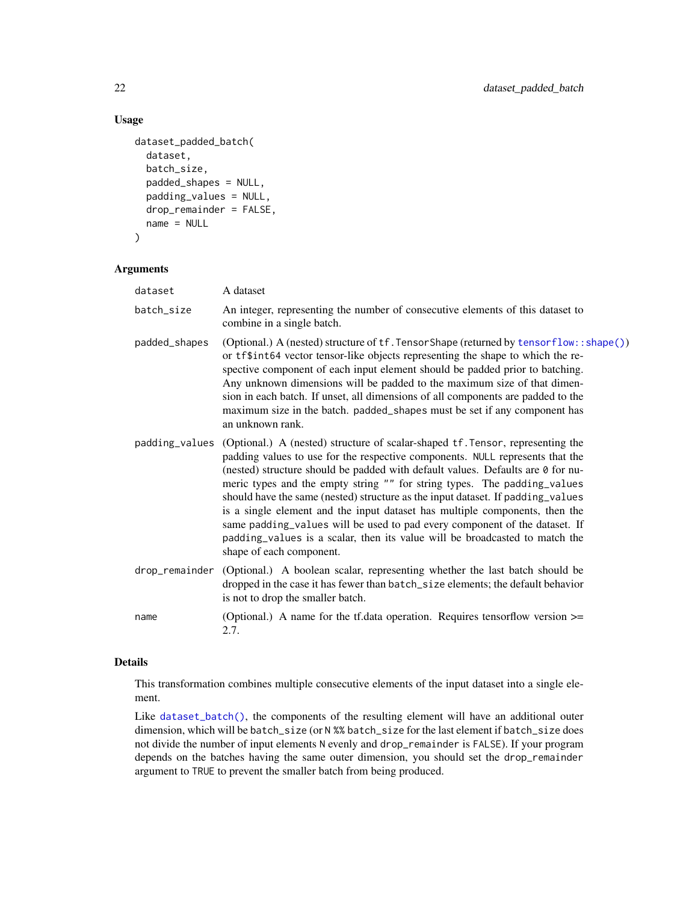# Usage

```
dataset_padded_batch(
  dataset,
  batch_size,
  padded_shapes = NULL,
 padding_values = NULL,
  drop_remainder = FALSE,
  name = NULL
)
```
# Arguments

| dataset       | A dataset                                                                                                                                                                                                                                                                                                                                                                                                                                                                                                                                                                                                                                                                                                |
|---------------|----------------------------------------------------------------------------------------------------------------------------------------------------------------------------------------------------------------------------------------------------------------------------------------------------------------------------------------------------------------------------------------------------------------------------------------------------------------------------------------------------------------------------------------------------------------------------------------------------------------------------------------------------------------------------------------------------------|
| batch_size    | An integer, representing the number of consecutive elements of this dataset to<br>combine in a single batch.                                                                                                                                                                                                                                                                                                                                                                                                                                                                                                                                                                                             |
| padded_shapes | (Optional.) A (nested) structure of tf. Tensor Shape (returned by tensor flow::shape())<br>or tf\$int64 vector tensor-like objects representing the shape to which the re-<br>spective component of each input element should be padded prior to batching.<br>Any unknown dimensions will be padded to the maximum size of that dimen-<br>sion in each batch. If unset, all dimensions of all components are padded to the<br>maximum size in the batch. padded_shapes must be set if any component has<br>an unknown rank.                                                                                                                                                                              |
|               | padding_values (Optional.) A (nested) structure of scalar-shaped tf. Tensor, representing the<br>padding values to use for the respective components. NULL represents that the<br>(nested) structure should be padded with default values. Defaults are 0 for nu-<br>meric types and the empty string "" for string types. The padding_values<br>should have the same (nested) structure as the input dataset. If padding_values<br>is a single element and the input dataset has multiple components, then the<br>same padding_values will be used to pad every component of the dataset. If<br>padding_values is a scalar, then its value will be broadcasted to match the<br>shape of each component. |
|               | drop_remainder (Optional.) A boolean scalar, representing whether the last batch should be<br>dropped in the case it has fewer than batch_size elements; the default behavior<br>is not to drop the smaller batch.                                                                                                                                                                                                                                                                                                                                                                                                                                                                                       |
| name          | (Optional.) A name for the tf.data operation. Requires tensorflow version $\ge$ =<br>2.7.                                                                                                                                                                                                                                                                                                                                                                                                                                                                                                                                                                                                                |

# Details

This transformation combines multiple consecutive elements of the input dataset into a single element.

Like [dataset\\_batch\(\)](#page-6-1), the components of the resulting element will have an additional outer dimension, which will be batch\_size (or N %% batch\_size for the last element if batch\_size does not divide the number of input elements N evenly and drop\_remainder is FALSE). If your program depends on the batches having the same outer dimension, you should set the drop\_remainder argument to TRUE to prevent the smaller batch from being produced.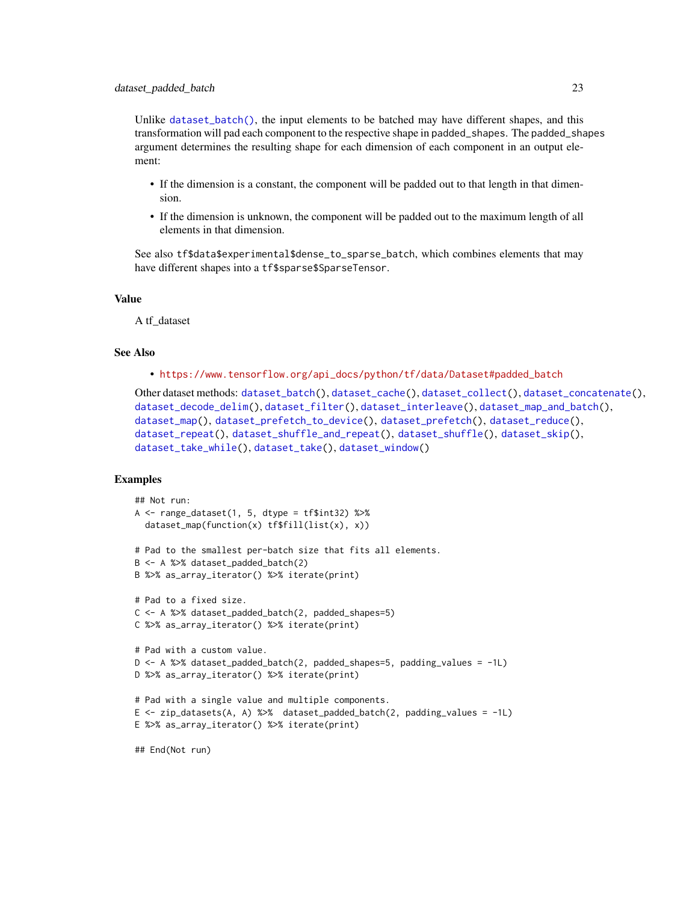Unlike [dataset\\_batch\(\)](#page-6-1), the input elements to be batched may have different shapes, and this transformation will pad each component to the respective shape in padded\_shapes. The padded\_shapes argument determines the resulting shape for each dimension of each component in an output element:

- If the dimension is a constant, the component will be padded out to that length in that dimension.
- If the dimension is unknown, the component will be padded out to the maximum length of all elements in that dimension.

See also tf\$data\$experimental\$dense\_to\_sparse\_batch, which combines elements that may have different shapes into a tf\$sparse\$SparseTensor.

## Value

A tf\_dataset

## See Also

• [https://www.tensorflow.org/api\\_docs/python/tf/data/Dataset#padded\\_batch](https://www.tensorflow.org/api_docs/python/tf/data/Dataset#padded_batch)

```
Other dataset methods: dataset_batch(), dataset_cache(), dataset_collect(), dataset_concatenate(),
dataset_decode_delim(), dataset_filter(), dataset_interleave(), dataset_map_and_batch(),
dataset_map(), dataset_prefetch_to_device(), dataset_prefetch(), dataset_reduce(),
dataset_repeat(), dataset_shuffle_and_repeat(), dataset_shuffle(), dataset_skip(),
dataset_take_while(), dataset_take(), dataset_window()
```
## Examples

```
## Not run:
A \leq range_dataset(1, 5, dtype = tf$int32) %>%
  dataset_map(function(x) tf$fill(list(x), x))
# Pad to the smallest per-batch size that fits all elements.
B <- A %>% dataset_padded_batch(2)
B %>% as_array_iterator() %>% iterate(print)
# Pad to a fixed size.
C <- A %>% dataset_padded_batch(2, padded_shapes=5)
C %>% as_array_iterator() %>% iterate(print)
# Pad with a custom value.
D \leq -A %>% dataset_padded_batch(2, padded_shapes=5, padding_values = -1L)
D %>% as_array_iterator() %>% iterate(print)
# Pad with a single value and multiple components.
E <- zip_datasets(A, A) %>% dataset_padded_batch(2, padding_values = -1L)
E %>% as_array_iterator() %>% iterate(print)
## End(Not run)
```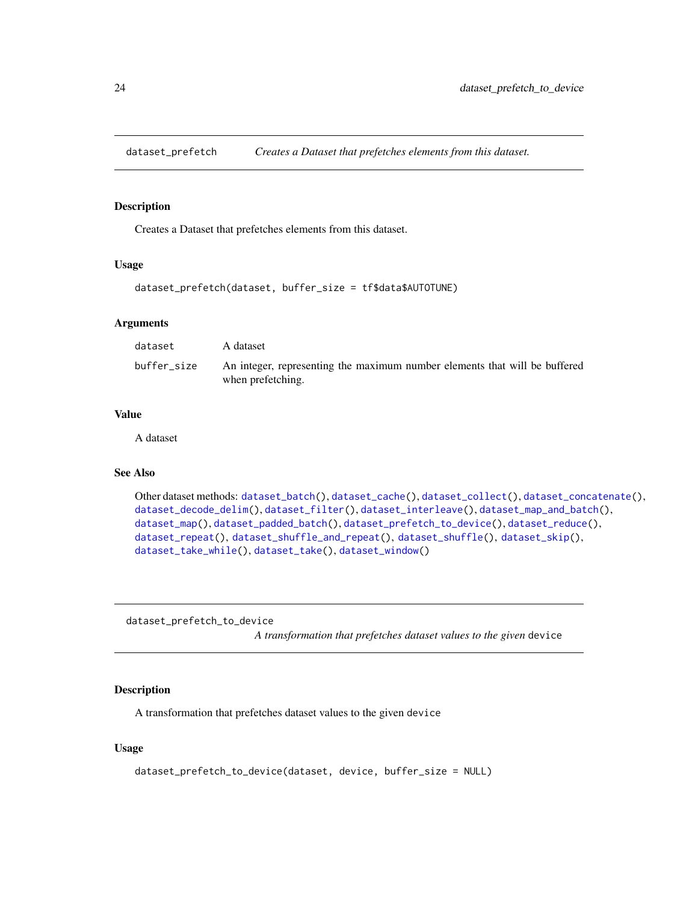<span id="page-23-2"></span><span id="page-23-0"></span>

# Description

Creates a Dataset that prefetches elements from this dataset.

#### Usage

```
dataset_prefetch(dataset, buffer_size = tf$data$AUTOTUNE)
```
## **Arguments**

| dataset     | A dataset                                                                                       |
|-------------|-------------------------------------------------------------------------------------------------|
| buffer size | An integer, representing the maximum number elements that will be buffered<br>when prefetching. |

#### Value

A dataset

## See Also

```
Other dataset methods: dataset_batch(), dataset_cache(), dataset_collect(), dataset_concatenate(),
dataset_decode_delim(), dataset_filter(), dataset_interleave(), dataset_map_and_batch(),
dataset_map(), dataset_padded_batch(), dataset_prefetch_to_device(), dataset_reduce(),
dataset_repeat(), dataset_shuffle_and_repeat(), dataset_shuffle(), dataset_skip(),
dataset_take_while(), dataset_take(), dataset_window()
```
<span id="page-23-1"></span>dataset\_prefetch\_to\_device *A transformation that prefetches dataset values to the given* device

# Description

A transformation that prefetches dataset values to the given device

#### Usage

```
dataset_prefetch_to_device(dataset, device, buffer_size = NULL)
```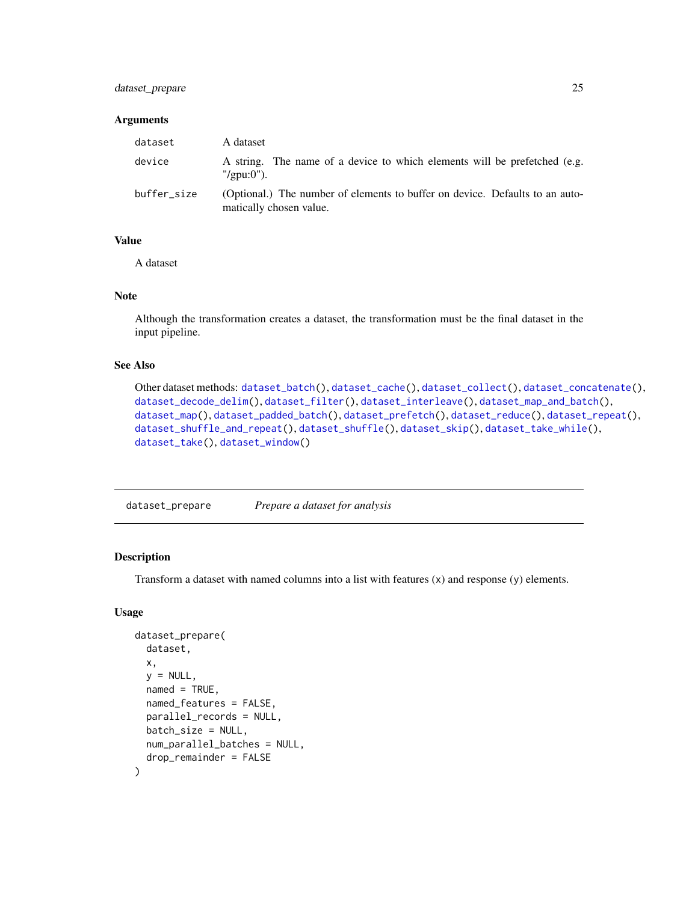# <span id="page-24-0"></span>dataset\_prepare 25

#### **Arguments**

| dataset     | A dataset                                                                                               |
|-------------|---------------------------------------------------------------------------------------------------------|
| device      | A string. The name of a device to which elements will be prefetched (e.g.<br>$"$ /gpu:0").              |
| buffer_size | (Optional.) The number of elements to buffer on device. Defaults to an auto-<br>matically chosen value. |

#### Value

A dataset

## Note

Although the transformation creates a dataset, the transformation must be the final dataset in the input pipeline.

# See Also

```
Other dataset methods: dataset_batch(), dataset_cache(), dataset_collect(), dataset_concatenate(),
dataset_decode_delim(), dataset_filter(), dataset_interleave(), dataset_map_and_batch(),
dataset_map(), dataset_padded_batch(), dataset_prefetch(), dataset_reduce(), dataset_repeat(),
dataset_shuffle_and_repeat(), dataset_shuffle(), dataset_skip(), dataset_take_while(),
dataset_take(), dataset_window()
```
dataset\_prepare *Prepare a dataset for analysis*

# Description

Transform a dataset with named columns into a list with features (x) and response (y) elements.

## Usage

```
dataset_prepare(
  dataset,
  x,
  y = NULL,named = TRUE,named_features = FALSE,
 parallel_records = NULL,
 batch_size = NULL,
 num_parallel_batches = NULL,
  drop_remainder = FALSE
)
```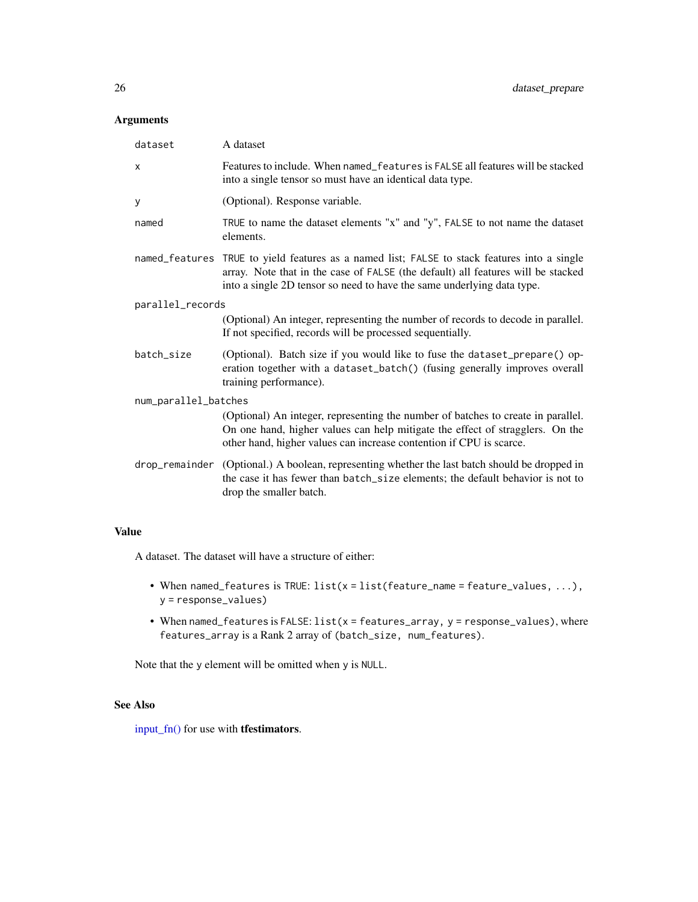## Arguments

| dataset              | A dataset                                                                                                                                                                                                                                   |
|----------------------|---------------------------------------------------------------------------------------------------------------------------------------------------------------------------------------------------------------------------------------------|
| X                    | Features to include. When named_features is FALSE all features will be stacked<br>into a single tensor so must have an identical data type.                                                                                                 |
| У                    | (Optional). Response variable.                                                                                                                                                                                                              |
| named                | TRUE to name the dataset elements "x" and "y", FALSE to not name the dataset<br>elements.                                                                                                                                                   |
| named_features       | TRUE to yield features as a named list; FALSE to stack features into a single<br>array. Note that in the case of FALSE (the default) all features will be stacked<br>into a single 2D tensor so need to have the same underlying data type. |
| parallel_records     |                                                                                                                                                                                                                                             |
|                      | (Optional) An integer, representing the number of records to decode in parallel.<br>If not specified, records will be processed sequentially.                                                                                               |
| batch_size           | (Optional). Batch size if you would like to fuse the dataset_prepare() op-<br>eration together with a dataset_batch() (fusing generally improves overall<br>training performance).                                                          |
| num_parallel_batches |                                                                                                                                                                                                                                             |
|                      | (Optional) An integer, representing the number of batches to create in parallel.<br>On one hand, higher values can help mitigate the effect of stragglers. On the<br>other hand, higher values can increase contention if CPU is scarce.    |
|                      | drop_remainder (Optional.) A boolean, representing whether the last batch should be dropped in<br>the case it has fewer than batch_size elements; the default behavior is not to<br>drop the smaller batch.                                 |

# Value

A dataset. The dataset will have a structure of either:

- When named\_features is TRUE: list(x = list(feature\_name = feature\_values, ...), y = response\_values)
- When named\_features is FALSE: list(x = features\_array, y = response\_values), where features\_array is a Rank 2 array of (batch\_size, num\_features).

Note that the y element will be omitted when y is NULL.

# See Also

[input\\_fn\(\)](#page-46-1) for use with tfestimators.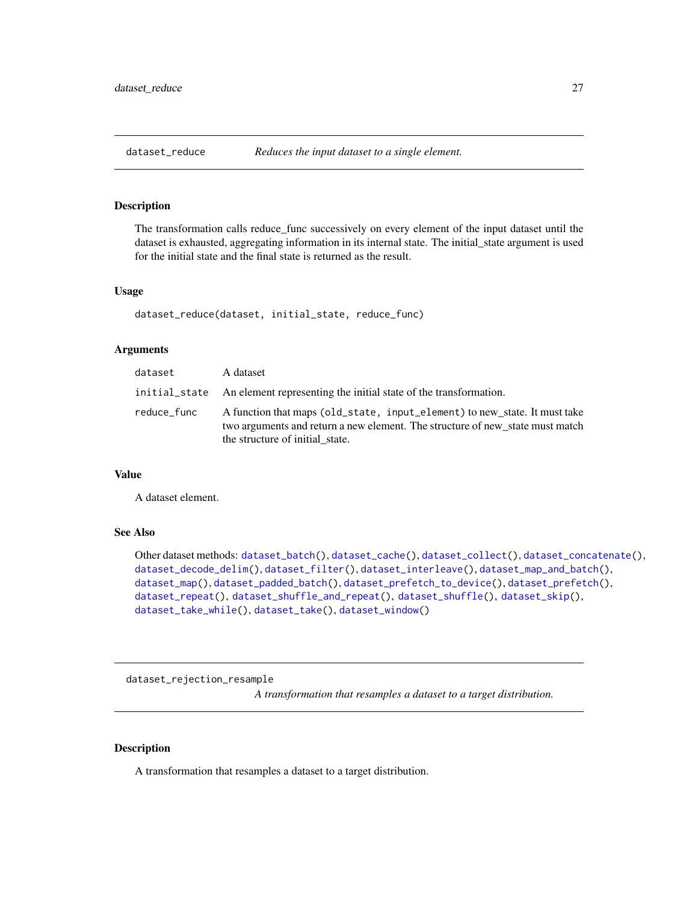<span id="page-26-1"></span><span id="page-26-0"></span>

# Description

The transformation calls reduce\_func successively on every element of the input dataset until the dataset is exhausted, aggregating information in its internal state. The initial\_state argument is used for the initial state and the final state is returned as the result.

#### Usage

dataset\_reduce(dataset, initial\_state, reduce\_func)

#### **Arguments**

| dataset     | A dataset                                                                                                                                                                                      |
|-------------|------------------------------------------------------------------------------------------------------------------------------------------------------------------------------------------------|
|             | initial_state An element representing the initial state of the transformation.                                                                                                                 |
| reduce_func | A function that maps (old_state, input_element) to new state. It must take<br>two arguments and return a new element. The structure of new state must match<br>the structure of initial state. |

#### Value

A dataset element.

## See Also

```
Other dataset methods: dataset_batch(), dataset_cache(), dataset_collect(), dataset_concatenate(),
dataset_decode_delim(), dataset_filter(), dataset_interleave(), dataset_map_and_batch(),
dataset_map(), dataset_padded_batch(), dataset_prefetch_to_device(), dataset_prefetch(),
dataset_repeat(), dataset_shuffle_and_repeat(), dataset_shuffle(), dataset_skip(),
dataset_take_while(), dataset_take(), dataset_window()
```
dataset\_rejection\_resample

*A transformation that resamples a dataset to a target distribution.*

#### Description

A transformation that resamples a dataset to a target distribution.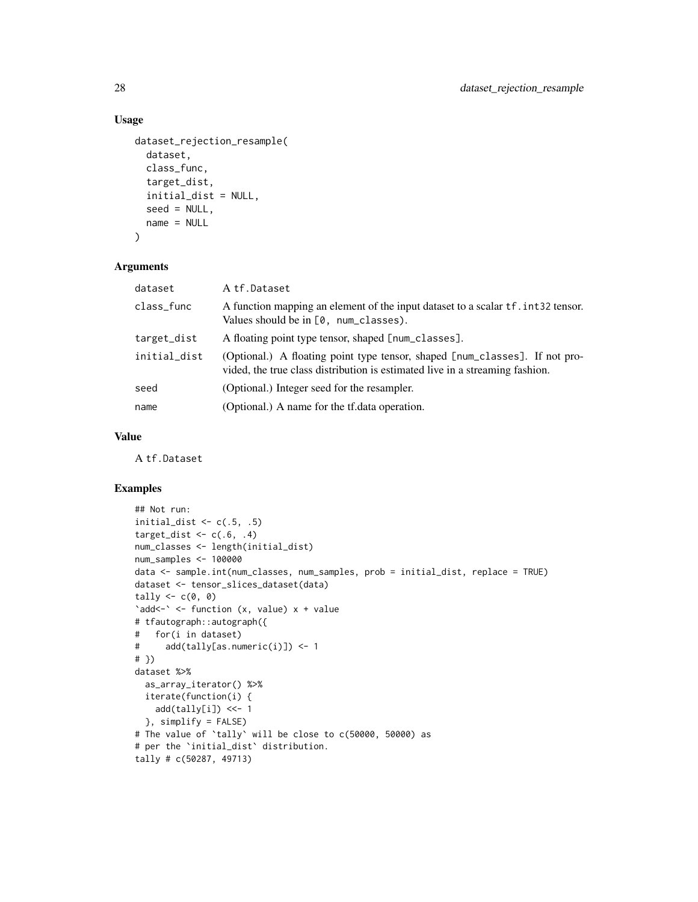# Usage

```
dataset_rejection_resample(
  dataset,
  class_func,
  target_dist,
  initial_dist = NULL,
  seed = NULL,
  name = NULL
\mathcal{L}
```
## Arguments

| dataset      | A tf.Dataset                                                                                                                                                |
|--------------|-------------------------------------------------------------------------------------------------------------------------------------------------------------|
| class_func   | A function mapping an element of the input dataset to a scalar f. int32 tensor.<br>Values should be in $[0, num_{\text{classes}})$ .                        |
| target_dist  | A floating point type tensor, shaped [num_classes].                                                                                                         |
| initial_dist | (Optional.) A floating point type tensor, shaped [num_classes]. If not pro-<br>vided, the true class distribution is estimated live in a streaming fashion. |
| seed         | (Optional.) Integer seed for the resampler.                                                                                                                 |
| name         | (Optional.) A name for the tf. data operation.                                                                                                              |

# Value

A tf.Dataset

## Examples

```
## Not run:
initial_dist \leq c(.5, .5)target_dist \leq c(.6, .4)num_classes <- length(initial_dist)
num_samples <- 100000
data <- sample.int(num_classes, num_samples, prob = initial_dist, replace = TRUE)
dataset <- tensor_slices_dataset(data)
tally \leftarrow c(0, 0)'add <- ' <- function (x, value) x + value
# tfautograph::autograph({
# for(i in dataset)
# add(tally[as.numeric(i)]) <- 1
# })
dataset %>%
  as_array_iterator() %>%
 iterate(function(i) {
   add(tally[i]) <<- 1
  }, simplify = FALSE)
# The value of `tally` will be close to c(50000, 50000) as
# per the `initial_dist` distribution.
tally # c(50287, 49713)
```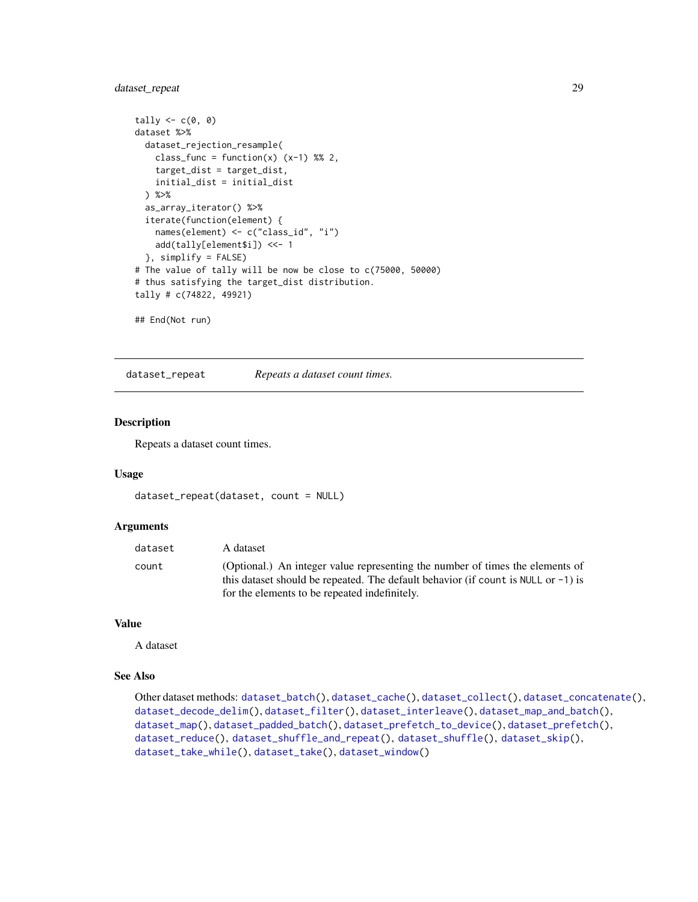# <span id="page-28-0"></span>dataset\_repeat 29

```
tally \leftarrow c(\emptyset, \emptyset)dataset %>%
 dataset_rejection_resample(
    class_func = function(x) (x-1) %% 2,
    target_dist = target_dist,
    initial_dist = initial_dist
  ) %>%
  as_array_iterator() %>%
  iterate(function(element) {
    names(element) <- c("class_id", "i")
    add(tally[element$i]) <<- 1
  }, simplify = FALSE)
# The value of tally will be now be close to c(75000, 50000)
# thus satisfying the target_dist distribution.
tally # c(74822, 49921)
## End(Not run)
```
<span id="page-28-1"></span>dataset\_repeat *Repeats a dataset count times.*

## Description

Repeats a dataset count times.

#### Usage

```
dataset_repeat(dataset, count = NULL)
```
# Arguments

| dataset | A dataset                                                                                                                                                             |
|---------|-----------------------------------------------------------------------------------------------------------------------------------------------------------------------|
| count   | (Optional.) An integer value representing the number of times the elements of<br>this dataset should be repeated. The default behavior (if count is NULL or $-1$ ) is |
|         | for the elements to be repeated indefinitely.                                                                                                                         |

## Value

A dataset

#### See Also

Other dataset methods: [dataset\\_batch\(](#page-6-1)), [dataset\\_cache\(](#page-9-1)), [dataset\\_collect\(](#page-10-1)), [dataset\\_concatenate\(](#page-11-1)), [dataset\\_decode\\_delim\(](#page-11-2)), [dataset\\_filter\(](#page-13-1)), [dataset\\_interleave\(](#page-16-1)), [dataset\\_map\\_and\\_batch\(](#page-18-1)), [dataset\\_map\(](#page-17-1)), [dataset\\_padded\\_batch\(](#page-20-1)), [dataset\\_prefetch\\_to\\_device\(](#page-23-1)), [dataset\\_prefetch\(](#page-23-2)), [dataset\\_reduce\(](#page-26-1)), [dataset\\_shuffle\\_and\\_repeat\(](#page-31-1)), [dataset\\_shuffle\(](#page-30-1)), [dataset\\_skip\(](#page-32-1)), [dataset\\_take\\_while\(](#page-35-1)), [dataset\\_take\(](#page-34-1)), [dataset\\_window\(](#page-38-1))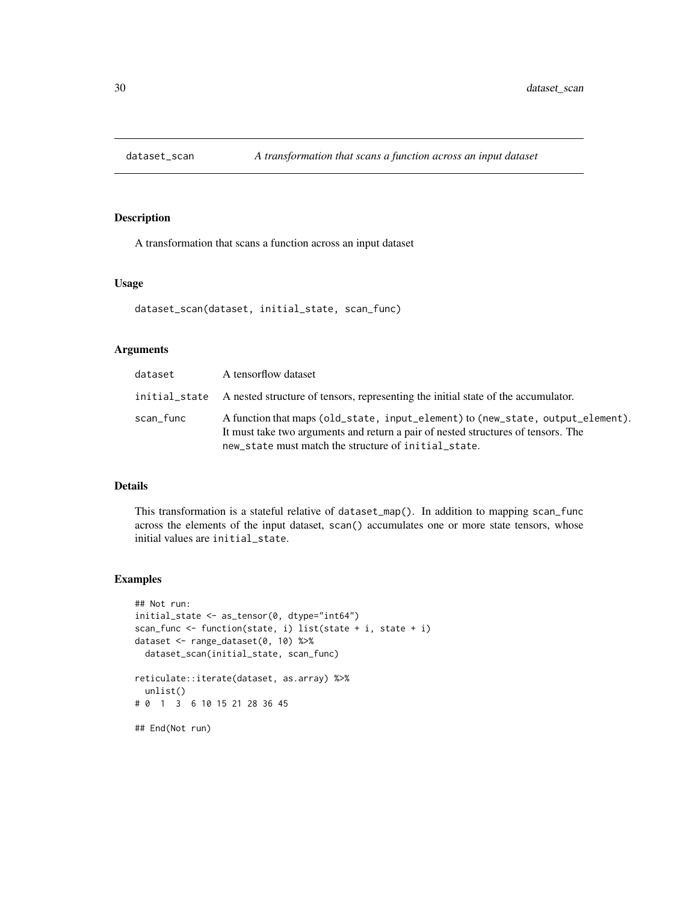<span id="page-29-0"></span>

# Description

A transformation that scans a function across an input dataset

## Usage

```
dataset_scan(dataset, initial_state, scan_func)
```
## Arguments

| dataset   | A tensorflow dataset                                                                                                                                                                                                         |
|-----------|------------------------------------------------------------------------------------------------------------------------------------------------------------------------------------------------------------------------------|
|           | initial state A nested structure of tensors, representing the initial state of the accumulator.                                                                                                                              |
| scan_func | A function that maps (old_state, input_element) to (new_state, output_element).<br>It must take two arguments and return a pair of nested structures of tensors. The<br>new_state must match the structure of initial_state. |

#### Details

This transformation is a stateful relative of dataset\_map(). In addition to mapping scan\_func across the elements of the input dataset, scan() accumulates one or more state tensors, whose initial values are initial\_state.

#### Examples

```
## Not run:
initial_state <- as_tensor(0, dtype="int64")
scan_func <- function(state, i) list(state + i, state + i)
dataset <- range_dataset(0, 10) %>%
  dataset_scan(initial_state, scan_func)
reticulate::iterate(dataset, as.array) %>%
  unlist()
# 0 1 3 6 10 15 21 28 36 45
## End(Not run)
```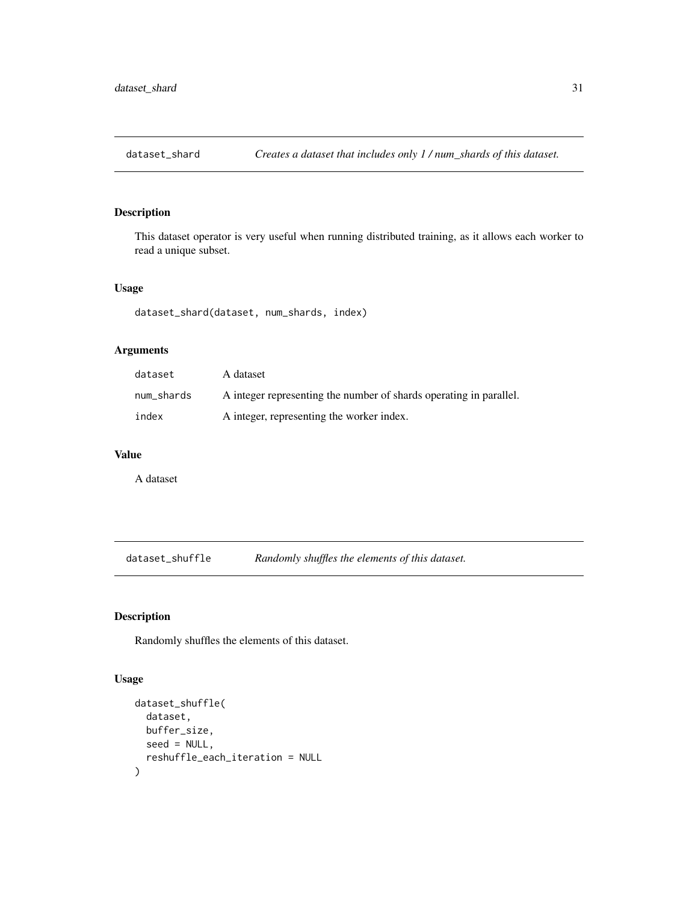<span id="page-30-0"></span>

# Description

This dataset operator is very useful when running distributed training, as it allows each worker to read a unique subset.

## Usage

dataset\_shard(dataset, num\_shards, index)

# Arguments

| dataset    | A dataset                                                          |
|------------|--------------------------------------------------------------------|
| num_shards | A integer representing the number of shards operating in parallel. |
| index      | A integer, representing the worker index.                          |

## Value

A dataset

<span id="page-30-1"></span>dataset\_shuffle *Randomly shuffles the elements of this dataset.*

# Description

Randomly shuffles the elements of this dataset.

# Usage

```
dataset_shuffle(
  dataset,
 buffer_size,
  seed = NULL,
  reshuffle_each_iteration = NULL
\mathcal{E}
```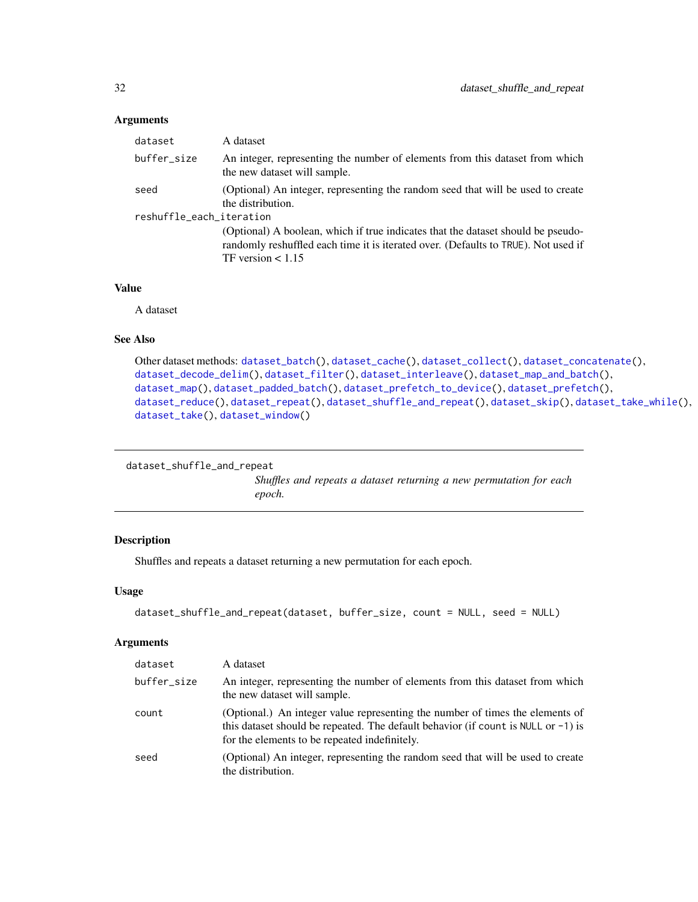#### <span id="page-31-0"></span>Arguments

| dataset                          | A dataset                                                                                                                                                                                     |
|----------------------------------|-----------------------------------------------------------------------------------------------------------------------------------------------------------------------------------------------|
| buffer_size                      | An integer, representing the number of elements from this dataset from which<br>the new dataset will sample.                                                                                  |
| seed<br>reshuffle_each_iteration | (Optional) An integer, representing the random seed that will be used to create<br>the distribution.                                                                                          |
|                                  | (Optional) A boolean, which if true indicates that the dataset should be pseudo-<br>randomly reshuffled each time it is iterated over. (Defaults to TRUE). Not used if<br>TF version $< 1.15$ |

## Value

A dataset

#### See Also

```
Other dataset methods: dataset_batch(), dataset_cache(), dataset_collect(), dataset_concatenate(),
dataset_decode_delim(), dataset_filter(), dataset_interleave(), dataset_map_and_batch(),
dataset_map(), dataset_padded_batch(), dataset_prefetch_to_device(), dataset_prefetch(),
dataset_reduce(), dataset_repeat(), dataset_shuffle_and_repeat(), dataset_skip(), dataset_take_while(),
dataset_take(), dataset_window()
```

```
dataset_shuffle_and_repeat
```
*Shuffles and repeats a dataset returning a new permutation for each epoch.*

## Description

Shuffles and repeats a dataset returning a new permutation for each epoch.

#### Usage

```
dataset_shuffle_and_repeat(dataset, buffer_size, count = NULL, seed = NULL)
```
#### Arguments

| dataset     | A dataset                                                                                                                                                                                                              |
|-------------|------------------------------------------------------------------------------------------------------------------------------------------------------------------------------------------------------------------------|
| buffer_size | An integer, representing the number of elements from this dataset from which<br>the new dataset will sample.                                                                                                           |
| count       | (Optional.) An integer value representing the number of times the elements of<br>this dataset should be repeated. The default behavior (if count is NULL or $-1$ ) is<br>for the elements to be repeated indefinitely. |
| seed        | (Optional) An integer, representing the random seed that will be used to create<br>the distribution.                                                                                                                   |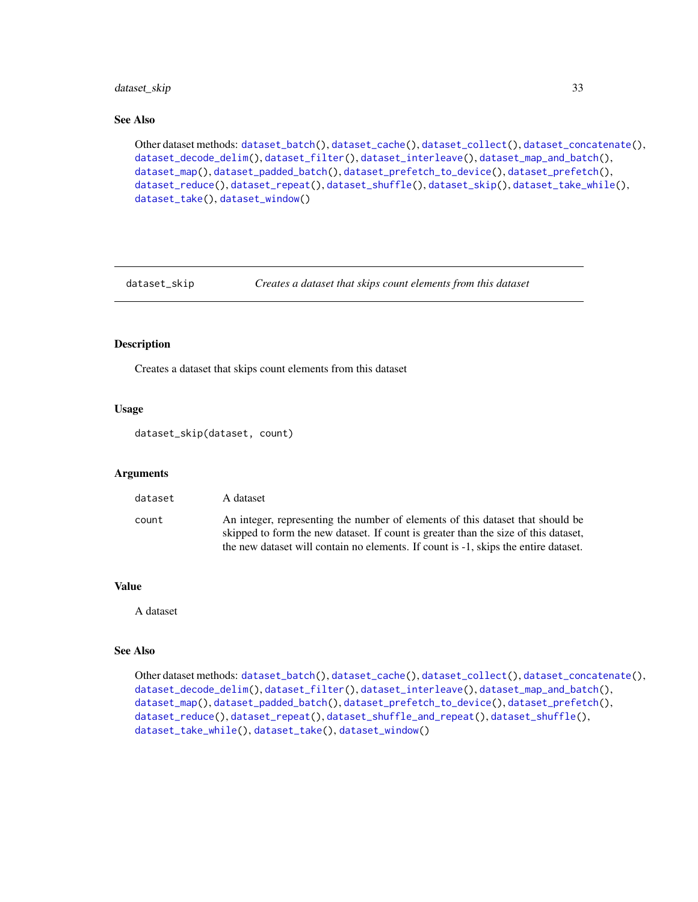# <span id="page-32-0"></span>dataset\_skip 33

# See Also

Other dataset methods: [dataset\\_batch\(](#page-6-1)), [dataset\\_cache\(](#page-9-1)), [dataset\\_collect\(](#page-10-1)), [dataset\\_concatenate\(](#page-11-1)), [dataset\\_decode\\_delim\(](#page-11-2)), [dataset\\_filter\(](#page-13-1)), [dataset\\_interleave\(](#page-16-1)), [dataset\\_map\\_and\\_batch\(](#page-18-1)), [dataset\\_map\(](#page-17-1)), [dataset\\_padded\\_batch\(](#page-20-1)), [dataset\\_prefetch\\_to\\_device\(](#page-23-1)), [dataset\\_prefetch\(](#page-23-2)), [dataset\\_reduce\(](#page-26-1)), [dataset\\_repeat\(](#page-28-1)), [dataset\\_shuffle\(](#page-30-1)), [dataset\\_skip\(](#page-32-1)), [dataset\\_take\\_while\(](#page-35-1)), [dataset\\_take\(](#page-34-1)), [dataset\\_window\(](#page-38-1))

<span id="page-32-1"></span>

dataset\_skip *Creates a dataset that skips count elements from this dataset*

# Description

Creates a dataset that skips count elements from this dataset

#### Usage

dataset\_skip(dataset, count)

#### **Arguments**

| dataset | A dataset                                                                                                                                                             |
|---------|-----------------------------------------------------------------------------------------------------------------------------------------------------------------------|
| count   | An integer, representing the number of elements of this dataset that should be<br>skipped to form the new dataset. If count is greater than the size of this dataset, |
|         | the new dataset will contain no elements. If count is -1, skips the entire dataset.                                                                                   |

#### Value

A dataset

# See Also

```
Other dataset methods: dataset_batch(), dataset_cache(), dataset_collect(), dataset_concatenate(),
dataset_decode_delim(), dataset_filter(), dataset_interleave(), dataset_map_and_batch(),
dataset_map(), dataset_padded_batch(), dataset_prefetch_to_device(), dataset_prefetch(),
dataset_reduce(), dataset_repeat(), dataset_shuffle_and_repeat(), dataset_shuffle(),
dataset_take_while(), dataset_take(), dataset_window()
```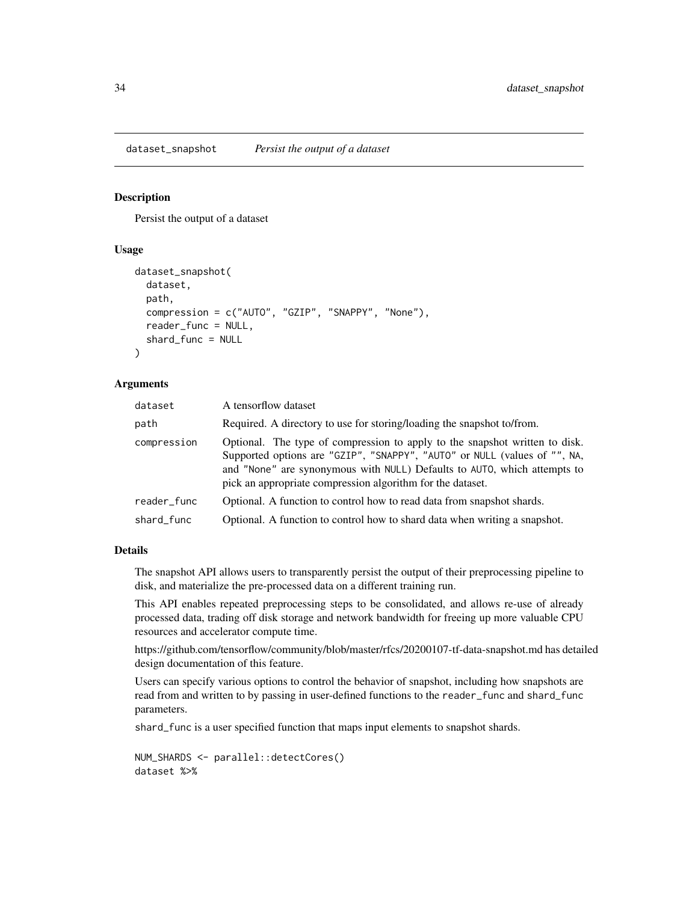#### <span id="page-33-0"></span>Description

Persist the output of a dataset

## Usage

```
dataset_snapshot(
  dataset,
  path,
  compression = c("AUTO", "GZIP", "SNAPPY", "None"),
  reader_func = NULL,
  shard_func = NULL
\lambda
```
#### Arguments

| dataset     | A tensorflow dataset                                                                                                                                                                                                                                                                               |
|-------------|----------------------------------------------------------------------------------------------------------------------------------------------------------------------------------------------------------------------------------------------------------------------------------------------------|
| path        | Required. A directory to use for storing/loading the snapshot to/from.                                                                                                                                                                                                                             |
| compression | Optional. The type of compression to apply to the snapshot written to disk.<br>Supported options are "GZIP", "SNAPPY", "AUTO" or NULL (values of "", NA,<br>and "None" are synonymous with NULL) Defaults to AUTO, which attempts to<br>pick an appropriate compression algorithm for the dataset. |
| reader_func | Optional. A function to control how to read data from snapshot shards.                                                                                                                                                                                                                             |
| shard_func  | Optional. A function to control how to shard data when writing a snapshot.                                                                                                                                                                                                                         |

## Details

The snapshot API allows users to transparently persist the output of their preprocessing pipeline to disk, and materialize the pre-processed data on a different training run.

This API enables repeated preprocessing steps to be consolidated, and allows re-use of already processed data, trading off disk storage and network bandwidth for freeing up more valuable CPU resources and accelerator compute time.

https://github.com/tensorflow/community/blob/master/rfcs/20200107-tf-data-snapshot.md has detailed design documentation of this feature.

Users can specify various options to control the behavior of snapshot, including how snapshots are read from and written to by passing in user-defined functions to the reader\_func and shard\_func parameters.

shard\_func is a user specified function that maps input elements to snapshot shards.

```
NUM_SHARDS <- parallel::detectCores()
dataset %>%
```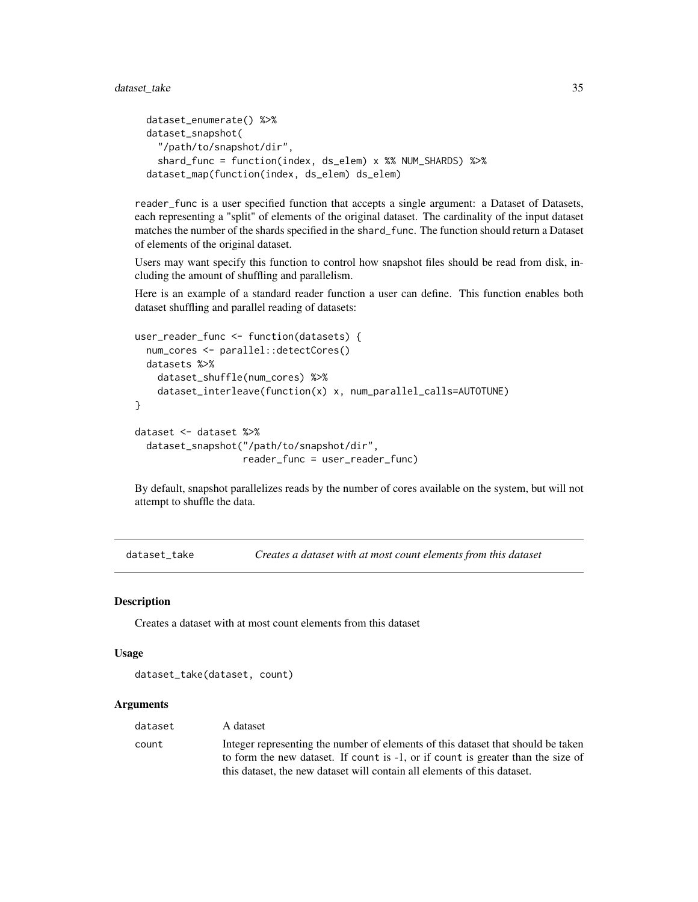```
dataset_enumerate() %>%
dataset_snapshot(
 "/path/to/snapshot/dir",
 shard_func = function(index, ds_elem) x %% NUM_SHARDS) %>%
dataset_map(function(index, ds_elem) ds_elem)
```
reader\_func is a user specified function that accepts a single argument: a Dataset of Datasets, each representing a "split" of elements of the original dataset. The cardinality of the input dataset matches the number of the shards specified in the shard\_func. The function should return a Dataset of elements of the original dataset.

Users may want specify this function to control how snapshot files should be read from disk, including the amount of shuffling and parallelism.

Here is an example of a standard reader function a user can define. This function enables both dataset shuffling and parallel reading of datasets:

```
user_reader_func <- function(datasets) {
 num_cores <- parallel::detectCores()
 datasets %>%
   dataset_shuffle(num_cores) %>%
    dataset_interleave(function(x) x, num_parallel_calls=AUTOTUNE)
}
dataset <- dataset %>%
 dataset_snapshot("/path/to/snapshot/dir",
                   reader_func = user_reader_func)
```
By default, snapshot parallelizes reads by the number of cores available on the system, but will not attempt to shuffle the data.

<span id="page-34-1"></span>dataset\_take *Creates a dataset with at most count elements from this dataset*

## Description

Creates a dataset with at most count elements from this dataset

#### Usage

```
dataset_take(dataset, count)
```
#### Arguments

| dataset | A dataset                                                                                                                                                                                                                                        |
|---------|--------------------------------------------------------------------------------------------------------------------------------------------------------------------------------------------------------------------------------------------------|
| count   | Integer representing the number of elements of this dataset that should be taken<br>to form the new dataset. If count is -1, or if count is greater than the size of<br>this dataset, the new dataset will contain all elements of this dataset. |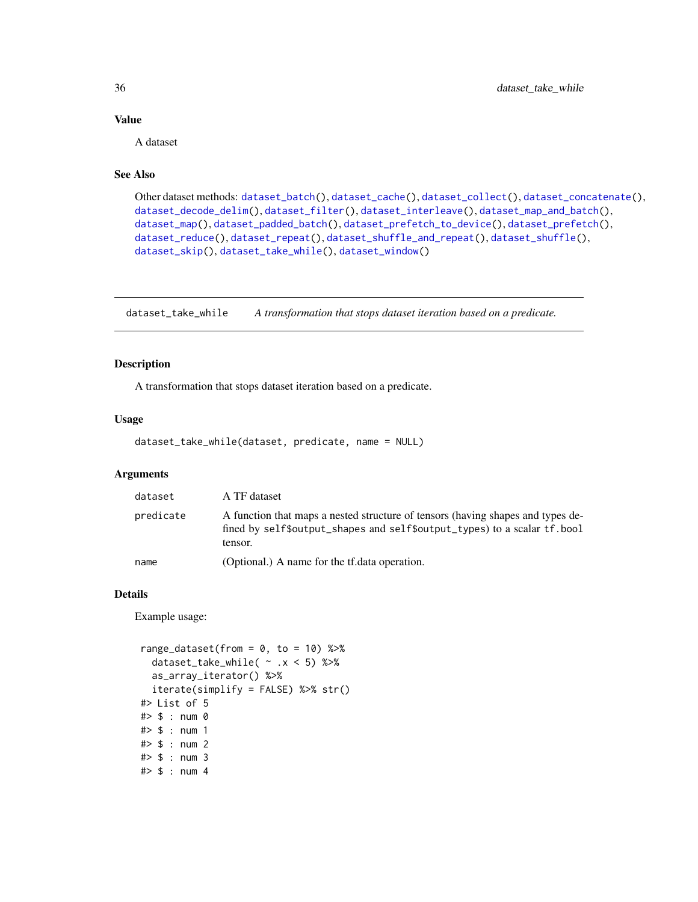## Value

A dataset

# See Also

```
Other dataset methods: dataset_batch(), dataset_cache(), dataset_collect(), dataset_concatenate(),
dataset_decode_delim(), dataset_filter(), dataset_interleave(), dataset_map_and_batch(),
dataset_map(), dataset_padded_batch(), dataset_prefetch_to_device(), dataset_prefetch(),
dataset_reduce(), dataset_repeat(), dataset_shuffle_and_repeat(), dataset_shuffle(),
dataset_skip(), dataset_take_while(), dataset_window()
```
<span id="page-35-1"></span>dataset\_take\_while *A transformation that stops dataset iteration based on a predicate.*

# Description

A transformation that stops dataset iteration based on a predicate.

## Usage

```
dataset_take_while(dataset, predicate, name = NULL)
```
## Arguments

| dataset   | A TF dataset                                                                                                                                                            |
|-----------|-------------------------------------------------------------------------------------------------------------------------------------------------------------------------|
| predicate | A function that maps a nested structure of tensors (having shapes and types de-<br>fined by self\$output_shapes and self\$output_types) to a scalar tf. bool<br>tensor. |
| name      | (Optional.) A name for the tf.data operation.                                                                                                                           |

## Details

Example usage:

```
range_dataset(from = 0, to = 10) %>%
  dataset_take_while( ~ .x < 5) %>%
  as_array_iterator() %>%
  iterate(simplify = FALSE) %>% str()
#> List of 5
#> $ : num 0
#> $ : num 1
#> $ : num 2
#> $ : num 3
#> $ : num 4
```
<span id="page-35-0"></span>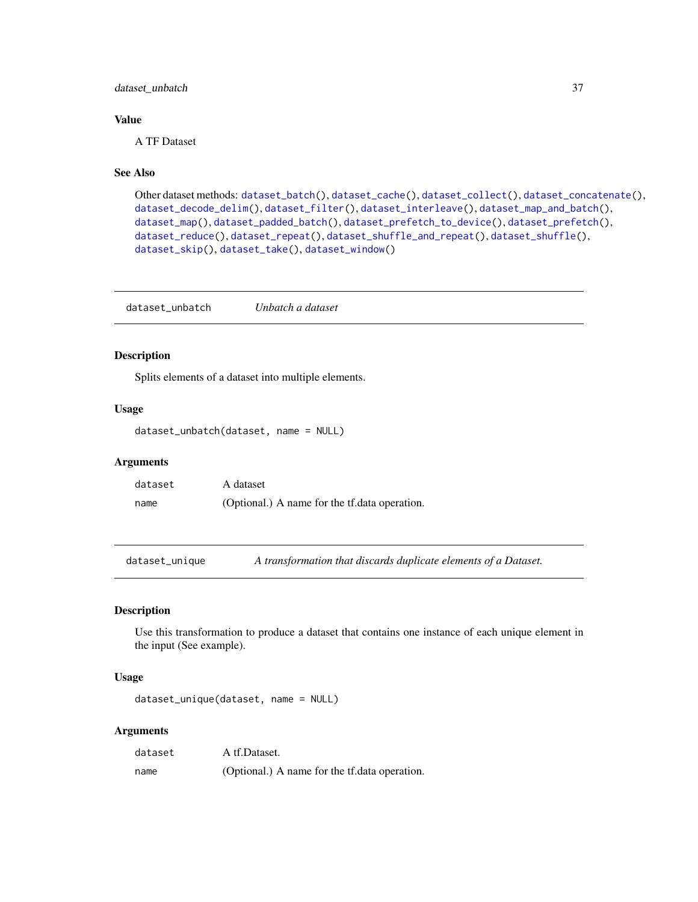## dataset\_unbatch 37

#### Value

A TF Dataset

## See Also

Other dataset methods: [dataset\\_batch\(](#page-6-0)), [dataset\\_cache\(](#page-9-0)), [dataset\\_collect\(](#page-10-0)), [dataset\\_concatenate\(](#page-11-0)), [dataset\\_decode\\_delim\(](#page-11-1)), [dataset\\_filter\(](#page-13-0)), [dataset\\_interleave\(](#page-16-0)), [dataset\\_map\\_and\\_batch\(](#page-18-0)), [dataset\\_map\(](#page-17-0)), [dataset\\_padded\\_batch\(](#page-20-0)), [dataset\\_prefetch\\_to\\_device\(](#page-23-0)), [dataset\\_prefetch\(](#page-23-1)), [dataset\\_reduce\(](#page-26-0)), [dataset\\_repeat\(](#page-28-0)), [dataset\\_shuffle\\_and\\_repeat\(](#page-31-0)), [dataset\\_shuffle\(](#page-30-0)), [dataset\\_skip\(](#page-32-0)), [dataset\\_take\(](#page-34-0)), [dataset\\_window\(](#page-38-0))

dataset\_unbatch *Unbatch a dataset*

## Description

Splits elements of a dataset into multiple elements.

#### Usage

```
dataset_unbatch(dataset, name = NULL)
```
#### Arguments

| dataset | A dataset                                     |
|---------|-----------------------------------------------|
| name    | (Optional.) A name for the tf.data operation. |

dataset\_unique *A transformation that discards duplicate elements of a Dataset.*

## Description

Use this transformation to produce a dataset that contains one instance of each unique element in the input (See example).

#### Usage

```
dataset_unique(dataset, name = NULL)
```
#### Arguments

| dataset | A tf.Dataset.                                 |
|---------|-----------------------------------------------|
| name    | (Optional.) A name for the tf.data operation. |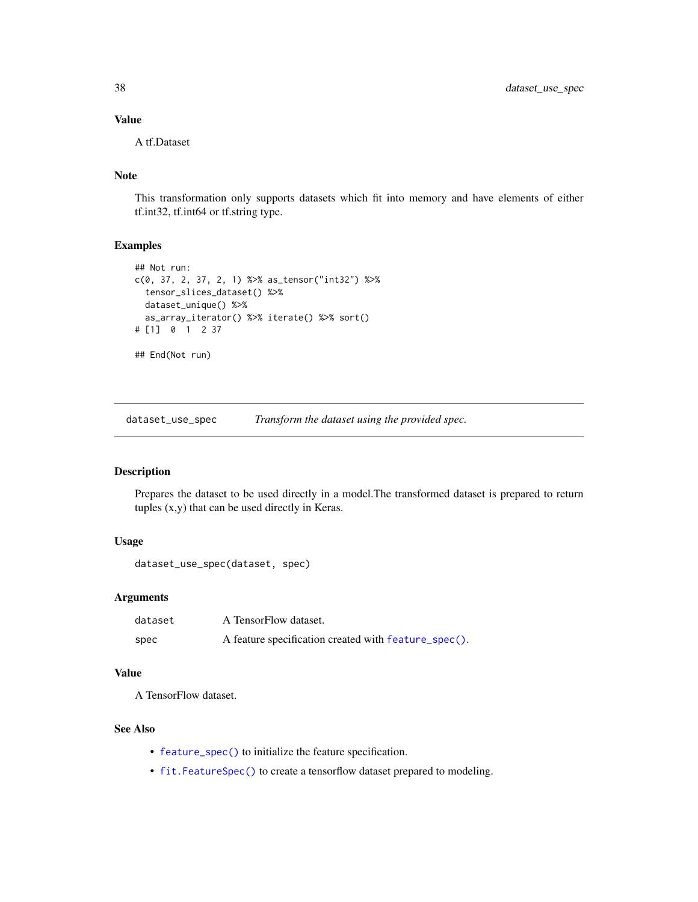## Value

A tf.Dataset

# Note

This transformation only supports datasets which fit into memory and have elements of either tf.int32, tf.int64 or tf.string type.

## Examples

```
## Not run:
c(0, 37, 2, 37, 2, 1) %>% as_tensor("int32") %>%
  tensor_slices_dataset() %>%
  dataset_unique() %>%
  as_array_iterator() %>% iterate() %>% sort()
# [1] 0 1 2 37
## End(Not run)
```
<span id="page-37-0"></span>dataset\_use\_spec *Transform the dataset using the provided spec.*

## Description

Prepares the dataset to be used directly in a model.The transformed dataset is prepared to return tuples (x,y) that can be used directly in Keras.

## Usage

```
dataset_use_spec(dataset, spec)
```
## Arguments

| dataset | A TensorFlow dataset.                                |
|---------|------------------------------------------------------|
| spec    | A feature specification created with feature_spec(). |

## Value

A TensorFlow dataset.

#### See Also

- [feature\\_spec\(\)](#page-41-0) to initialize the feature specification.
- [fit.FeatureSpec\(\)](#page-43-0) to create a tensorflow dataset prepared to modeling.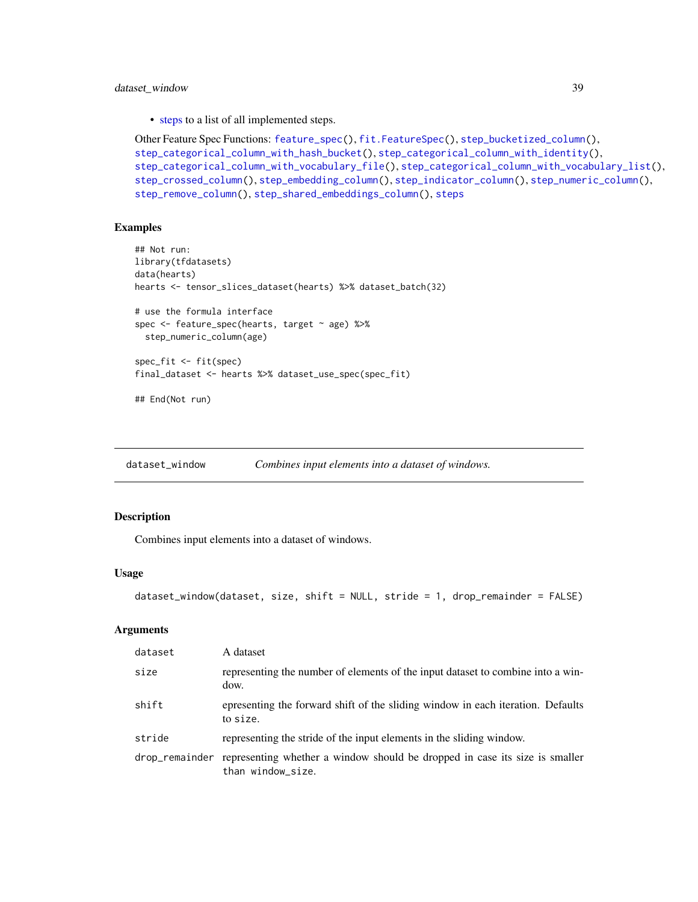#### dataset\_window 39

• [steps](#page-62-0) to a list of all implemented steps.

```
Other Feature Spec Functions: feature_spec(), fit.FeatureSpec(), step_bucketized_column(),
step_categorical_column_with_hash_bucket(), step_categorical_column_with_identity(),
step_categorical_column_with_vocabulary_file(), step_categorical_column_with_vocabulary_list(),
step_crossed_column(), step_embedding_column(), step_indicator_column(), step_numeric_column(),
step_remove_column(), step_shared_embeddings_column(), steps
```
#### Examples

```
## Not run:
library(tfdatasets)
data(hearts)
hearts <- tensor_slices_dataset(hearts) %>% dataset_batch(32)
# use the formula interface
spec <- feature_spec(hearts, target ~ age) %>%
  step_numeric_column(age)
spec_fit <- fit(spec)
final_dataset <- hearts %>% dataset_use_spec(spec_fit)
## End(Not run)
```
<span id="page-38-0"></span>dataset\_window *Combines input elements into a dataset of windows.*

#### Description

Combines input elements into a dataset of windows.

#### Usage

```
dataset_window(dataset, size, shift = NULL, stride = 1, drop_remainder = FALSE)
```
#### Arguments

| dataset        | A dataset                                                                                        |
|----------------|--------------------------------------------------------------------------------------------------|
| size           | representing the number of elements of the input dataset to combine into a win-<br>dow.          |
| shift          | epresenting the forward shift of the sliding window in each iteration. Defaults<br>to size.      |
| stride         | representing the stride of the input elements in the sliding window.                             |
| drop_remainder | representing whether a window should be dropped in case its size is smaller<br>than window_size. |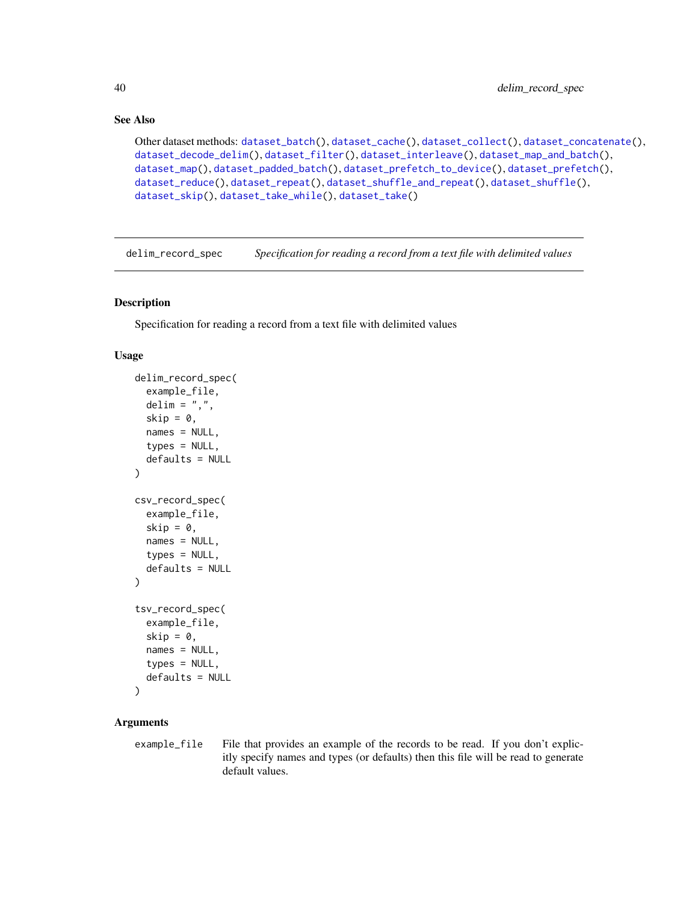## See Also

```
Other dataset methods: dataset_batch(), dataset_cache(), dataset_collect(), dataset_concatenate(),
dataset_decode_delim(), dataset_filter(), dataset_interleave(), dataset_map_and_batch(),
dataset_map(), dataset_padded_batch(), dataset_prefetch_to_device(), dataset_prefetch(),
dataset_reduce(), dataset_repeat(), dataset_shuffle_and_repeat(), dataset_shuffle(),
dataset_skip(), dataset_take_while(), dataset_take()
```
delim\_record\_spec *Specification for reading a record from a text file with delimited values*

#### Description

Specification for reading a record from a text file with delimited values

#### Usage

```
delim_record_spec(
  example_file,
  delim = ",",skip = 0,names = NULL,types = NULL,
  defaults = NULL
\lambdacsv_record_spec(
  example_file,
  skip = 0,names = NULL,types = NULL,
  defaults = NULL
\mathcal{L}tsv_record_spec(
  example_file,
  skip = 0,names = NULL,types = NULL,
  defaults = NULL
\lambda
```
#### Arguments

example\_file File that provides an example of the records to be read. If you don't explicitly specify names and types (or defaults) then this file will be read to generate default values.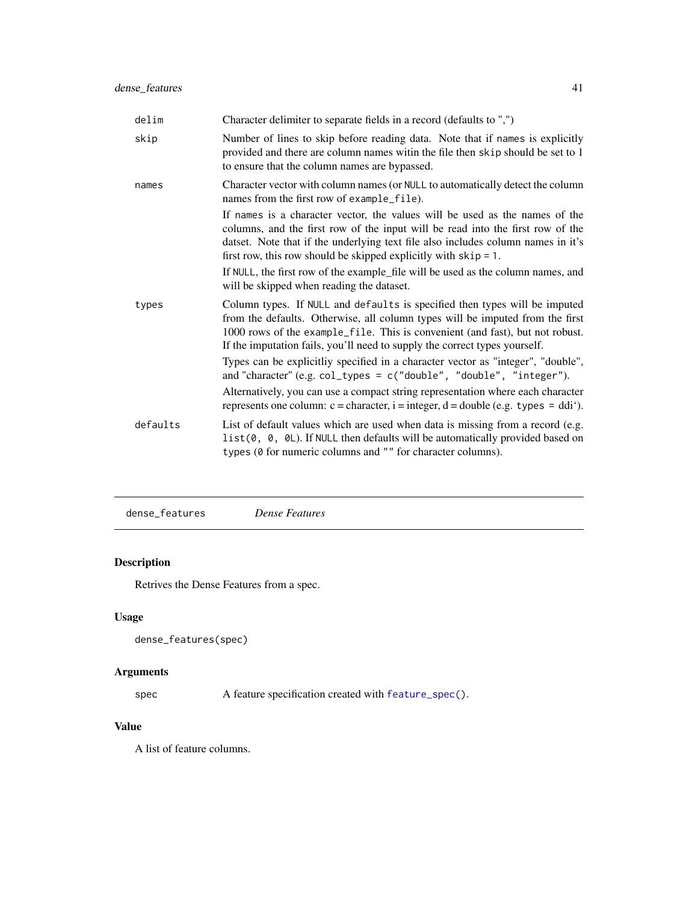| delim    | Character delimiter to separate fields in a record (defaults to ",")                                                                                                                                                                                                                                                       |
|----------|----------------------------------------------------------------------------------------------------------------------------------------------------------------------------------------------------------------------------------------------------------------------------------------------------------------------------|
| skip     | Number of lines to skip before reading data. Note that if names is explicitly<br>provided and there are column names with the file then skip should be set to 1<br>to ensure that the column names are bypassed.                                                                                                           |
| names    | Character vector with column names (or NULL to automatically detect the column<br>names from the first row of example_file).                                                                                                                                                                                               |
|          | If names is a character vector, the values will be used as the names of the<br>columns, and the first row of the input will be read into the first row of the<br>datset. Note that if the underlying text file also includes column names in it's<br>first row, this row should be skipped explicitly with $skip = 1$ .    |
|          | If NULL, the first row of the example_file will be used as the column names, and<br>will be skipped when reading the dataset.                                                                                                                                                                                              |
| types    | Column types. If NULL and defaults is specified then types will be imputed<br>from the defaults. Otherwise, all column types will be imputed from the first<br>1000 rows of the example_file. This is convenient (and fast), but not robust.<br>If the imputation fails, you'll need to supply the correct types yourself. |
|          | Types can be explicitliy specified in a character vector as "integer", "double",<br>and "character" $(e.g. col_typees = c("double", "double", "integer").$                                                                                                                                                                 |
|          | Alternatively, you can use a compact string representation where each character<br>represents one column: $c =$ character, $i =$ integer, $d =$ double (e.g. types = ddi').                                                                                                                                                |
| defaults | List of default values which are used when data is missing from a record (e.g.<br>list(0, 0, 0L). If NULL then defaults will be automatically provided based on<br>types (0 for numeric columns and "" for character columns).                                                                                             |

dense\_features *Dense Features*

# Description

Retrives the Dense Features from a spec.

## Usage

dense\_features(spec)

# Arguments

spec A feature specification created with [feature\\_spec\(\)](#page-41-0).

# Value

A list of feature columns.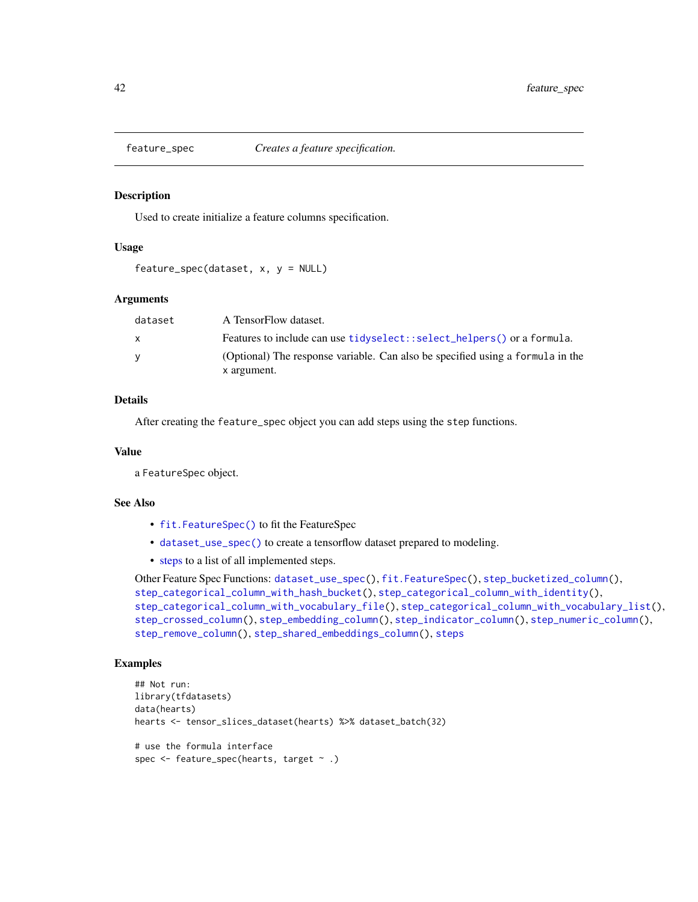<span id="page-41-0"></span>

#### Description

Used to create initialize a feature columns specification.

#### Usage

```
feature_spec(dataset, x, y = NULL)
```
#### Arguments

| dataset | A TensorFlow dataset.                                                          |
|---------|--------------------------------------------------------------------------------|
| X       | Features to include can use tidyselect: : select_helpers() or a formula.       |
| v       | (Optional) The response variable. Can also be specified using a formula in the |
|         | x argument.                                                                    |

## Details

After creating the feature\_spec object you can add steps using the step functions.

#### Value

a FeatureSpec object.

#### See Also

- [fit.FeatureSpec\(\)](#page-43-0) to fit the FeatureSpec
- [dataset\\_use\\_spec\(\)](#page-37-0) to create a tensorflow dataset prepared to modeling.
- [steps](#page-62-0) to a list of all implemented steps.

```
Other Feature Spec Functions: dataset_use_spec(), fit.FeatureSpec(), step_bucketized_column(),
step_categorical_column_with_hash_bucket(), step_categorical_column_with_identity(),
step_categorical_column_with_vocabulary_file(), step_categorical_column_with_vocabulary_list(),
step_crossed_column(), step_embedding_column(), step_indicator_column(), step_numeric_column(),
step_remove_column(), step_shared_embeddings_column(), steps
```
### Examples

```
## Not run:
library(tfdatasets)
data(hearts)
hearts <- tensor_slices_dataset(hearts) %>% dataset_batch(32)
# use the formula interface
spec <- feature_spec(hearts, target ~ .)
```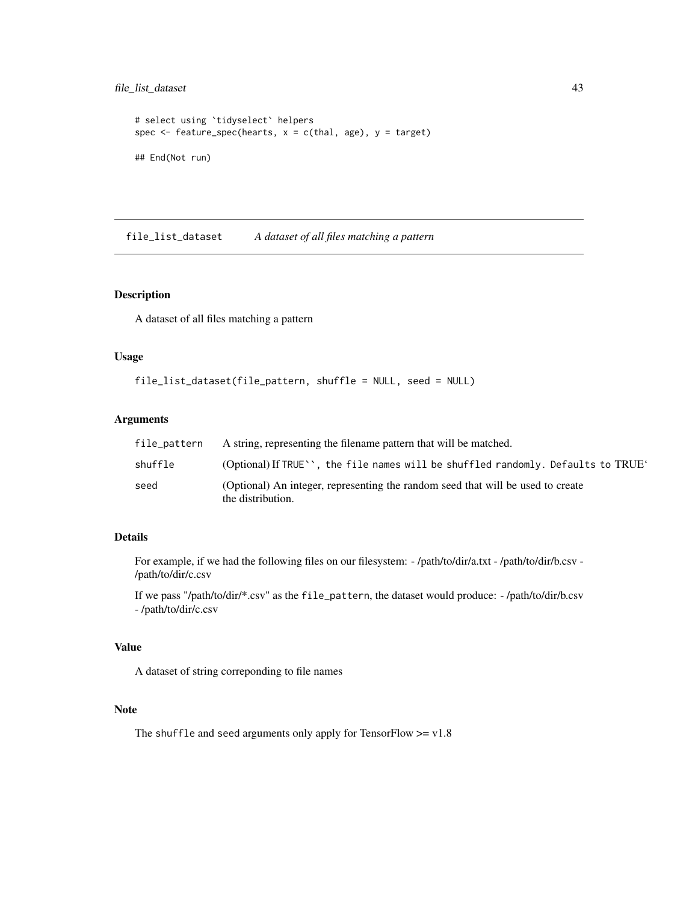## file\_list\_dataset 43

```
# select using `tidyselect` helpers
spec \leq feature_spec(hearts, x = c(thal, age), y = target)
## End(Not run)
```
file\_list\_dataset *A dataset of all files matching a pattern*

## Description

A dataset of all files matching a pattern

## Usage

```
file_list_dataset(file_pattern, shuffle = NULL, seed = NULL)
```
## Arguments

| file_pattern | A string, representing the filename pattern that will be matched.                                    |
|--------------|------------------------------------------------------------------------------------------------------|
| shuffle      | (Optional) If TRUE $\cdot$ , the file names will be shuffled randomly. Defaults to TRUE $\cdot$      |
| seed         | (Optional) An integer, representing the random seed that will be used to create<br>the distribution. |

## Details

For example, if we had the following files on our filesystem: - /path/to/dir/a.txt - /path/to/dir/b.csv - /path/to/dir/c.csv

If we pass "/path/to/dir/\*.csv" as the file\_pattern, the dataset would produce: - /path/to/dir/b.csv - /path/to/dir/c.csv

## Value

A dataset of string correponding to file names

#### Note

The shuffle and seed arguments only apply for TensorFlow  $>= v1.8$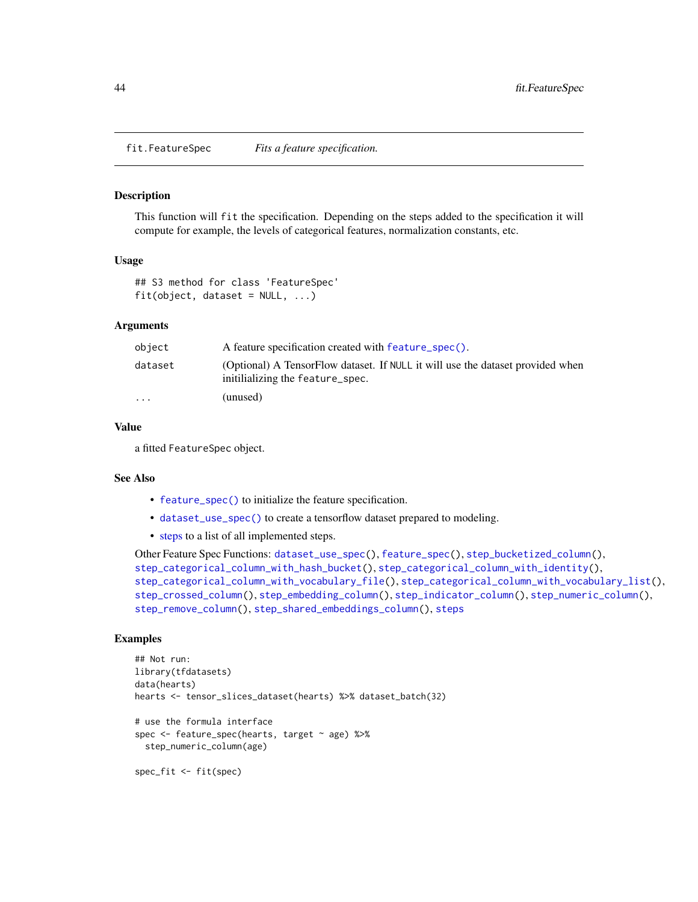<span id="page-43-0"></span>fit.FeatureSpec *Fits a feature specification.*

#### Description

This function will fit the specification. Depending on the steps added to the specification it will compute for example, the levels of categorical features, normalization constants, etc.

#### Usage

```
## S3 method for class 'FeatureSpec'
fit(object, dataset = NULL, ...)
```
#### Arguments

| object                  | A feature specification created with feature_spec().                                                               |
|-------------------------|--------------------------------------------------------------------------------------------------------------------|
| dataset                 | (Optional) A TensorFlow dataset. If NULL it will use the dataset provided when<br>initilializing the feature_spec. |
| $\cdot$ $\cdot$ $\cdot$ | (unused)                                                                                                           |

#### Value

a fitted FeatureSpec object.

#### See Also

- [feature\\_spec\(\)](#page-41-0) to initialize the feature specification.
- [dataset\\_use\\_spec\(\)](#page-37-0) to create a tensorflow dataset prepared to modeling.
- [steps](#page-62-0) to a list of all implemented steps.

```
Other Feature Spec Functions: dataset_use_spec(), feature_spec(), step_bucketized_column(),
step_categorical_column_with_hash_bucket(), step_categorical_column_with_identity(),
step_categorical_column_with_vocabulary_file(), step_categorical_column_with_vocabulary_list(),
step_crossed_column(), step_embedding_column(), step_indicator_column(), step_numeric_column(),
step_remove_column(), step_shared_embeddings_column(), steps
```
## Examples

```
## Not run:
library(tfdatasets)
data(hearts)
hearts <- tensor_slices_dataset(hearts) %>% dataset_batch(32)
# use the formula interface
spec <- feature_spec(hearts, target ~ age) %>%
  step_numeric_column(age)
spec_fit <- fit(spec)
```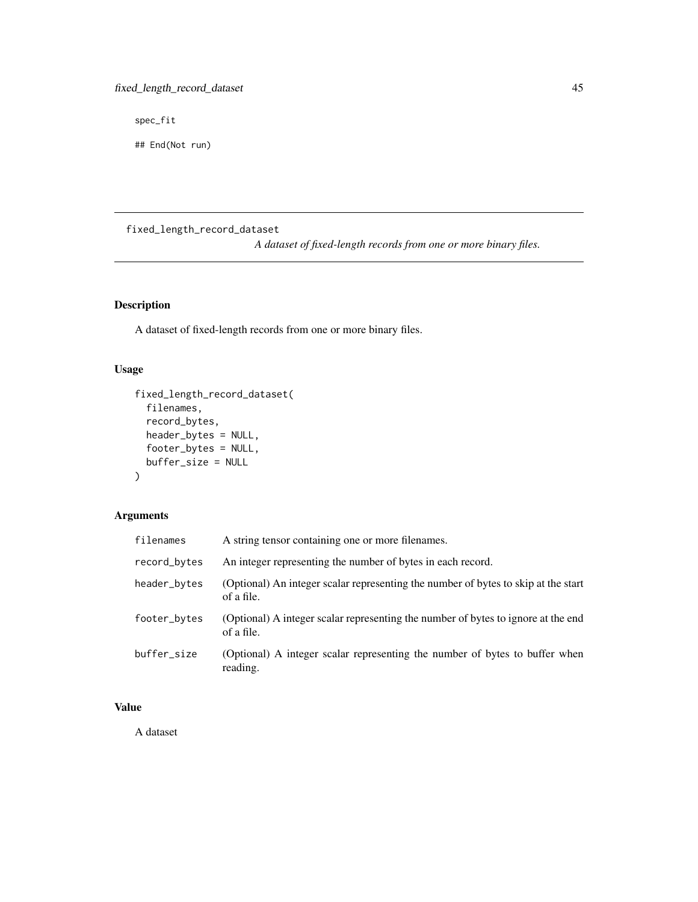spec\_fit

## End(Not run)

fixed\_length\_record\_dataset

*A dataset of fixed-length records from one or more binary files.*

## Description

A dataset of fixed-length records from one or more binary files.

# Usage

```
fixed_length_record_dataset(
  filenames,
  record_bytes,
 header_bytes = NULL,
  footer_bytes = NULL,
 buffer_size = NULL
)
```
# Arguments

| filenames    | A string tensor containing one or more filenames.                                                |
|--------------|--------------------------------------------------------------------------------------------------|
| record_bytes | An integer representing the number of bytes in each record.                                      |
| header_bytes | (Optional) An integer scalar representing the number of bytes to skip at the start<br>of a file. |
| footer_bytes | (Optional) A integer scalar representing the number of bytes to ignore at the end<br>of a file.  |
| buffer_size  | (Optional) A integer scalar representing the number of bytes to buffer when<br>reading.          |

## Value

A dataset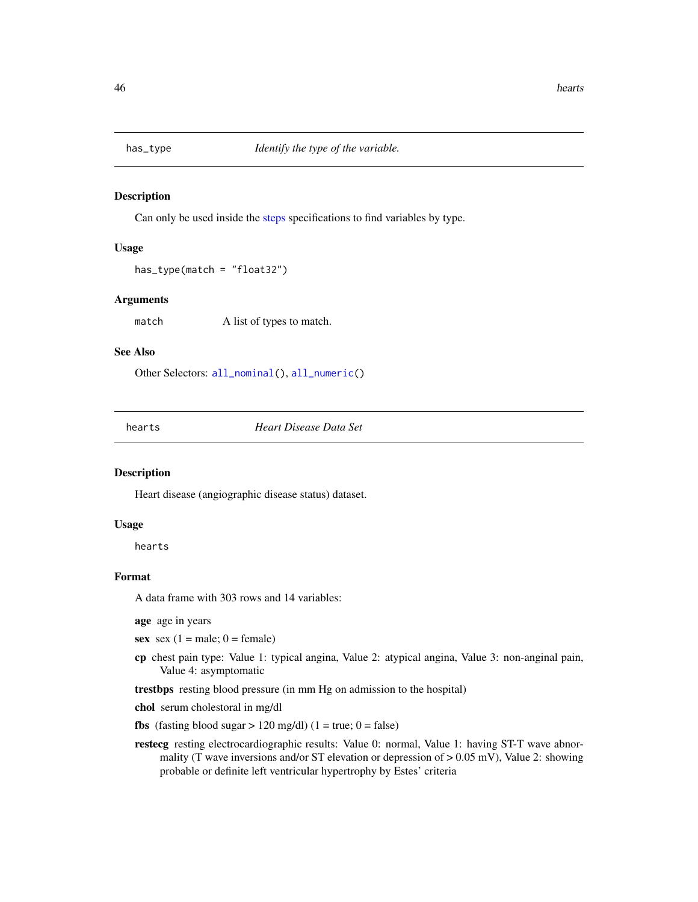<span id="page-45-0"></span>

#### Description

Can only be used inside the [steps](#page-62-0) specifications to find variables by type.

#### Usage

has\_type(match = "float32")

## Arguments

match A list of types to match.

#### See Also

Other Selectors: [all\\_nominal\(](#page-3-0)), [all\\_numeric\(](#page-3-1))

hearts *Heart Disease Data Set*

#### Description

Heart disease (angiographic disease status) dataset.

#### Usage

hearts

## Format

A data frame with 303 rows and 14 variables:

age age in years

sex sex  $(1 = male; 0 = female)$ 

- cp chest pain type: Value 1: typical angina, Value 2: atypical angina, Value 3: non-anginal pain, Value 4: asymptomatic
- trestbps resting blood pressure (in mm Hg on admission to the hospital)

chol serum cholestoral in mg/dl

- fbs (fasting blood sugar  $> 120$  mg/dl) (1 = true; 0 = false)
- restecg resting electrocardiographic results: Value 0: normal, Value 1: having ST-T wave abnormality (T wave inversions and/or ST elevation or depression of  $> 0.05$  mV), Value 2: showing probable or definite left ventricular hypertrophy by Estes' criteria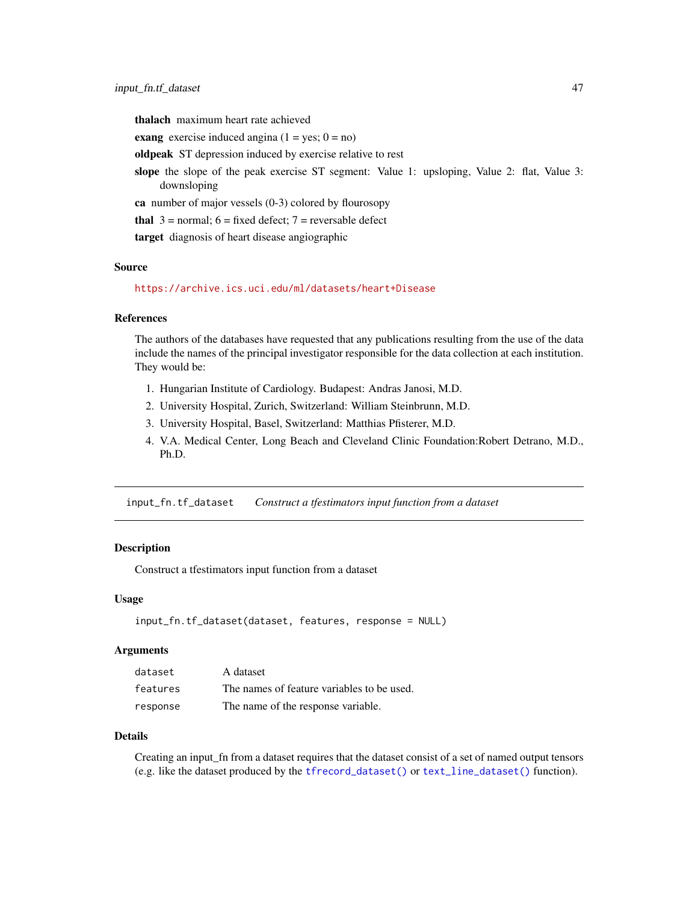thalach maximum heart rate achieved

exang exercise induced angina  $(1 = yes; 0 = no)$ 

oldpeak ST depression induced by exercise relative to rest

slope the slope of the peak exercise ST segment: Value 1: upsloping, Value 2: flat, Value 3: downsloping

ca number of major vessels  $(0-3)$  colored by flourosopy

thal  $3 =$  normal;  $6 =$  fixed defect;  $7 =$  reversable defect

target diagnosis of heart disease angiographic

#### Source

<https://archive.ics.uci.edu/ml/datasets/heart+Disease>

#### References

The authors of the databases have requested that any publications resulting from the use of the data include the names of the principal investigator responsible for the data collection at each institution. They would be:

- 1. Hungarian Institute of Cardiology. Budapest: Andras Janosi, M.D.
- 2. University Hospital, Zurich, Switzerland: William Steinbrunn, M.D.
- 3. University Hospital, Basel, Switzerland: Matthias Pfisterer, M.D.
- 4. V.A. Medical Center, Long Beach and Cleveland Clinic Foundation:Robert Detrano, M.D., Ph.D.

input\_fn.tf\_dataset *Construct a tfestimators input function from a dataset*

#### **Description**

Construct a tfestimators input function from a dataset

## Usage

```
input_fn.tf_dataset(dataset, features, response = NULL)
```
#### Arguments

| dataset  | A dataset                                  |
|----------|--------------------------------------------|
| features | The names of feature variables to be used. |
| response | The name of the response variable.         |

#### Details

Creating an input\_fn from a dataset requires that the dataset consist of a set of named output tensors (e.g. like the dataset produced by the [tfrecord\\_dataset\(\)](#page-78-0) or [text\\_line\\_dataset\(\)](#page-78-1) function).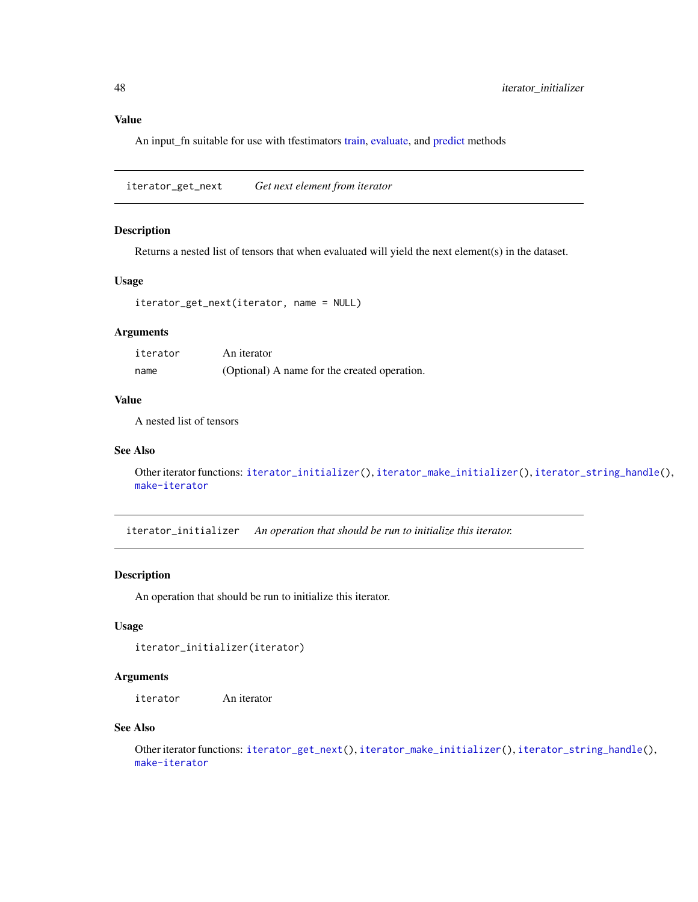## Value

An input\_fn suitable for use with tfestimators [train,](#page-0-0) [evaluate,](#page-0-0) and [predict](#page-0-0) methods

<span id="page-47-1"></span>iterator\_get\_next *Get next element from iterator*

## Description

Returns a nested list of tensors that when evaluated will yield the next element(s) in the dataset.

## Usage

```
iterator_get_next(iterator, name = NULL)
```
## Arguments

| iterator | An iterator                                  |
|----------|----------------------------------------------|
| name     | (Optional) A name for the created operation. |

## Value

A nested list of tensors

#### See Also

```
Other iterator functions: iterator_initializer(), iterator_make_initializer(), iterator_string_handle(),
make-iterator
```
<span id="page-47-0"></span>iterator\_initializer *An operation that should be run to initialize this iterator.*

## Description

An operation that should be run to initialize this iterator.

## Usage

```
iterator_initializer(iterator)
```
## Arguments

iterator An iterator

## See Also

Other iterator functions: [iterator\\_get\\_next\(](#page-47-1)), [iterator\\_make\\_initializer\(](#page-48-0)), [iterator\\_string\\_handle\(](#page-48-1)), [make-iterator](#page-50-0)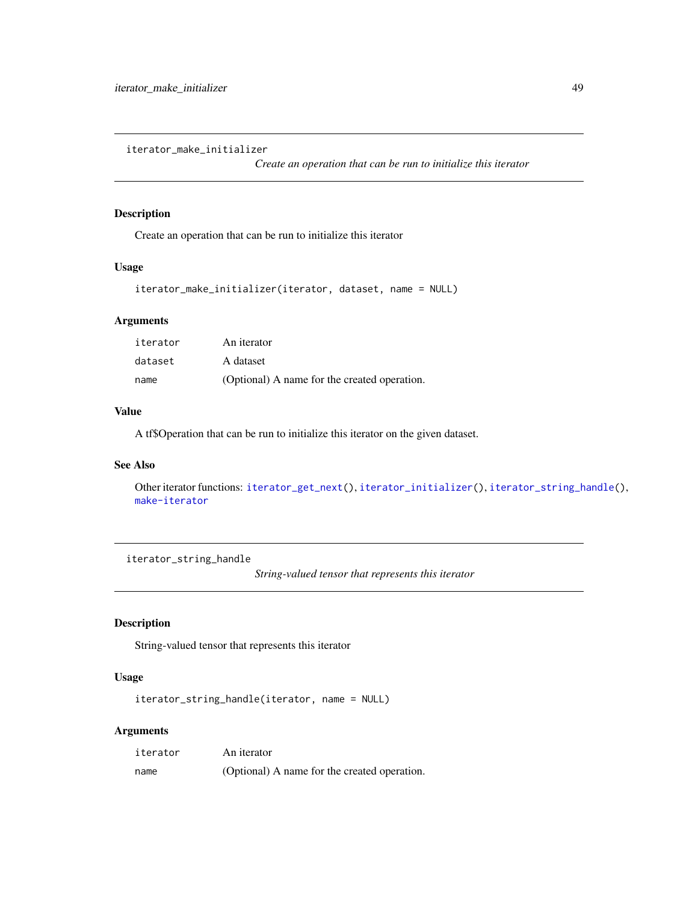<span id="page-48-0"></span>iterator\_make\_initializer

*Create an operation that can be run to initialize this iterator*

## Description

Create an operation that can be run to initialize this iterator

#### Usage

```
iterator_make_initializer(iterator, dataset, name = NULL)
```
## Arguments

| iterator | An iterator                                  |
|----------|----------------------------------------------|
| dataset  | A dataset                                    |
| name     | (Optional) A name for the created operation. |

#### Value

A tf\$Operation that can be run to initialize this iterator on the given dataset.

## See Also

Other iterator functions: [iterator\\_get\\_next\(](#page-47-1)), [iterator\\_initializer\(](#page-47-0)), [iterator\\_string\\_handle\(](#page-48-1)), [make-iterator](#page-50-0)

<span id="page-48-1"></span>iterator\_string\_handle

*String-valued tensor that represents this iterator*

## Description

String-valued tensor that represents this iterator

## Usage

iterator\_string\_handle(iterator, name = NULL)

#### Arguments

| iterator | An iterator                                  |
|----------|----------------------------------------------|
| name     | (Optional) A name for the created operation. |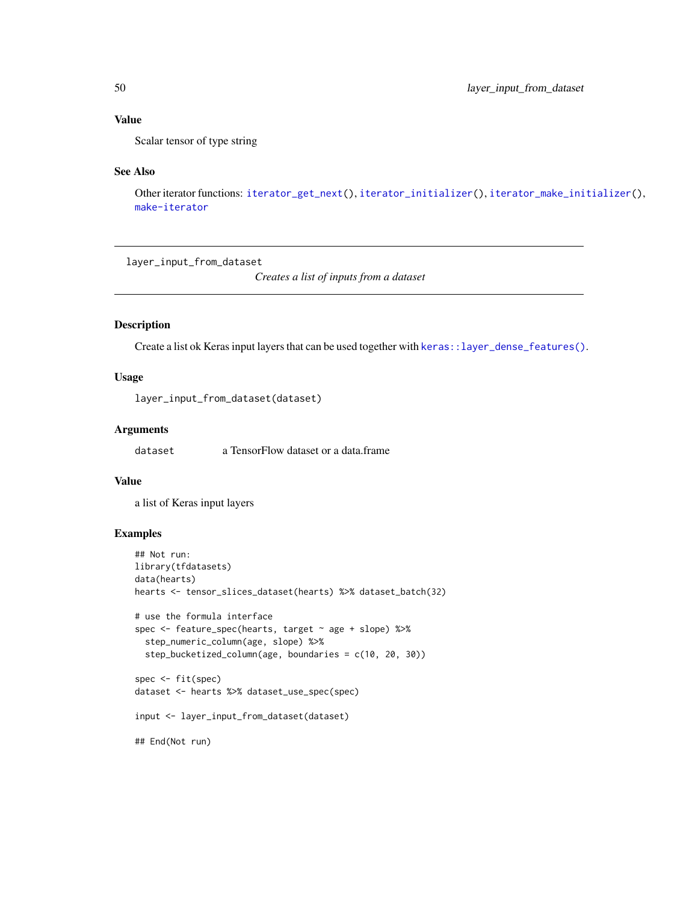## Value

Scalar tensor of type string

#### See Also

Other iterator functions: [iterator\\_get\\_next\(](#page-47-1)), [iterator\\_initializer\(](#page-47-0)), [iterator\\_make\\_initializer\(](#page-48-0)), [make-iterator](#page-50-0)

layer\_input\_from\_dataset

*Creates a list of inputs from a dataset*

## Description

Create a list ok Keras input layers that can be used together with [keras::layer\\_dense\\_features\(\)](#page-0-0).

# Usage

layer\_input\_from\_dataset(dataset)

#### Arguments

dataset **a** TensorFlow dataset or a data.frame

## Value

a list of Keras input layers

## Examples

```
## Not run:
library(tfdatasets)
data(hearts)
hearts <- tensor_slices_dataset(hearts) %>% dataset_batch(32)
# use the formula interface
spec <- feature_spec(hearts, target ~ age + slope) %>%
  step_numeric_column(age, slope) %>%
  step_bucketized_column(age, boundaries = c(10, 20, 30))
spec <- fit(spec)
dataset <- hearts %>% dataset_use_spec(spec)
input <- layer_input_from_dataset(dataset)
## End(Not run)
```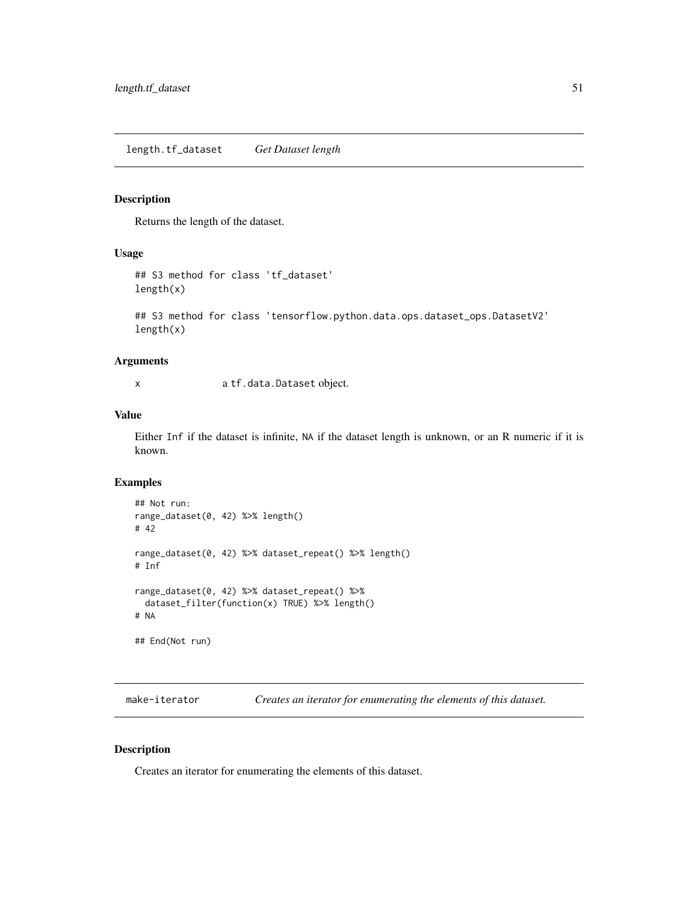length.tf\_dataset *Get Dataset length*

## Description

Returns the length of the dataset.

## Usage

```
## S3 method for class 'tf_dataset'
length(x)
```
## S3 method for class 'tensorflow.python.data.ops.dataset\_ops.DatasetV2' length(x)

#### Arguments

x a tf.data.Dataset object.

#### Value

Either Inf if the dataset is infinite, NA if the dataset length is unknown, or an R numeric if it is known.

## Examples

```
## Not run:
range_dataset(0, 42) %>% length()
# 42
range_dataset(0, 42) %>% dataset_repeat() %>% length()
# Inf
range_dataset(0, 42) %>% dataset_repeat() %>%
 dataset_filter(function(x) TRUE) %>% length()
# NA
## End(Not run)
```
<span id="page-50-0"></span>make-iterator *Creates an iterator for enumerating the elements of this dataset.*

## Description

Creates an iterator for enumerating the elements of this dataset.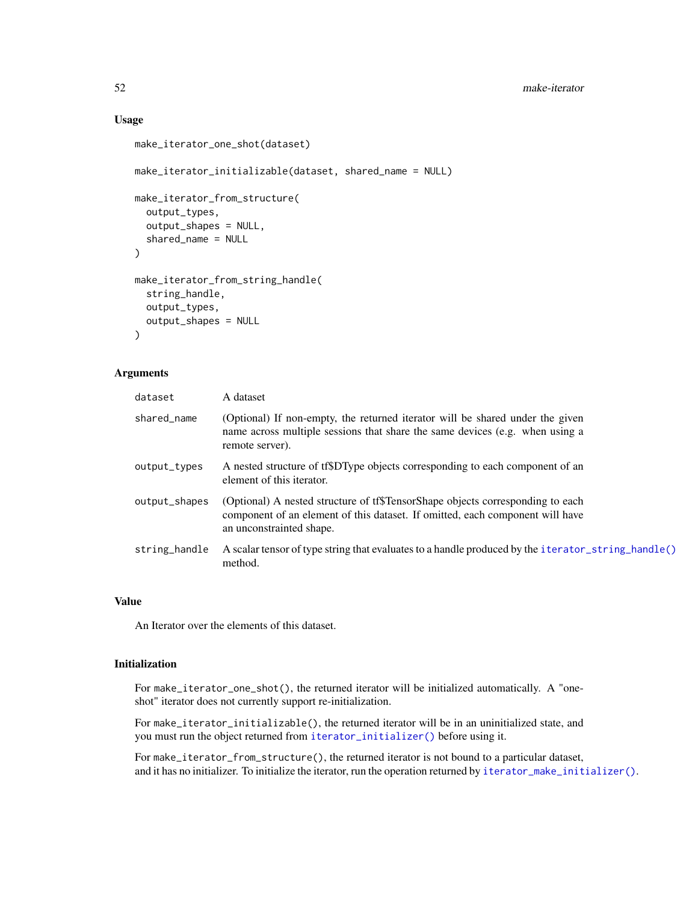#### 52 make-iterator

## Usage

```
make_iterator_one_shot(dataset)
make_iterator_initializable(dataset, shared_name = NULL)
make_iterator_from_structure(
  output_types,
 output_shapes = NULL,
  shared_name = NULL
\lambdamake_iterator_from_string_handle(
  string_handle,
 output_types,
 output_shapes = NULL
\lambda
```
## Arguments

| dataset       | A dataset                                                                                                                                                                                   |
|---------------|---------------------------------------------------------------------------------------------------------------------------------------------------------------------------------------------|
| shared_name   | (Optional) If non-empty, the returned iterator will be shared under the given<br>name across multiple sessions that share the same devices (e.g. when using a<br>remote server).            |
| output_types  | A nested structure of tf\$DType objects corresponding to each component of an<br>element of this iterator.                                                                                  |
| output_shapes | (Optional) A nested structure of tf\$TensorShape objects corresponding to each<br>component of an element of this dataset. If omitted, each component will have<br>an unconstrainted shape. |
| string_handle | A scalar tensor of type string that evaluates to a handle produced by the iterator_string_handle()<br>method.                                                                               |

## Value

An Iterator over the elements of this dataset.

#### Initialization

For make\_iterator\_one\_shot(), the returned iterator will be initialized automatically. A "oneshot" iterator does not currently support re-initialization.

For make\_iterator\_initializable(), the returned iterator will be in an uninitialized state, and you must run the object returned from [iterator\\_initializer\(\)](#page-47-0) before using it.

For make\_iterator\_from\_structure(), the returned iterator is not bound to a particular dataset, and it has no initializer. To initialize the iterator, run the operation returned by [iterator\\_make\\_initializer\(\)](#page-48-0).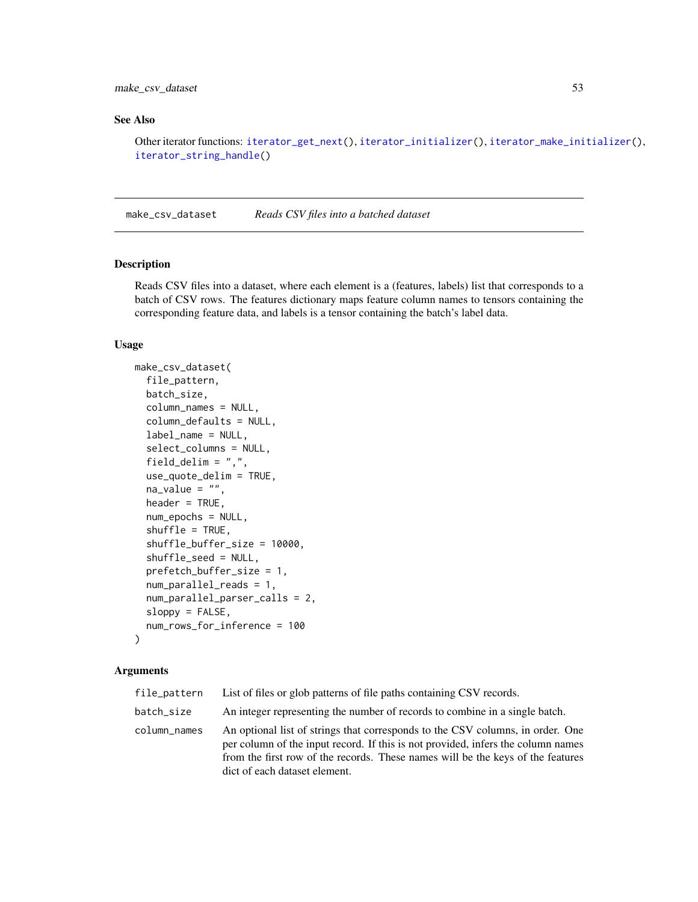## make\_csv\_dataset 53

## See Also

Other iterator functions: [iterator\\_get\\_next\(](#page-47-1)), [iterator\\_initializer\(](#page-47-0)), [iterator\\_make\\_initializer\(](#page-48-0)), [iterator\\_string\\_handle\(](#page-48-1))

make\_csv\_dataset *Reads CSV files into a batched dataset*

#### Description

Reads CSV files into a dataset, where each element is a (features, labels) list that corresponds to a batch of CSV rows. The features dictionary maps feature column names to tensors containing the corresponding feature data, and labels is a tensor containing the batch's label data.

#### Usage

```
make_csv_dataset(
  file_pattern,
 batch_size,
  column_names = NULL,
  column_defaults = NULL,
  label_name = NULL,
  select_columns = NULL,
  field_delim = ",",
  use_quote_delim = TRUE,
  na_value = "",header = TRUE,
  num_epochs = NULL,
  shuffle = TRUE,shuffle_buffer_size = 10000,
  shuffle_seed = NULL,
  prefetch_buffer_size = 1,
  num_parallel_reads = 1,
  num_parallel_parser_calls = 2,
  sloppy = FALSE,
  num_rows_for_inference = 100
)
```
#### Arguments

| file_pattern | List of files or glob patterns of file paths containing CSV records.                                                                                                                                                                                                                   |
|--------------|----------------------------------------------------------------------------------------------------------------------------------------------------------------------------------------------------------------------------------------------------------------------------------------|
| batch_size   | An integer representing the number of records to combine in a single batch.                                                                                                                                                                                                            |
| column_names | An optional list of strings that corresponds to the CSV columns, in order. One<br>per column of the input record. If this is not provided, infers the column names<br>from the first row of the records. These names will be the keys of the features<br>dict of each dataset element. |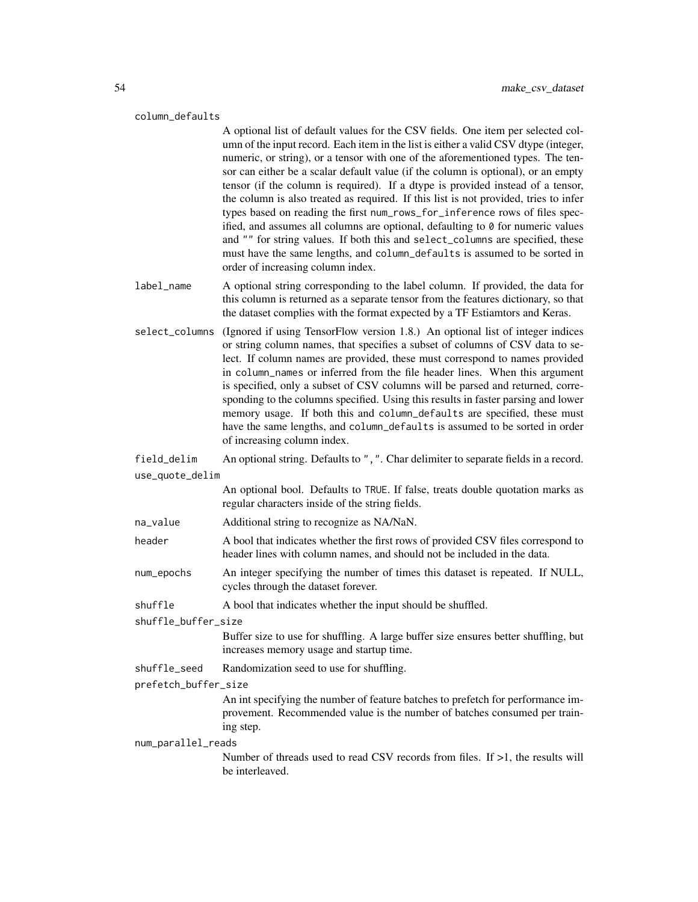#### column\_defaults

A optional list of default values for the CSV fields. One item per selected column of the input record. Each item in the list is either a valid CSV dtype (integer, numeric, or string), or a tensor with one of the aforementioned types. The tensor can either be a scalar default value (if the column is optional), or an empty tensor (if the column is required). If a dtype is provided instead of a tensor, the column is also treated as required. If this list is not provided, tries to infer types based on reading the first num\_rows\_for\_inference rows of files specified, and assumes all columns are optional, defaulting to  $\theta$  for numeric values and "" for string values. If both this and select\_columns are specified, these must have the same lengths, and column\_defaults is assumed to be sorted in order of increasing column index.

- label\_name A optional string corresponding to the label column. If provided, the data for this column is returned as a separate tensor from the features dictionary, so that the dataset complies with the format expected by a TF Estiamtors and Keras.
- select\_columns (Ignored if using TensorFlow version 1.8.) An optional list of integer indices or string column names, that specifies a subset of columns of CSV data to select. If column names are provided, these must correspond to names provided in column\_names or inferred from the file header lines. When this argument is specified, only a subset of CSV columns will be parsed and returned, corresponding to the columns specified. Using this results in faster parsing and lower memory usage. If both this and column\_defaults are specified, these must have the same lengths, and column\_defaults is assumed to be sorted in order of increasing column index.

field\_delim An optional string. Defaults to ",". Char delimiter to separate fields in a record. use\_quote\_delim

> An optional bool. Defaults to TRUE. If false, treats double quotation marks as regular characters inside of the string fields.

- na\_value Additional string to recognize as NA/NaN.
- header A bool that indicates whether the first rows of provided CSV files correspond to header lines with column names, and should not be included in the data.
- num\_epochs An integer specifying the number of times this dataset is repeated. If NULL, cycles through the dataset forever.
- shuffle A bool that indicates whether the input should be shuffled.

shuffle\_buffer\_size

Buffer size to use for shuffling. A large buffer size ensures better shuffling, but increases memory usage and startup time.

shuffle\_seed Randomization seed to use for shuffling.

prefetch\_buffer\_size

An int specifying the number of feature batches to prefetch for performance improvement. Recommended value is the number of batches consumed per training step.

#### num\_parallel\_reads

Number of threads used to read CSV records from files. If  $>1$ , the results will be interleaved.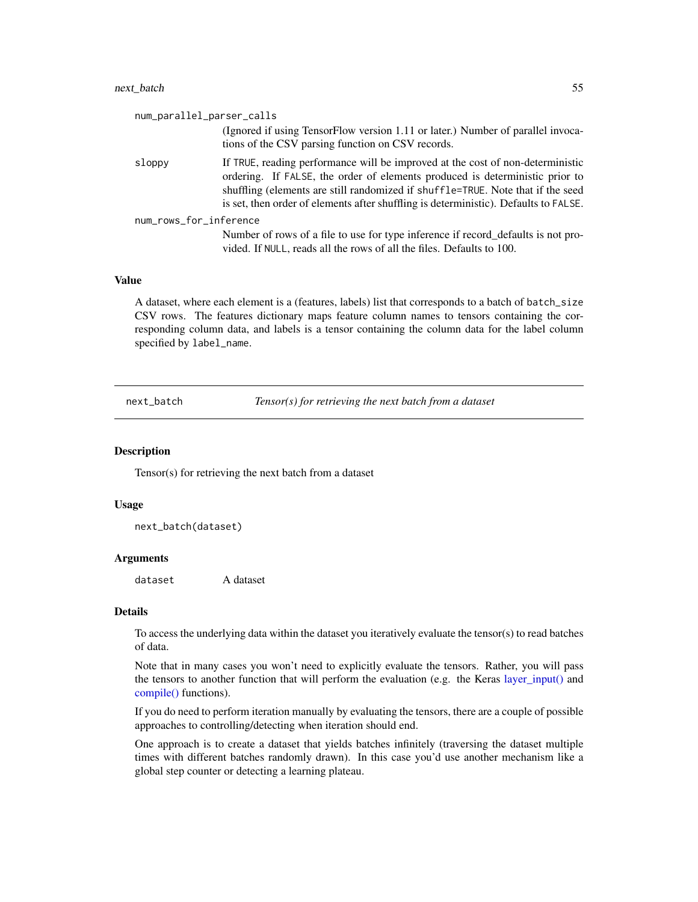#### next\_batch 55

| num_parallel_parser_calls                                                                                                                                                                                                                                                                                                                 |
|-------------------------------------------------------------------------------------------------------------------------------------------------------------------------------------------------------------------------------------------------------------------------------------------------------------------------------------------|
| (Ignored if using TensorFlow version 1.11 or later.) Number of parallel invoca-<br>tions of the CSV parsing function on CSV records.                                                                                                                                                                                                      |
| If TRUE, reading performance will be improved at the cost of non-deterministic<br>ordering. If FALSE, the order of elements produced is deterministic prior to<br>shuffling (elements are still randomized if shuffle=TRUE. Note that if the seed<br>is set, then order of elements after shuffling is deterministic). Defaults to FALSE. |
| num_rows_for_inference                                                                                                                                                                                                                                                                                                                    |
| Number of rows of a file to use for type inference if record_defaults is not pro-<br>vided. If NULL, reads all the rows of all the files. Defaults to 100.                                                                                                                                                                                |
|                                                                                                                                                                                                                                                                                                                                           |

#### Value

A dataset, where each element is a (features, labels) list that corresponds to a batch of batch\_size CSV rows. The features dictionary maps feature column names to tensors containing the corresponding column data, and labels is a tensor containing the column data for the label column specified by label\_name.

next\_batch *Tensor(s) for retrieving the next batch from a dataset*

## **Description**

Tensor(s) for retrieving the next batch from a dataset

#### Usage

next\_batch(dataset)

#### Arguments

dataset A dataset

#### Details

To access the underlying data within the dataset you iteratively evaluate the tensor(s) to read batches of data.

Note that in many cases you won't need to explicitly evaluate the tensors. Rather, you will pass the tensors to another function that will perform the evaluation (e.g. the Keras [layer\\_input\(\)](#page-0-0) and [compile\(\)](#page-0-0) functions).

If you do need to perform iteration manually by evaluating the tensors, there are a couple of possible approaches to controlling/detecting when iteration should end.

One approach is to create a dataset that yields batches infinitely (traversing the dataset multiple times with different batches randomly drawn). In this case you'd use another mechanism like a global step counter or detecting a learning plateau.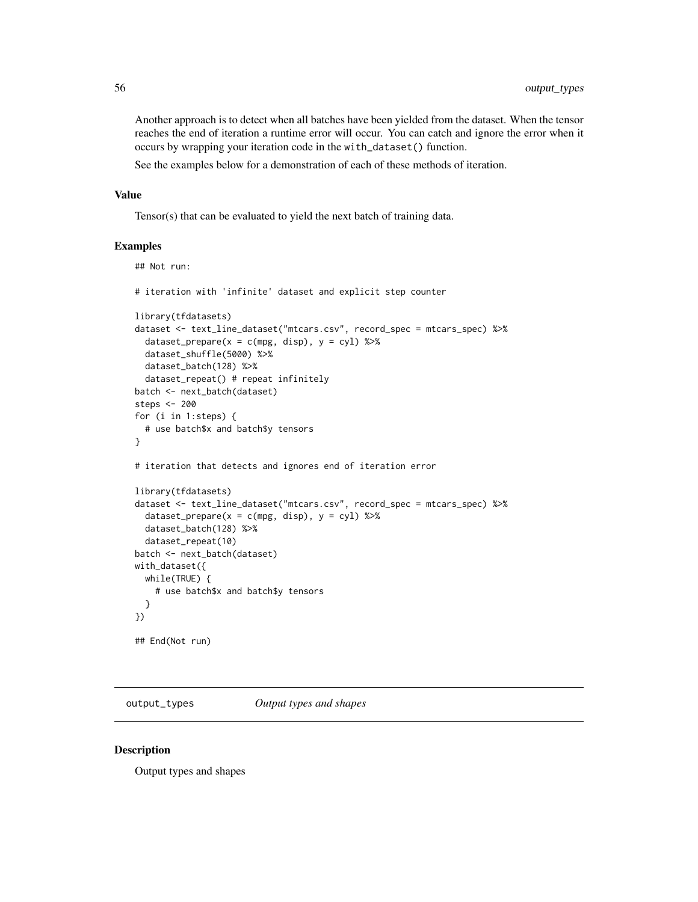Another approach is to detect when all batches have been yielded from the dataset. When the tensor reaches the end of iteration a runtime error will occur. You can catch and ignore the error when it occurs by wrapping your iteration code in the with\_dataset() function.

See the examples below for a demonstration of each of these methods of iteration.

#### Value

Tensor(s) that can be evaluated to yield the next batch of training data.

#### Examples

```
## Not run:
# iteration with 'infinite' dataset and explicit step counter
library(tfdatasets)
dataset <- text_line_dataset("mtcars.csv", record_spec = mtcars_spec) %>%
  dataset_prepare(x = c(mpg, disp), y = cyl) %>%
  dataset_shuffle(5000) %>%
  dataset_batch(128) %>%
  dataset_repeat() # repeat infinitely
batch <- next_batch(dataset)
steps <- 200
for (i in 1:steps) {
  # use batch$x and batch$y tensors
}
# iteration that detects and ignores end of iteration error
library(tfdatasets)
dataset <- text_line_dataset("mtcars.csv", record_spec = mtcars_spec) %>%
  dataset_prepare(x = c(mpg, disp), y = cyl) %>%
  dataset_batch(128) %>%
  dataset_repeat(10)
batch <- next_batch(dataset)
with_dataset({
 while(TRUE) {
    # use batch$x and batch$y tensors
  }
})
## End(Not run)
```
output\_types *Output types and shapes*

#### **Description**

Output types and shapes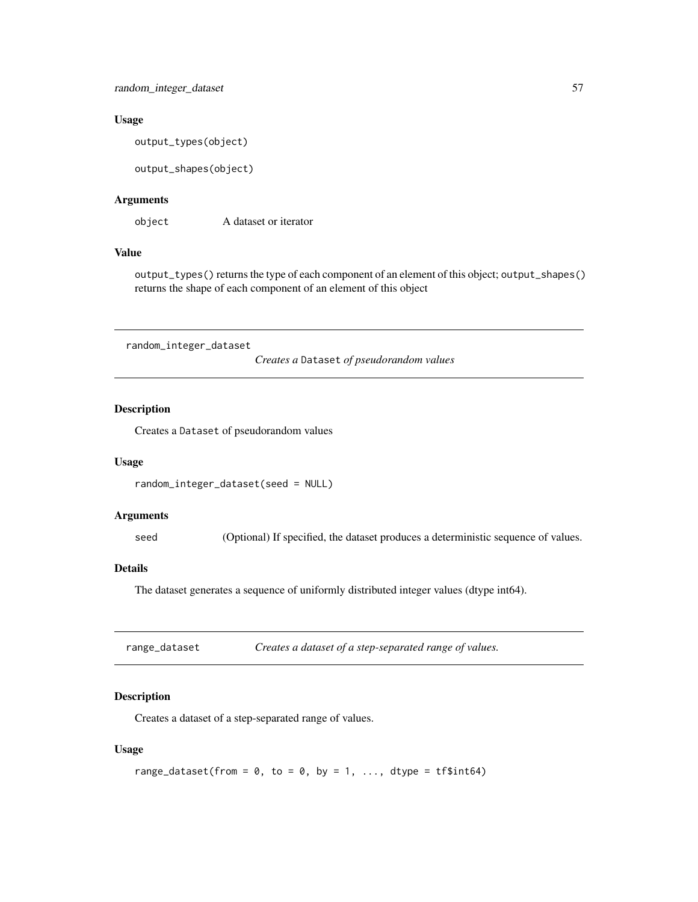#### Usage

output\_types(object)

output\_shapes(object)

## Arguments

object A dataset or iterator

## Value

output\_types() returns the type of each component of an element of this object; output\_shapes() returns the shape of each component of an element of this object

random\_integer\_dataset

*Creates a* Dataset *of pseudorandom values*

#### Description

Creates a Dataset of pseudorandom values

#### Usage

```
random_integer_dataset(seed = NULL)
```
## Arguments

seed (Optional) If specified, the dataset produces a deterministic sequence of values.

#### Details

The dataset generates a sequence of uniformly distributed integer values (dtype int64).

| range_dataset | Creates a dataset of a step-separated range of values. |  |
|---------------|--------------------------------------------------------|--|
|---------------|--------------------------------------------------------|--|

## Description

Creates a dataset of a step-separated range of values.

## Usage

range\_dataset(from =  $0$ , to =  $0$ , by = 1, ..., dtype = tf\$int64)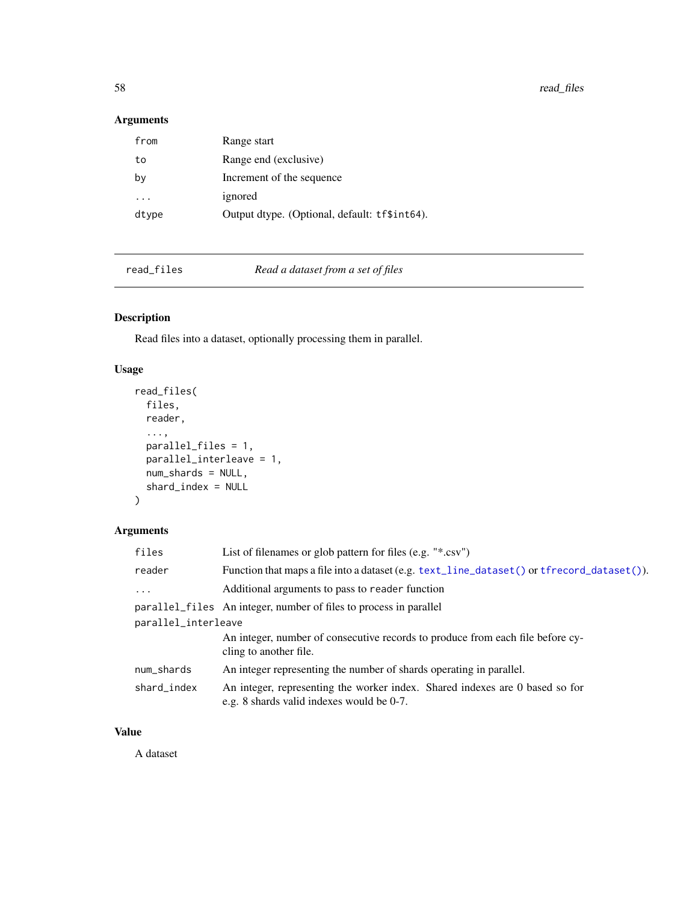58 read\_files and the contract of the contract of the contract of the contract of the contract of the contract of the contract of the contract of the contract of the contract of the contract of the contract of the contract

## Arguments

| from  | Range start                                   |
|-------|-----------------------------------------------|
| to    | Range end (exclusive)                         |
| b٧    | Increment of the sequence                     |
| .     | ignored                                       |
| dtype | Output dtype. (Optional, default: tf\$int64). |

read\_files *Read a dataset from a set of files*

# Description

Read files into a dataset, optionally processing them in parallel.

# Usage

```
read_files(
 files,
 reader,
  ...,
 parallel_files = 1,
 parallel_interleave = 1,
 num_shards = NULL,
  shard_index = NULL
)
```
## Arguments

| files               | List of filenames or glob pattern for files $(e.g. "*.csv")$                                                              |  |
|---------------------|---------------------------------------------------------------------------------------------------------------------------|--|
| reader              | Function that maps a file into a dataset (e.g. text_line_dataset () or tfrecord_dataset ()).                              |  |
| $\ddots$ .          | Additional arguments to pass to reader function                                                                           |  |
|                     | parallel_files An integer, number of files to process in parallel                                                         |  |
| parallel_interleave |                                                                                                                           |  |
|                     | An integer, number of consecutive records to produce from each file before cy-<br>cling to another file.                  |  |
| num_shards          | An integer representing the number of shards operating in parallel.                                                       |  |
| shard_index         | An integer, representing the worker index. Shared indexes are 0 based so for<br>e.g. 8 shards valid indexes would be 0-7. |  |

# Value

A dataset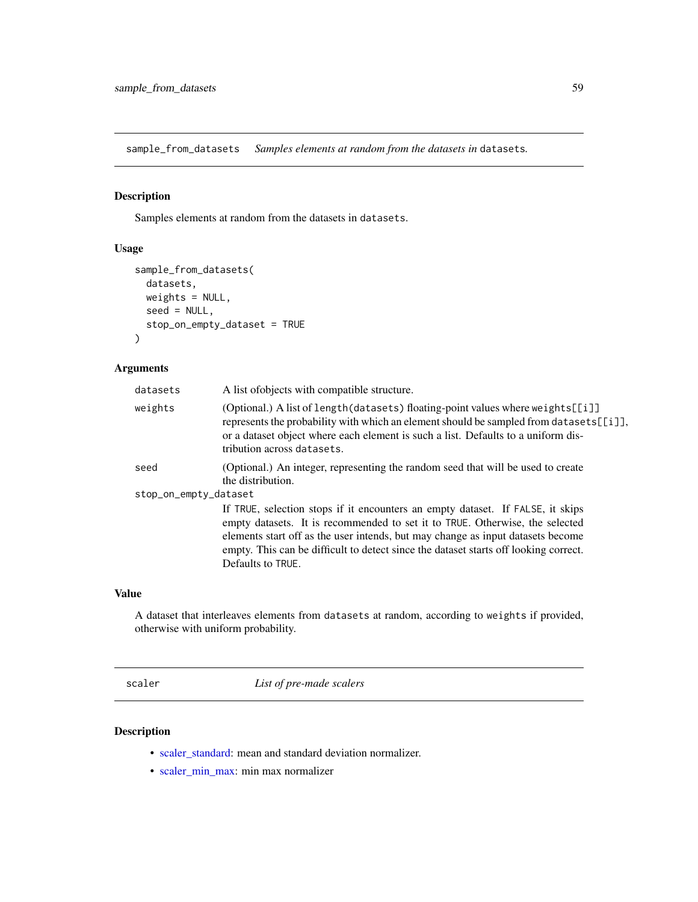sample\_from\_datasets *Samples elements at random from the datasets in* datasets*.*

## Description

Samples elements at random from the datasets in datasets.

## Usage

```
sample_from_datasets(
  datasets,
 weights = NULL,
 seed = NULL,
  stop_on_empty_dataset = TRUE
\mathcal{L}
```
## Arguments

| datasets              | A list of objects with compatible structure.                                                                                                                                                                                                                                                                                                                   |
|-----------------------|----------------------------------------------------------------------------------------------------------------------------------------------------------------------------------------------------------------------------------------------------------------------------------------------------------------------------------------------------------------|
| weights               | (Optional.) A list of length (datasets) floating-point values where weights $[\![i]\!]$<br>represents the probability with which an element should be sampled from datasets [[i]],<br>or a dataset object where each element is such a list. Defaults to a uniform dis-<br>tribution across datasets.                                                          |
| seed                  | (Optional.) An integer, representing the random seed that will be used to create<br>the distribution.                                                                                                                                                                                                                                                          |
| stop_on_empty_dataset |                                                                                                                                                                                                                                                                                                                                                                |
|                       | If TRUE, selection stops if it encounters an empty dataset. If FALSE, it skips<br>empty datasets. It is recommended to set it to TRUE. Otherwise, the selected<br>elements start off as the user intends, but may change as input datasets become<br>empty. This can be difficult to detect since the dataset starts off looking correct.<br>Defaults to TRUE. |

#### Value

A dataset that interleaves elements from datasets at random, according to weights if provided, otherwise with uniform probability.

<span id="page-58-0"></span>scaler *List of pre-made scalers*

## Description

- [scaler\\_standard:](#page-59-0) mean and standard deviation normalizer.
- [scaler\\_min\\_max:](#page-59-1) min max normalizer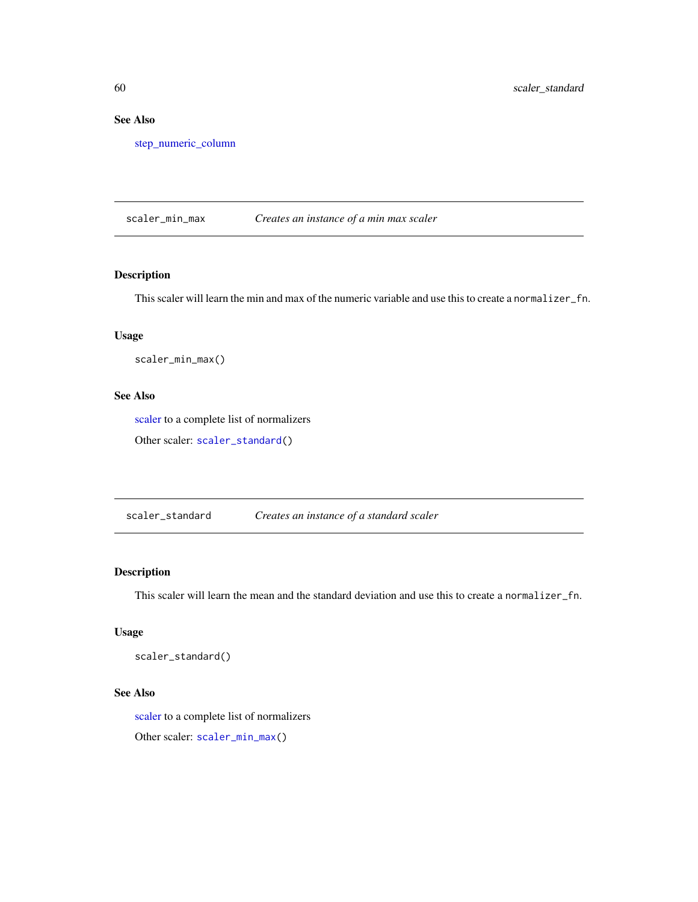# See Also

[step\\_numeric\\_column](#page-73-0)

<span id="page-59-1"></span>scaler\_min\_max *Creates an instance of a min max scaler*

## Description

This scaler will learn the min and max of the numeric variable and use this to create a normalizer\_fn.

## Usage

scaler\_min\_max()

## See Also

[scaler](#page-58-0) to a complete list of normalizers

Other scaler: [scaler\\_standard\(](#page-59-0))

<span id="page-59-0"></span>scaler\_standard *Creates an instance of a standard scaler*

#### Description

This scaler will learn the mean and the standard deviation and use this to create a normalizer\_fn.

## Usage

```
scaler_standard()
```
### See Also

[scaler](#page-58-0) to a complete list of normalizers

Other scaler: [scaler\\_min\\_max\(](#page-59-1))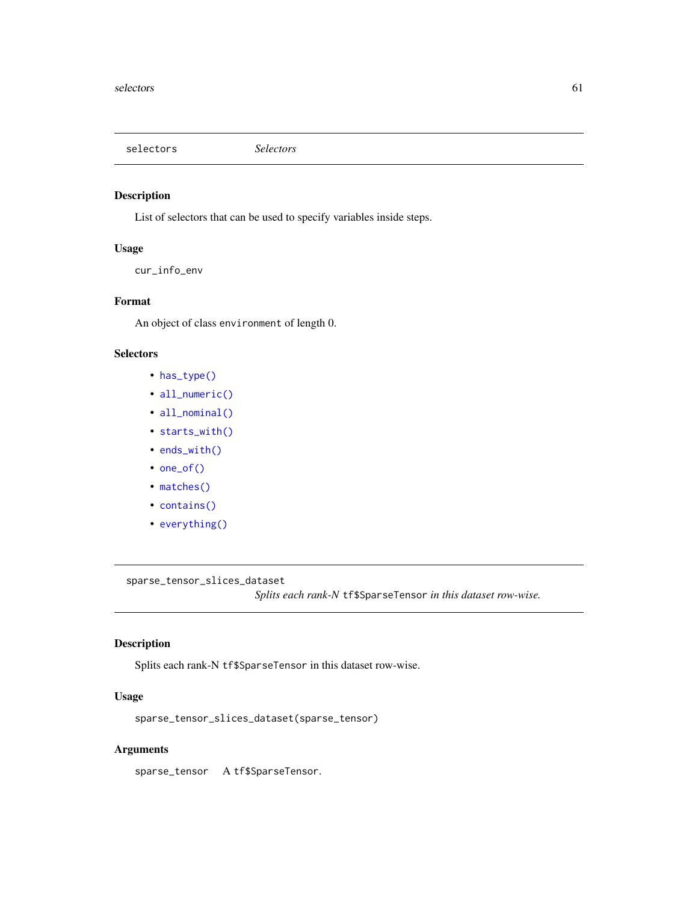<span id="page-60-0"></span>selectors *Selectors*

## Description

List of selectors that can be used to specify variables inside steps.

## Usage

cur\_info\_env

#### Format

An object of class environment of length 0.

#### **Selectors**

- [has\\_type\(\)](#page-45-0)
- [all\\_numeric\(\)](#page-3-1)
- [all\\_nominal\(\)](#page-3-0)
- [starts\\_with\(\)](#page-0-0)
- [ends\\_with\(\)](#page-0-0)
- [one\\_of\(\)](#page-0-0)
- [matches\(\)](#page-0-0)
- [contains\(\)](#page-0-0)
- [everything\(\)](#page-0-0)

sparse\_tensor\_slices\_dataset *Splits each rank-N* tf\$SparseTensor *in this dataset row-wise.*

## Description

Splits each rank-N tf\$SparseTensor in this dataset row-wise.

## Usage

sparse\_tensor\_slices\_dataset(sparse\_tensor)

## Arguments

sparse\_tensor A tf\$SparseTensor.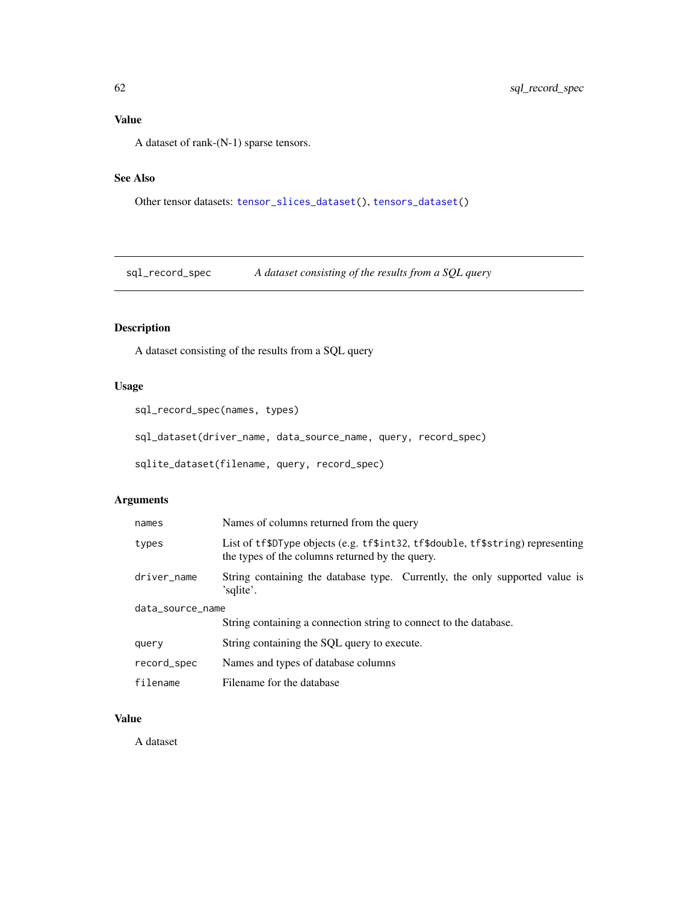# Value

A dataset of rank-(N-1) sparse tensors.

## See Also

Other tensor datasets: [tensor\\_slices\\_dataset\(](#page-77-0)), [tensors\\_dataset\(](#page-77-1))

sql\_record\_spec *A dataset consisting of the results from a SQL query*

## Description

A dataset consisting of the results from a SQL query

## Usage

```
sql_record_spec(names, types)
```
sql\_dataset(driver\_name, data\_source\_name, query, record\_spec)

sqlite\_dataset(filename, query, record\_spec)

## Arguments

| names            | Names of columns returned from the query                                                                                           |  |
|------------------|------------------------------------------------------------------------------------------------------------------------------------|--|
| types            | List of tf\$DType objects (e.g. tf\$int32, tf\$double, tf\$string) representing<br>the types of the columns returned by the query. |  |
| driver_name      | String containing the database type. Currently, the only supported value is<br>'sglite'.                                           |  |
| data_source_name |                                                                                                                                    |  |
|                  | String containing a connection string to connect to the database.                                                                  |  |
| query            | String containing the SQL query to execute.                                                                                        |  |
| record_spec      | Names and types of database columns                                                                                                |  |
| filename         | Filename for the database                                                                                                          |  |

## Value

A dataset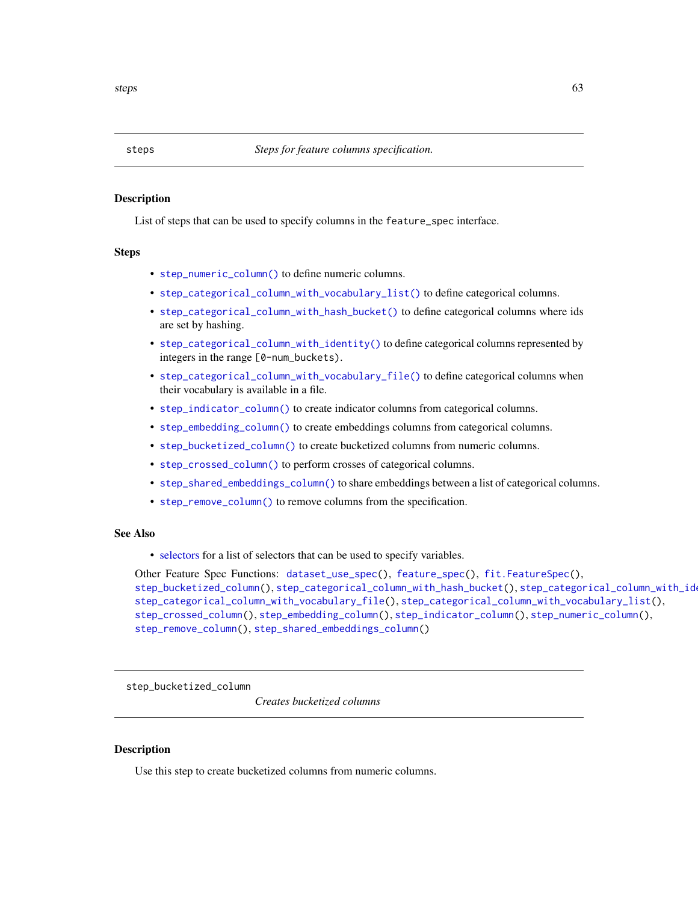<span id="page-62-0"></span>

#### Description

List of steps that can be used to specify columns in the feature\_spec interface.

#### Steps

- [step\\_numeric\\_column\(\)](#page-73-0) to define numeric columns.
- [step\\_categorical\\_column\\_with\\_vocabulary\\_list\(\)](#page-67-0) to define categorical columns.
- [step\\_categorical\\_column\\_with\\_hash\\_bucket\(\)](#page-63-0) to define categorical columns where ids are set by hashing.
- [step\\_categorical\\_column\\_with\\_identity\(\)](#page-65-0) to define categorical columns represented by integers in the range [0-num\_buckets).
- [step\\_categorical\\_column\\_with\\_vocabulary\\_file\(\)](#page-66-0) to define categorical columns when their vocabulary is available in a file.
- [step\\_indicator\\_column\(\)](#page-72-0) to create indicator columns from categorical columns.
- [step\\_embedding\\_column\(\)](#page-70-0) to create embeddings columns from categorical columns.
- [step\\_bucketized\\_column\(\)](#page-62-1) to create bucketized columns from numeric columns.
- [step\\_crossed\\_column\(\)](#page-69-0) to perform crosses of categorical columns.
- [step\\_shared\\_embeddings\\_column\(\)](#page-75-0) to share embeddings between a list of categorical columns.
- [step\\_remove\\_column\(\)](#page-74-0) to remove columns from the specification.

## See Also

• [selectors](#page-60-0) for a list of selectors that can be used to specify variables.

Other Feature Spec Functions: [dataset\\_use\\_spec\(](#page-37-0)), [feature\\_spec\(](#page-41-0)), [fit.FeatureSpec\(](#page-43-0)), [step\\_bucketized\\_column\(](#page-62-1)), [step\\_categorical\\_column\\_with\\_hash\\_bucket\(](#page-63-0)), [step\\_categorical\\_column\\_with\\_identity\(](#page-65-0)), [step\\_categorical\\_column\\_with\\_vocabulary\\_file\(](#page-66-0)), [step\\_categorical\\_column\\_with\\_vocabulary\\_list\(](#page-67-0)), [step\\_crossed\\_column\(](#page-69-0)), [step\\_embedding\\_column\(](#page-70-0)), [step\\_indicator\\_column\(](#page-72-0)), [step\\_numeric\\_column\(](#page-73-0)), [step\\_remove\\_column\(](#page-74-0)), [step\\_shared\\_embeddings\\_column\(](#page-75-0))

<span id="page-62-1"></span>step\_bucketized\_column

*Creates bucketized columns*

## Description

Use this step to create bucketized columns from numeric columns.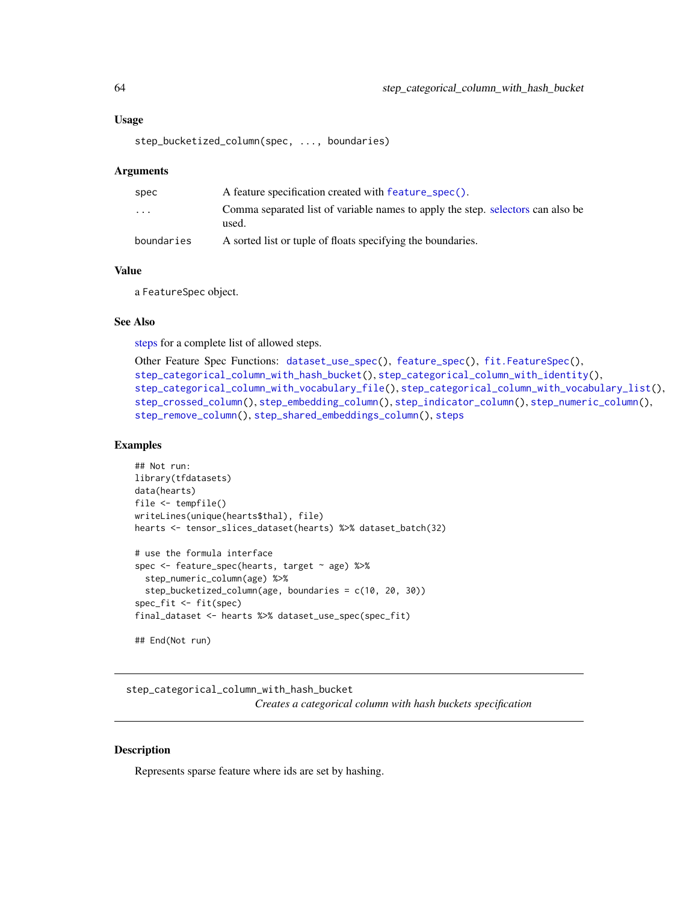#### Usage

```
step_bucketized_column(spec, ..., boundaries)
```
#### **Arguments**

| spec                    | A feature specification created with feature_spec().                                     |
|-------------------------|------------------------------------------------------------------------------------------|
| $\cdot$ $\cdot$ $\cdot$ | Comma separated list of variable names to apply the step. selectors can also be<br>used. |
| boundaries              | A sorted list or tuple of floats specifying the boundaries.                              |

#### Value

a FeatureSpec object.

#### See Also

[steps](#page-62-0) for a complete list of allowed steps.

```
Other Feature Spec Functions: dataset_use_spec(), feature_spec(), fit.FeatureSpec(),
step_categorical_column_with_hash_bucket(), step_categorical_column_with_identity(),
step_categorical_column_with_vocabulary_file(), step_categorical_column_with_vocabulary_list(),
step_crossed_column(), step_embedding_column(), step_indicator_column(), step_numeric_column(),
step_remove_column(), step_shared_embeddings_column(), steps
```
## Examples

```
## Not run:
library(tfdatasets)
data(hearts)
file <- tempfile()
writeLines(unique(hearts$thal), file)
hearts <- tensor_slices_dataset(hearts) %>% dataset_batch(32)
# use the formula interface
spec <- feature_spec(hearts, target ~ age) %>%
  step_numeric_column(age) %>%
  step_bucketized_column(age, boundaries = c(10, 20, 30))
spec_fit <- fit(spec)
final_dataset <- hearts %>% dataset_use_spec(spec_fit)
```

```
## End(Not run)
```
<span id="page-63-0"></span>step\_categorical\_column\_with\_hash\_bucket *Creates a categorical column with hash buckets specification*

#### **Description**

Represents sparse feature where ids are set by hashing.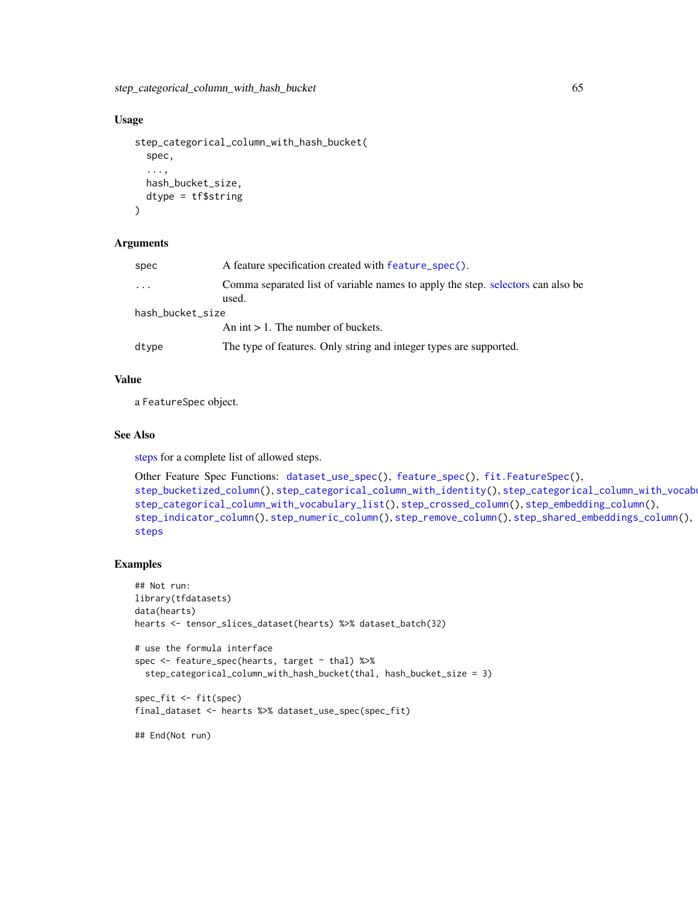#### Usage

```
step_categorical_column_with_hash_bucket(
  spec,
  ...,
 hash_bucket_size,
  dtype = tf$string
)
```
#### Arguments

| spec             | A feature specification created with feature_spec().                                     |  |
|------------------|------------------------------------------------------------------------------------------|--|
| $\cdot$          | Comma separated list of variable names to apply the step. selectors can also be<br>used. |  |
| hash_bucket_size |                                                                                          |  |
|                  | An int $> 1$ . The number of buckets.                                                    |  |
| dtype            | The type of features. Only string and integer types are supported.                       |  |

#### Value

a FeatureSpec object.

#### See Also

[steps](#page-62-0) for a complete list of allowed steps.

```
Other Feature Spec Functions: dataset_use_spec(), feature_spec(), fit.FeatureSpec(),
step_bucketized_column(step_categorical_column_with_identity(), step_categorical_column_with_vocab
step_categorical_column_with_vocabulary_list(), step_crossed_column(), step_embedding_column(),
step_indicator_column(), step_numeric_column(), step_remove_column(), step_shared_embeddings_column(),
steps
```
#### Examples

```
## Not run:
library(tfdatasets)
data(hearts)
hearts <- tensor_slices_dataset(hearts) %>% dataset_batch(32)
# use the formula interface
spec <- feature_spec(hearts, target ~ thal) %>%
  step_categorical_column_with_hash_bucket(thal, hash_bucket_size = 3)
spec_fit <- fit(spec)
final_dataset <- hearts %>% dataset_use_spec(spec_fit)
## End(Not run)
```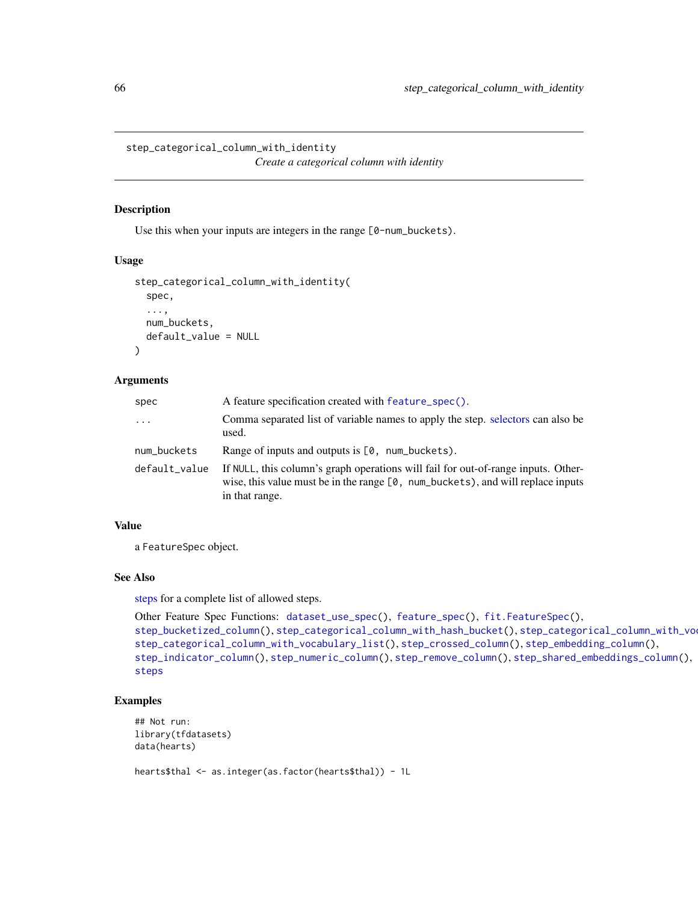<span id="page-65-0"></span>step\_categorical\_column\_with\_identity *Create a categorical column with identity*

#### Description

Use this when your inputs are integers in the range  $[0$ -num\_buckets).

#### Usage

```
step_categorical_column_with_identity(
  spec,
  ...,
 num_buckets,
  default_value = NULL
)
```
#### Arguments

| spec          | A feature specification created with feature_spec().                                                                                                                                              |
|---------------|---------------------------------------------------------------------------------------------------------------------------------------------------------------------------------------------------|
| $\cdots$      | Comma separated list of variable names to apply the step. selectors can also be<br>used.                                                                                                          |
| num_buckets   | Range of inputs and outputs is $[0, num_buckets]$ .                                                                                                                                               |
| default_value | If NULL, this column's graph operations will fail for out-of-range inputs. Other-<br>wise, this value must be in the range $[0, \text{ num_buckets})$ , and will replace inputs<br>in that range. |

#### Value

a FeatureSpec object.

#### See Also

[steps](#page-62-0) for a complete list of allowed steps.

```
Other Feature Spec Functions: dataset_use_spec(), feature_spec(), fit.FeatureSpec(),
step_bucketized_column(step_categorical_column_with_hash_bucket(), step_categorical_column_with_vo
step_categorical_column_with_vocabulary_list(), step_crossed_column(), step_embedding_column(),
step_indicator_column(), step_numeric_column(), step_remove_column(), step_shared_embeddings_column(),
steps
```
## Examples

```
## Not run:
library(tfdatasets)
data(hearts)
```
hearts\$thal <- as.integer(as.factor(hearts\$thal)) - 1L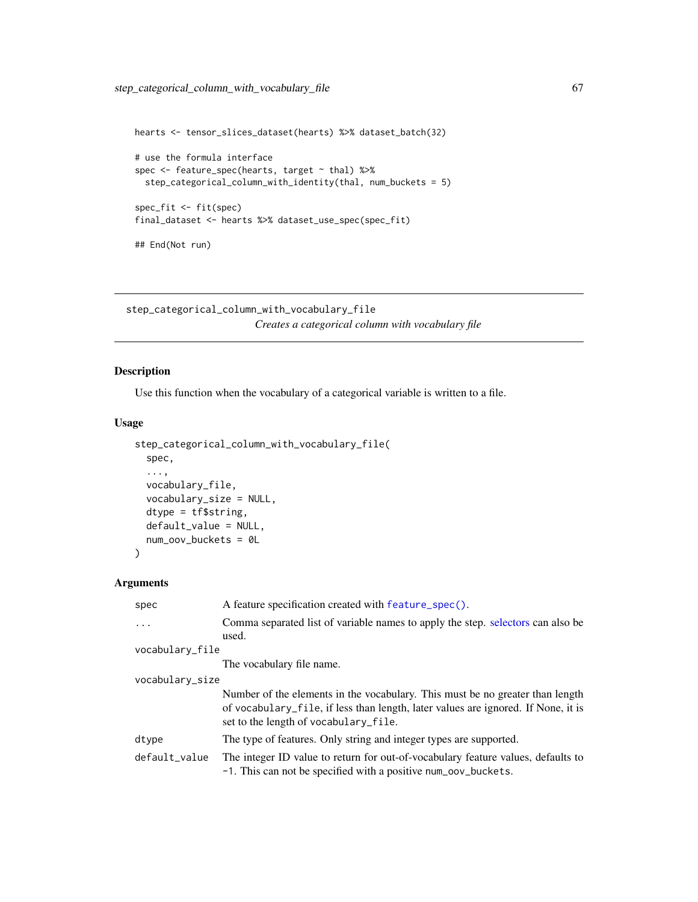```
hearts <- tensor_slices_dataset(hearts) %>% dataset_batch(32)
# use the formula interface
spec <- feature_spec(hearts, target ~ thal) %>%
  step_categorical_column_with_identity(thal, num_buckets = 5)
spec_fit <- fit(spec)
final_dataset <- hearts %>% dataset_use_spec(spec_fit)
## End(Not run)
```
<span id="page-66-0"></span>step\_categorical\_column\_with\_vocabulary\_file *Creates a categorical column with vocabulary file*

## Description

Use this function when the vocabulary of a categorical variable is written to a file.

## Usage

```
step_categorical_column_with_vocabulary_file(
  spec,
  ...,
  vocabulary_file,
  vocabulary_size = NULL,
  dtype = tf$string,
  default_value = NULL,
 num_oov_buckets = 0L
)
```
## Arguments

| spec            | A feature specification created with feature_spec().                                                                                                                                                        |  |  |
|-----------------|-------------------------------------------------------------------------------------------------------------------------------------------------------------------------------------------------------------|--|--|
| $\ddots$        | Comma separated list of variable names to apply the step. selectors can also be<br>used.                                                                                                                    |  |  |
| vocabulary_file |                                                                                                                                                                                                             |  |  |
|                 | The vocabulary file name.                                                                                                                                                                                   |  |  |
| vocabulary_size |                                                                                                                                                                                                             |  |  |
|                 | Number of the elements in the vocabulary. This must be no greater than length<br>of vocabulary_file, if less than length, later values are ignored. If None, it is<br>set to the length of vocabulary_file. |  |  |
| dtype           | The type of features. Only string and integer types are supported.                                                                                                                                          |  |  |
| default_value   | The integer ID value to return for out-of-vocabulary feature values, defaults to<br>-1. This can not be specified with a positive num_oov_buckets.                                                          |  |  |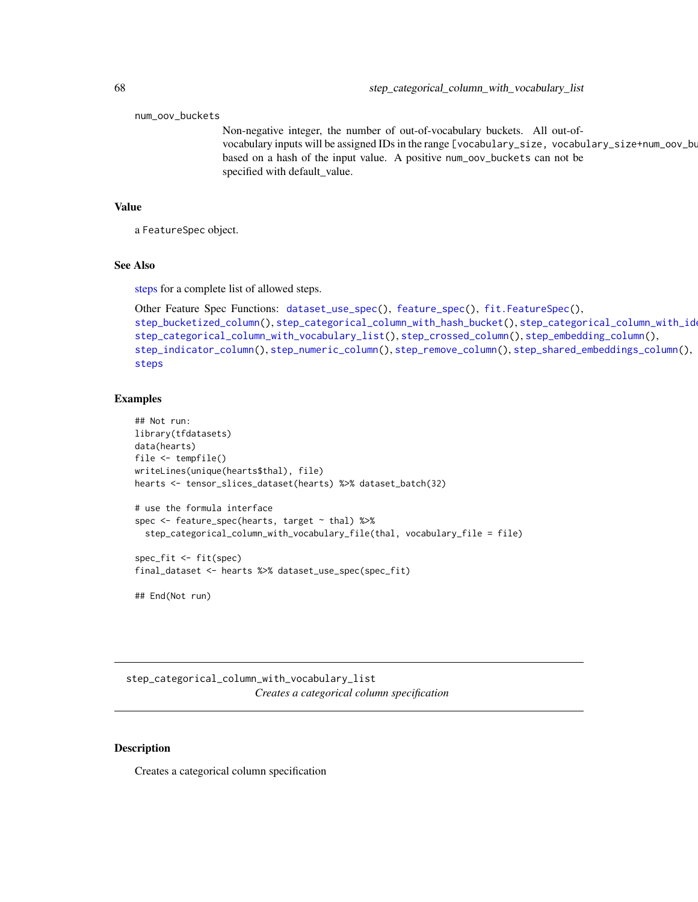num\_oov\_buckets

Non-negative integer, the number of out-of-vocabulary buckets. All out-ofvocabulary inputs will be assigned IDs in the range [vocabulary\_size, vocabulary\_size+num\_oov\_bu based on a hash of the input value. A positive num\_oov\_buckets can not be specified with default\_value.

#### Value

a FeatureSpec object.

#### See Also

[steps](#page-62-0) for a complete list of allowed steps.

```
Other Feature Spec Functions: dataset_use_spec(), feature_spec(), fit.FeatureSpec(),
step_bucketized_column(), step_categorical_column_with_hash_bucket(), step_categorical_column_with_identity(),
step_categorical_column_with_vocabulary_list(), step_crossed_column(), step_embedding_column(),
step_indicator_column(), step_numeric_column(), step_remove_column(), step_shared_embeddings_column(),
steps
```
#### Examples

```
## Not run:
library(tfdatasets)
data(hearts)
file <- tempfile()
writeLines(unique(hearts$thal), file)
hearts <- tensor_slices_dataset(hearts) %>% dataset_batch(32)
# use the formula interface
spec <- feature_spec(hearts, target ~ thal) %>%
  step_categorical_column_with_vocabulary_file(thal, vocabulary_file = file)
spec_fit <- fit(spec)
final_dataset <- hearts %>% dataset_use_spec(spec_fit)
```
## End(Not run)

<span id="page-67-0"></span>step\_categorical\_column\_with\_vocabulary\_list *Creates a categorical column specification*

### Description

Creates a categorical column specification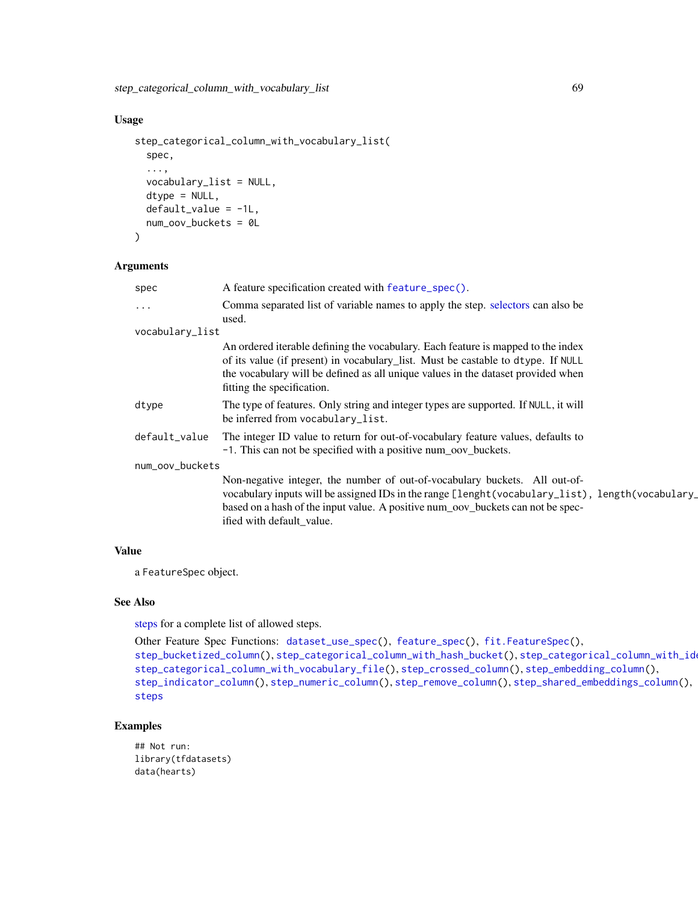## Usage

```
step_categorical_column_with_vocabulary_list(
  spec,
  ...,
 vocabulary_list = NULL,
 dtype = NULL,
 default_value = -1L,num_oov_buckets = 0L
)
```
#### Arguments

|                 | spec          | A feature specification created with feature_spec().                                                                                                                                                                                                                                           |  |
|-----------------|---------------|------------------------------------------------------------------------------------------------------------------------------------------------------------------------------------------------------------------------------------------------------------------------------------------------|--|
|                 | $\cdots$      | Comma separated list of variable names to apply the step. selectors can also be<br>used.                                                                                                                                                                                                       |  |
| vocabulary_list |               |                                                                                                                                                                                                                                                                                                |  |
|                 |               | An ordered iterable defining the vocabulary. Each feature is mapped to the index<br>of its value (if present) in vocabulary_list. Must be castable to dtype. If NULL<br>the vocabulary will be defined as all unique values in the dataset provided when<br>fitting the specification.         |  |
|                 | dtype         | The type of features. Only string and integer types are supported. If NULL, it will<br>be inferred from vocabulary_list.                                                                                                                                                                       |  |
|                 | default_value | The integer ID value to return for out-of-vocabulary feature values, defaults to<br>-1. This can not be specified with a positive num_oov_buckets.                                                                                                                                             |  |
| num_oov_buckets |               |                                                                                                                                                                                                                                                                                                |  |
|                 |               | Non-negative integer, the number of out-of-vocabulary buckets. All out-of-<br>vocabulary inputs will be assigned IDs in the range [lenght(vocabulary_list), length(vocabulary_<br>based on a hash of the input value. A positive num_oov_buckets can not be spec-<br>ified with default_value. |  |
|                 |               |                                                                                                                                                                                                                                                                                                |  |

## Value

a FeatureSpec object.

## See Also

[steps](#page-62-0) for a complete list of allowed steps.

```
Other Feature Spec Functions: dataset_use_spec(), feature_spec(), fit.FeatureSpec(),
step_bucketized_column(step_categorical_column_with_hash_bucket(), step_categorical_column_with_id
step_categorical_column_with_vocabulary_file(), step_crossed_column(), step_embedding_column(),
step_indicator_column(), step_numeric_column(), step_remove_column(), step_shared_embeddings_column(),
steps
```
## Examples

## Not run: library(tfdatasets) data(hearts)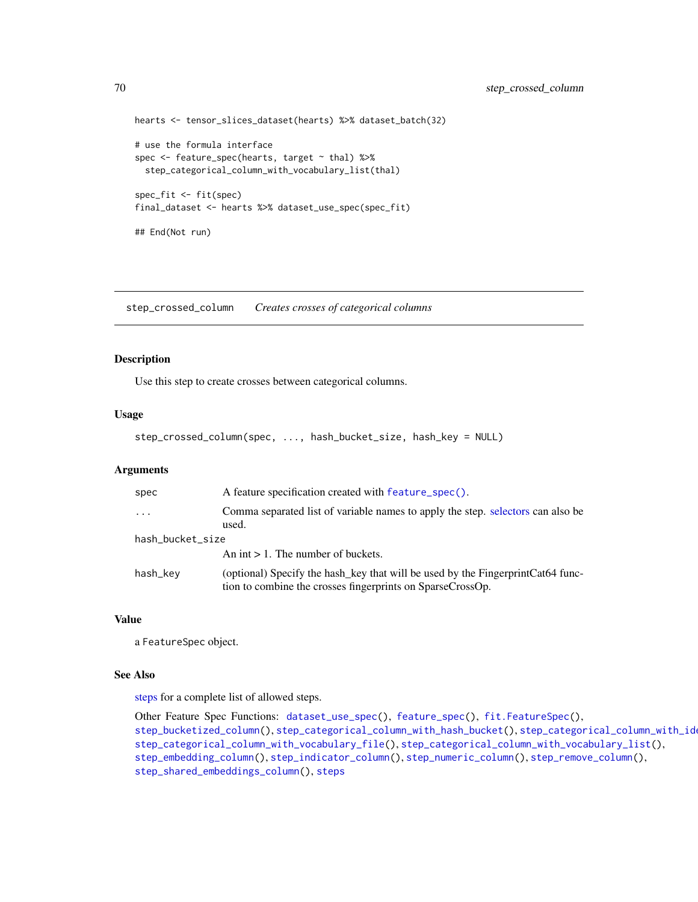```
hearts <- tensor_slices_dataset(hearts) %>% dataset_batch(32)
# use the formula interface
spec <- feature_spec(hearts, target ~ thal) %>%
  step_categorical_column_with_vocabulary_list(thal)
spec_fit <- fit(spec)
final_dataset <- hearts %>% dataset_use_spec(spec_fit)
## End(Not run)
```
<span id="page-69-0"></span>step\_crossed\_column *Creates crosses of categorical columns*

#### Description

Use this step to create crosses between categorical columns.

#### Usage

```
step_crossed_column(spec, ..., hash_bucket_size, hash_key = NULL)
```
## Arguments

| spec             | A feature specification created with feature_spec().                                                                                           |  |
|------------------|------------------------------------------------------------------------------------------------------------------------------------------------|--|
| $\ddotsc$        | Comma separated list of variable names to apply the step. selectors can also be<br>used.                                                       |  |
| hash_bucket_size |                                                                                                                                                |  |
|                  | An int $> 1$ . The number of buckets.                                                                                                          |  |
| hash_key         | (optional) Specify the hash key that will be used by the Fingerprint Cat64 func-<br>tion to combine the crosses fingerprints on SparseCrossOp. |  |

## Value

a FeatureSpec object.

## See Also

[steps](#page-62-0) for a complete list of allowed steps.

```
Other Feature Spec Functions: dataset_use_spec(), feature_spec(), fit.FeatureSpec(),
step_bucketized_column(), step_categorical_column_with_hash_bucket(), step_categorical_column_with_identity(),
step_categorical_column_with_vocabulary_file(), step_categorical_column_with_vocabulary_list(),
step_embedding_column(), step_indicator_column(), step_numeric_column(), step_remove_column(),
step_shared_embeddings_column(), steps
```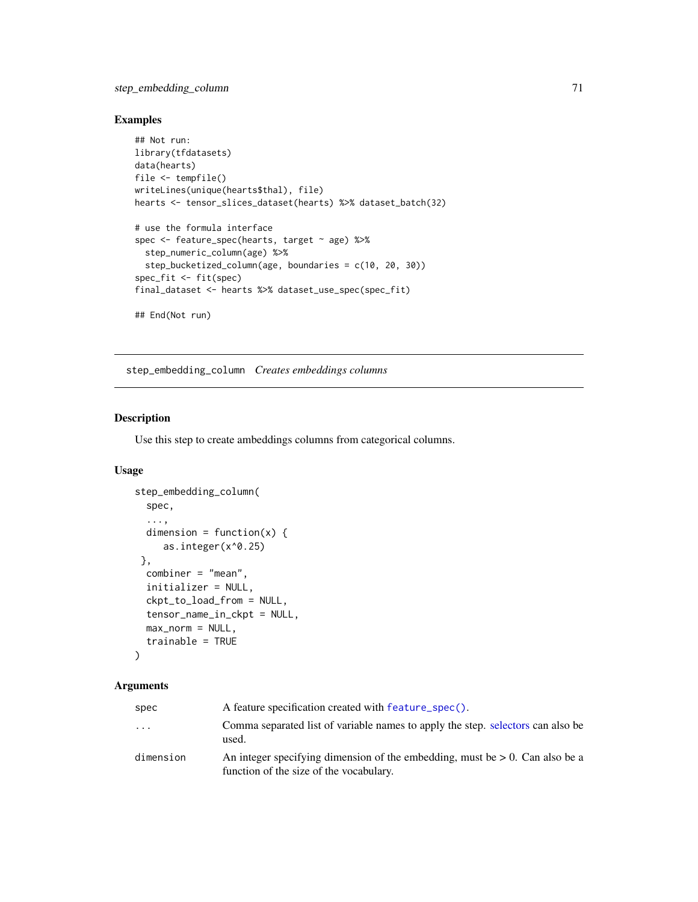## step\_embedding\_column 71

## Examples

```
## Not run:
library(tfdatasets)
data(hearts)
file <- tempfile()
writeLines(unique(hearts$thal), file)
hearts <- tensor_slices_dataset(hearts) %>% dataset_batch(32)
# use the formula interface
spec <- feature_spec(hearts, target ~ age) %>%
  step_numeric_column(age) %>%
  step_bucketized_column(age, boundaries = c(10, 20, 30))
spec_fit <- fit(spec)
final_dataset <- hearts %>% dataset_use_spec(spec_fit)
## End(Not run)
```
<span id="page-70-0"></span>step\_embedding\_column *Creates embeddings columns*

## Description

Use this step to create ambeddings columns from categorical columns.

## Usage

```
step_embedding_column(
 spec,
  ...,
 dimension = function(x) {
     as.integer(x^0.25)
},
 combiner = "mean",
  initializer = NULL,
 ckpt_to_load_from = NULL,
  tensor_name_in_ckpt = NULL,
 max\_norm = NULL,trainable = TRUE
)
```
#### Arguments

| spec      | A feature specification created with feature_spec().                                                                       |
|-----------|----------------------------------------------------------------------------------------------------------------------------|
| $\cdots$  | Comma separated list of variable names to apply the step. selectors can also be<br>used.                                   |
| dimension | An integer specifying dimension of the embedding, must be $> 0$ . Can also be a<br>function of the size of the vocabulary. |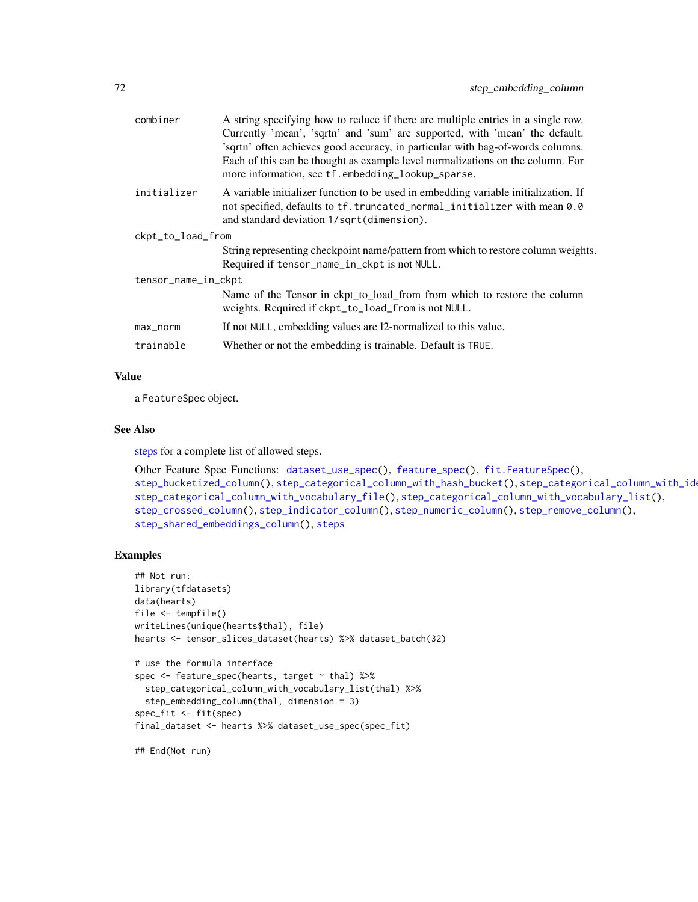| combiner            | A string specifying how to reduce if there are multiple entries in a single row.<br>Currently 'mean', 'sqrtn' and 'sum' are supported, with 'mean' the default.<br>'sqrtn' often achieves good accuracy, in particular with bag-of-words columns.<br>Each of this can be thought as example level normalizations on the column. For<br>more information, see tf.embedding_lookup_sparse. |  |  |
|---------------------|------------------------------------------------------------------------------------------------------------------------------------------------------------------------------------------------------------------------------------------------------------------------------------------------------------------------------------------------------------------------------------------|--|--|
| initializer         | A variable initializer function to be used in embedding variable initialization. If<br>not specified, defaults to tf. truncated_normal_initializer with mean 0.0<br>and standard deviation 1/sqrt(dimension).                                                                                                                                                                            |  |  |
| ckpt_to_load_from   |                                                                                                                                                                                                                                                                                                                                                                                          |  |  |
|                     | String representing checkpoint name/pattern from which to restore column weights.<br>Required if tensor_name_in_ckpt is not NULL.                                                                                                                                                                                                                                                        |  |  |
| tensor_name_in_ckpt |                                                                                                                                                                                                                                                                                                                                                                                          |  |  |
|                     | Name of the Tensor in ckpt_to_load_from from which to restore the column<br>weights. Required if ckpt_to_load_from is not NULL.                                                                                                                                                                                                                                                          |  |  |
| max_norm            | If not NULL, embedding values are 12-normalized to this value.                                                                                                                                                                                                                                                                                                                           |  |  |
| trainable           | Whether or not the embedding is trainable. Default is TRUE.                                                                                                                                                                                                                                                                                                                              |  |  |

## Value

a FeatureSpec object.

#### See Also

[steps](#page-62-0) for a complete list of allowed steps.

```
Other Feature Spec Functions: dataset_use_spec(), feature_spec(), fit.FeatureSpec(),
step_bucketized_column(), step_categorical_column_with_hash_bucket(), step_categorical_column_with_identity(),
step_categorical_column_with_vocabulary_file(), step_categorical_column_with_vocabulary_list(),
step_crossed_column(), step_indicator_column(), step_numeric_column(), step_remove_column(),
step_shared_embeddings_column(), steps
```
#### Examples

```
## Not run:
library(tfdatasets)
data(hearts)
file <- tempfile()
writeLines(unique(hearts$thal), file)
hearts <- tensor_slices_dataset(hearts) %>% dataset_batch(32)
# use the formula interface
spec <- feature_spec(hearts, target ~ thal) %>%
 step_categorical_column_with_vocabulary_list(thal) %>%
  step_embedding_column(thal, dimension = 3)
spec_fit <- fit(spec)
final_dataset <- hearts %>% dataset_use_spec(spec_fit)
```
## End(Not run)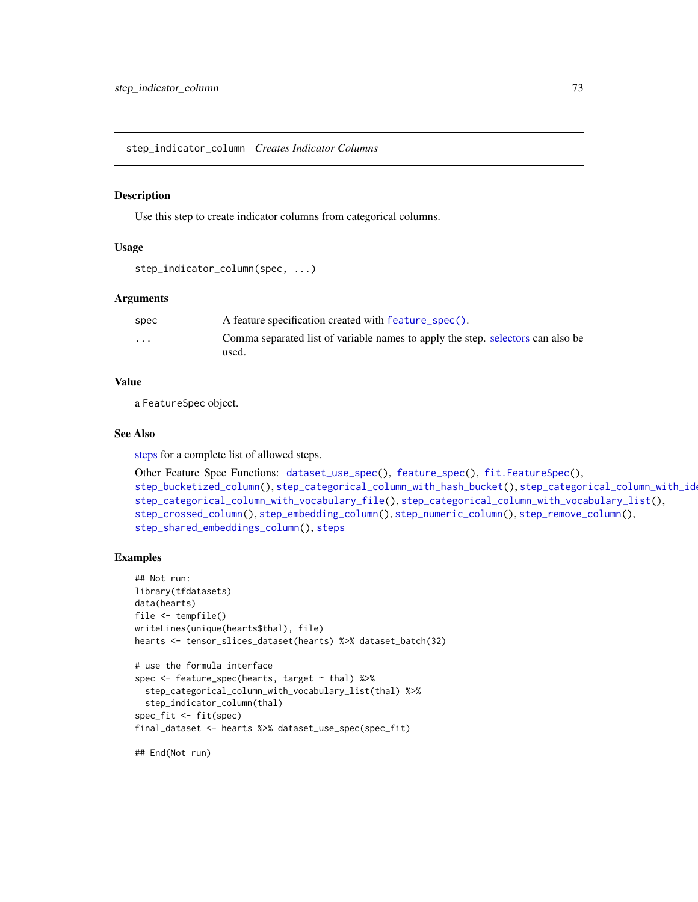<span id="page-72-1"></span><span id="page-72-0"></span>step\_indicator\_column *Creates Indicator Columns*

#### Description

Use this step to create indicator columns from categorical columns.

## Usage

```
step_indicator_column(spec, ...)
```
## Arguments

| spec                    | A feature specification created with feature_spec().                                     |
|-------------------------|------------------------------------------------------------------------------------------|
| $\cdot$ $\cdot$ $\cdot$ | Comma separated list of variable names to apply the step. selectors can also be<br>used. |

# Value

a FeatureSpec object.

#### See Also

[steps](#page-62-0) for a complete list of allowed steps.

```
Other Feature Spec Functions: dataset_use_spec(), feature_spec(), fit.FeatureSpec(),
step_bucketized_column(), step_categorical_column_with_hash_bucket(), step_categorical_column_with_identity(),
step_categorical_column_with_vocabulary_file(), step_categorical_column_with_vocabulary_list(),
step_crossed_column(), step_embedding_column(), step_numeric_column(), step_remove_column(),
step_shared_embeddings_column(), steps
```
## Examples

```
## Not run:
library(tfdatasets)
data(hearts)
file <- tempfile()
writeLines(unique(hearts$thal), file)
hearts <- tensor_slices_dataset(hearts) %>% dataset_batch(32)
# use the formula interface
spec <- feature_spec(hearts, target ~ thal) %>%
  step_categorical_column_with_vocabulary_list(thal) %>%
  step_indicator_column(thal)
spec_fit <- fit(spec)
final_dataset <- hearts %>% dataset_use_spec(spec_fit)
```
## End(Not run)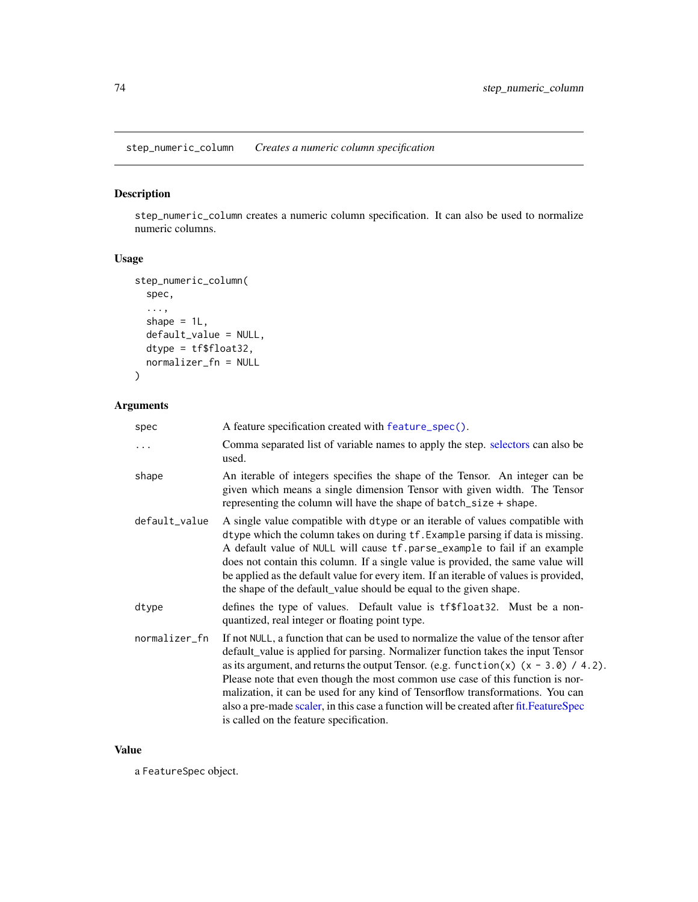<span id="page-73-1"></span><span id="page-73-0"></span>step\_numeric\_column *Creates a numeric column specification*

# Description

step\_numeric\_column creates a numeric column specification. It can also be used to normalize numeric columns.

## Usage

```
step_numeric_column(
  spec,
  ...,
 shape = 1L,
 default_value = NULL,
 dtype = tf$float32,
 normalizer_fn = NULL
)
```
# Arguments

| spec          | A feature specification created with feature_spec().                                                                                                                                                                                                                                                                                                                                                                                                                                                                                                                       |
|---------------|----------------------------------------------------------------------------------------------------------------------------------------------------------------------------------------------------------------------------------------------------------------------------------------------------------------------------------------------------------------------------------------------------------------------------------------------------------------------------------------------------------------------------------------------------------------------------|
| $\ddots$      | Comma separated list of variable names to apply the step. selectors can also be<br>used.                                                                                                                                                                                                                                                                                                                                                                                                                                                                                   |
| shape         | An iterable of integers specifies the shape of the Tensor. An integer can be<br>given which means a single dimension Tensor with given width. The Tensor<br>representing the column will have the shape of $batch_size + shape$ .                                                                                                                                                                                                                                                                                                                                          |
| default_value | A single value compatible with dtype or an iterable of values compatible with<br>dtype which the column takes on during tf. Example parsing if data is missing.<br>A default value of NULL will cause tf.parse_example to fail if an example<br>does not contain this column. If a single value is provided, the same value will<br>be applied as the default value for every item. If an iterable of values is provided,<br>the shape of the default_value should be equal to the given shape.                                                                            |
| dtype         | defines the type of values. Default value is tf\$float32. Must be a non-<br>quantized, real integer or floating point type.                                                                                                                                                                                                                                                                                                                                                                                                                                                |
| normalizer_fn | If not NULL, a function that can be used to normalize the value of the tensor after<br>default_value is applied for parsing. Normalizer function takes the input Tensor<br>as its argument, and returns the output Tensor. (e.g. function(x) $(x - 3.0) / 4.2$ ).<br>Please note that even though the most common use case of this function is nor-<br>malization, it can be used for any kind of Tensorflow transformations. You can<br>also a pre-made scaler, in this case a function will be created after fit. FeatureSpec<br>is called on the feature specification. |

## Value

a FeatureSpec object.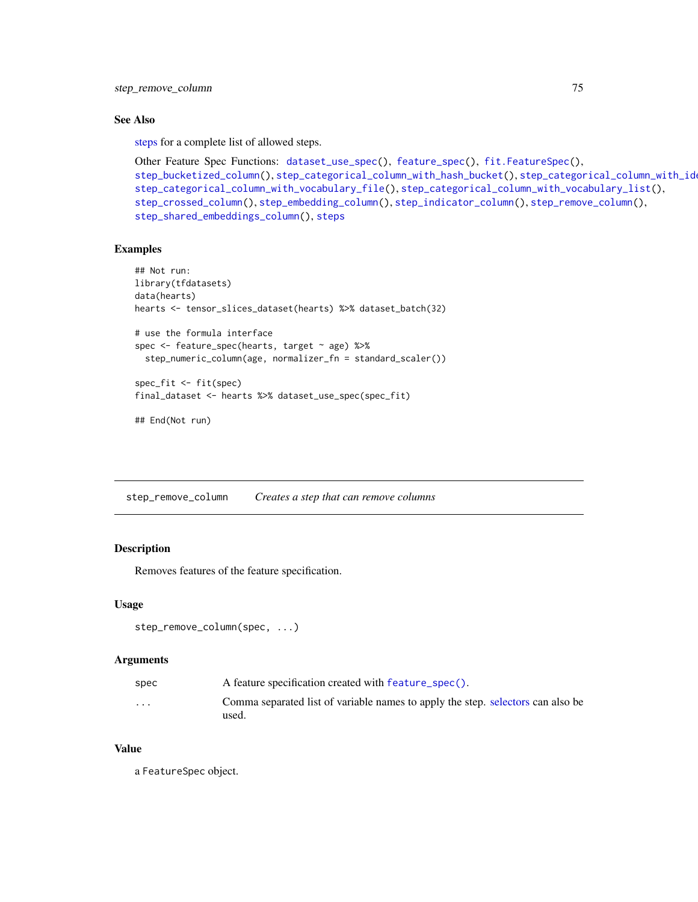## <span id="page-74-1"></span>See Also

[steps](#page-62-0) for a complete list of allowed steps.

```
Other Feature Spec Functions: dataset_use_spec(), feature_spec(), fit.FeatureSpec(),
step_bucketized_column(), step_categorical_column_with_hash_bucket(), step_categorical_column_with_identity(),
step_categorical_column_with_vocabulary_file(), step_categorical_column_with_vocabulary_list(),
step_crossed_column(), step_embedding_column(), step_indicator_column(), step_remove_column(),
step_shared_embeddings_column(), steps
```
## Examples

```
## Not run:
library(tfdatasets)
data(hearts)
hearts <- tensor_slices_dataset(hearts) %>% dataset_batch(32)
# use the formula interface
spec <- feature_spec(hearts, target ~ age) %>%
  step_numeric_column(age, normalizer_fn = standard_scaler())
spec_fit <- fit(spec)
final_dataset <- hearts %>% dataset_use_spec(spec_fit)
## End(Not run)
```
<span id="page-74-0"></span>step\_remove\_column *Creates a step that can remove columns*

#### Description

Removes features of the feature specification.

#### Usage

```
step_remove_column(spec, ...)
```
## Arguments

| A feature specification created with feature_spec().                                     |
|------------------------------------------------------------------------------------------|
| Comma separated list of variable names to apply the step. selectors can also be<br>used. |
|                                                                                          |

## Value

a FeatureSpec object.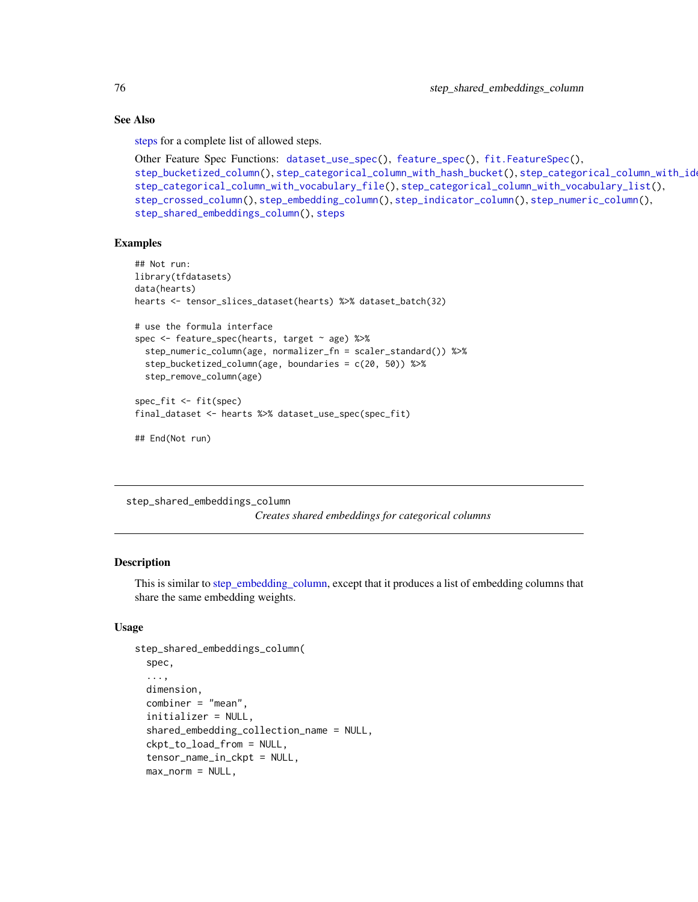## See Also

[steps](#page-62-0) for a complete list of allowed steps.

```
Other Feature Spec Functions: dataset_use_spec(), feature_spec(), fit.FeatureSpec(),
step_bucketized_column(), step_categorical_column_with_hash_bucket(), step_categorical_column_with_identity(),
step_categorical_column_with_vocabulary_file(), step_categorical_column_with_vocabulary_list(),
step_crossed_column(), step_embedding_column(), step_indicator_column(), step_numeric_column(),
step_shared_embeddings_column(), steps
```
## Examples

```
## Not run:
library(tfdatasets)
data(hearts)
hearts <- tensor_slices_dataset(hearts) %>% dataset_batch(32)
# use the formula interface
spec <- feature_spec(hearts, target ~ age) %>%
  step_numeric_column(age, normalizer_fn = scaler_standard()) %>%
  step_bucketized_column(age, boundaries = c(20, 50)) %>%
  step_remove_column(age)
spec_fit <- fit(spec)
final_dataset <- hearts %>% dataset_use_spec(spec_fit)
```
## End(Not run)

<span id="page-75-0"></span>step\_shared\_embeddings\_column

*Creates shared embeddings for categorical columns*

# Description

This is similar to [step\\_embedding\\_column,](#page-70-0) except that it produces a list of embedding columns that share the same embedding weights.

## Usage

```
step_shared_embeddings_column(
  spec,
  ...,
 dimension,
  combiner = "mean",
  initializer = NULL,
  shared_embedding_collection_name = NULL,
  ckpt_to_load_from = NULL,
  tensor_name_in_ckpt = NULL,
 max\_norm = NULL,
```
<span id="page-75-1"></span>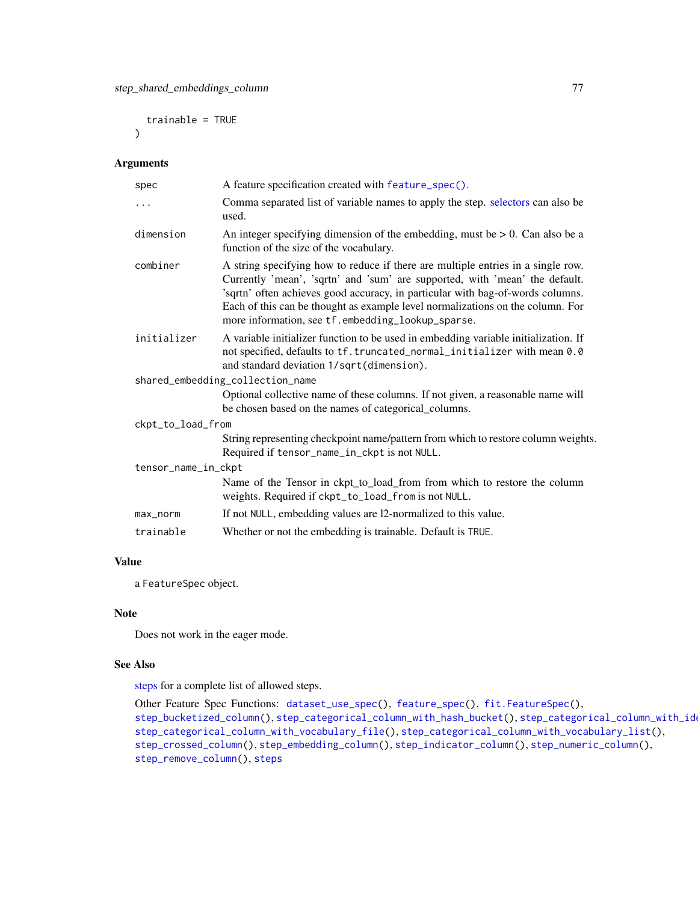<span id="page-76-0"></span>trainable = TRUE  $\lambda$ 

# Arguments

| A feature specification created with feature_spec().                                                                                                                                                                                                                                                                                                                                     |
|------------------------------------------------------------------------------------------------------------------------------------------------------------------------------------------------------------------------------------------------------------------------------------------------------------------------------------------------------------------------------------------|
| Comma separated list of variable names to apply the step. selectors can also be<br>used.                                                                                                                                                                                                                                                                                                 |
| An integer specifying dimension of the embedding, must be $> 0$ . Can also be a<br>function of the size of the vocabulary.                                                                                                                                                                                                                                                               |
| A string specifying how to reduce if there are multiple entries in a single row.<br>Currently 'mean', 'sqrtn' and 'sum' are supported, with 'mean' the default.<br>'sqrtn' often achieves good accuracy, in particular with bag-of-words columns.<br>Each of this can be thought as example level normalizations on the column. For<br>more information, see tf.embedding_lookup_sparse. |
| A variable initializer function to be used in embedding variable initialization. If<br>not specified, defaults to tf. truncated_normal_initializer with mean 0.0<br>and standard deviation 1/sqrt(dimension).                                                                                                                                                                            |
| shared_embedding_collection_name                                                                                                                                                                                                                                                                                                                                                         |
| Optional collective name of these columns. If not given, a reasonable name will<br>be chosen based on the names of categorical_columns.                                                                                                                                                                                                                                                  |
| ckpt_to_load_from                                                                                                                                                                                                                                                                                                                                                                        |
| String representing checkpoint name/pattern from which to restore column weights.<br>Required if tensor_name_in_ckpt is not NULL.                                                                                                                                                                                                                                                        |
| tensor_name_in_ckpt                                                                                                                                                                                                                                                                                                                                                                      |
| Name of the Tensor in ckpt_to_load_from from which to restore the column<br>weights. Required if ckpt_to_load_from is not NULL.                                                                                                                                                                                                                                                          |
| If not NULL, embedding values are 12-normalized to this value.                                                                                                                                                                                                                                                                                                                           |
| Whether or not the embedding is trainable. Default is TRUE.                                                                                                                                                                                                                                                                                                                              |
|                                                                                                                                                                                                                                                                                                                                                                                          |

# Value

a FeatureSpec object.

## Note

Does not work in the eager mode.

# See Also

[steps](#page-62-0) for a complete list of allowed steps.

```
Other Feature Spec Functions: dataset_use_spec(), feature_spec(), fit.FeatureSpec(),
step_bucketized_column(step_categorical_column_with_hash_bucket(), step_categorical_column_with_id
step_categorical_column_with_vocabulary_file(), step_categorical_column_with_vocabulary_list(),
step_crossed_column(), step_embedding_column(), step_indicator_column(), step_numeric_column(),
step_remove_column(), steps
```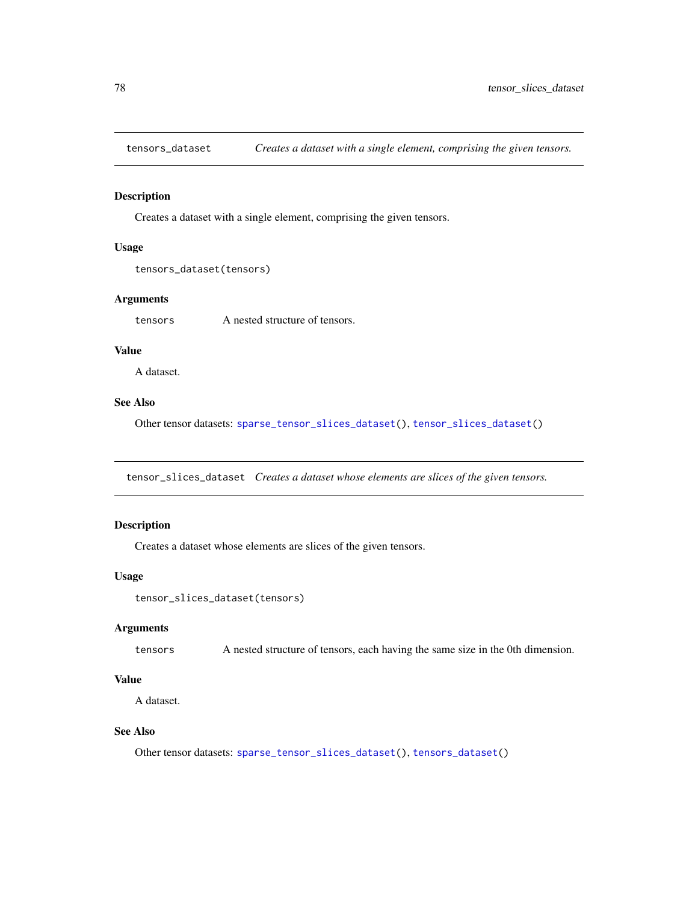<span id="page-77-2"></span><span id="page-77-1"></span>

# Description

Creates a dataset with a single element, comprising the given tensors.

#### Usage

```
tensors_dataset(tensors)
```
# Arguments

tensors A nested structure of tensors.

# Value

A dataset.

# See Also

Other tensor datasets: [sparse\\_tensor\\_slices\\_dataset\(](#page-60-1)), [tensor\\_slices\\_dataset\(](#page-77-0))

<span id="page-77-0"></span>tensor\_slices\_dataset *Creates a dataset whose elements are slices of the given tensors.*

## Description

Creates a dataset whose elements are slices of the given tensors.

# Usage

```
tensor_slices_dataset(tensors)
```
## Arguments

tensors A nested structure of tensors, each having the same size in the 0th dimension.

# Value

A dataset.

## See Also

Other tensor datasets: [sparse\\_tensor\\_slices\\_dataset\(](#page-60-1)), [tensors\\_dataset\(](#page-77-1))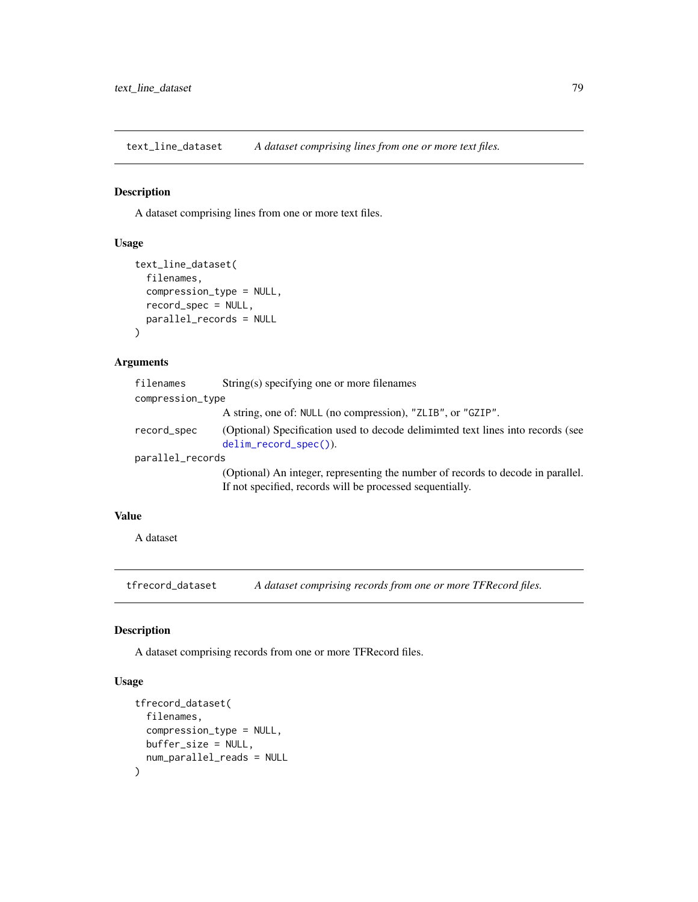<span id="page-78-0"></span>text\_line\_dataset *A dataset comprising lines from one or more text files.*

## Description

A dataset comprising lines from one or more text files.

# Usage

```
text_line_dataset(
  filenames,
  compression_type = NULL,
  record_spec = NULL,
  parallel_records = NULL
\mathcal{L}
```
## Arguments

| filenames        | String(s) specifying one or more filenames                                                                                                    |  |
|------------------|-----------------------------------------------------------------------------------------------------------------------------------------------|--|
| compression_type |                                                                                                                                               |  |
|                  | A string, one of: NULL (no compression), "ZLIB", or "GZIP".                                                                                   |  |
| record_spec      | (Optional) Specification used to decode deliminated text lines into records (see<br>$delim\_record\_spec()$ ).                                |  |
| parallel_records |                                                                                                                                               |  |
|                  | (Optional) An integer, representing the number of records to decode in parallel.<br>If not specified, records will be processed sequentially. |  |

# Value

A dataset

tfrecord\_dataset *A dataset comprising records from one or more TFRecord files.*

## Description

A dataset comprising records from one or more TFRecord files.

# Usage

```
tfrecord_dataset(
  filenames,
  compression_type = NULL,
 buffer_size = NULL,
  num_parallel_reads = NULL
\mathcal{E}
```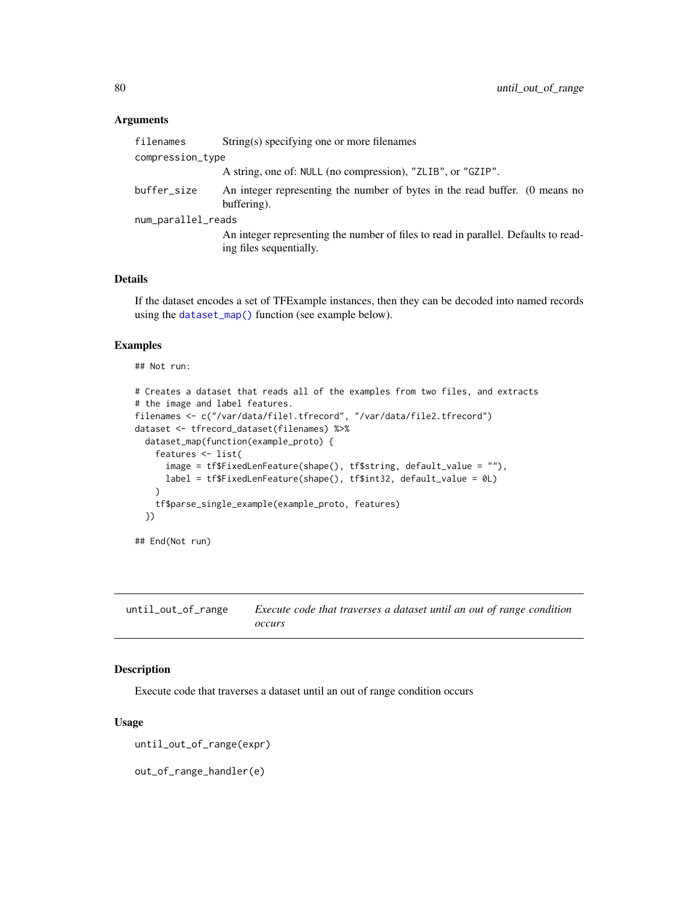## <span id="page-79-0"></span>Arguments

| filenames          | String(s) specifying one or more filenames                                                                    |
|--------------------|---------------------------------------------------------------------------------------------------------------|
| compression_type   |                                                                                                               |
|                    | A string, one of: NULL (no compression), "ZLIB", or "GZIP".                                                   |
| buffer_size        | An integer representing the number of bytes in the read buffer. (0 means no<br>buffering).                    |
| num_parallel_reads |                                                                                                               |
|                    | An integer representing the number of files to read in parallel. Defaults to read-<br>ing files sequentially. |

## Details

If the dataset encodes a set of TFExample instances, then they can be decoded into named records using the [dataset\\_map\(\)](#page-17-0) function (see example below).

# Examples

## Not run:

```
# Creates a dataset that reads all of the examples from two files, and extracts
# the image and label features.
filenames <- c("/var/data/file1.tfrecord", "/var/data/file2.tfrecord")
dataset <- tfrecord_dataset(filenames) %>%
  dataset_map(function(example_proto) {
    features <- list(
      image = tf$FixedLenFeature(shape(), tf$string, default_value = ""),
      label = tf$FixedLenFeature(shape(), tf$int32, default_value = 0L)
   \lambdatf$parse_single_example(example_proto, features)
  })
## End(Not run)
```

| until_out_of_range | Execute code that traverses a dataset until an out of range condition |
|--------------------|-----------------------------------------------------------------------|
|                    | occurs                                                                |

# Description

Execute code that traverses a dataset until an out of range condition occurs

#### Usage

```
until_out_of_range(expr)
```
out\_of\_range\_handler(e)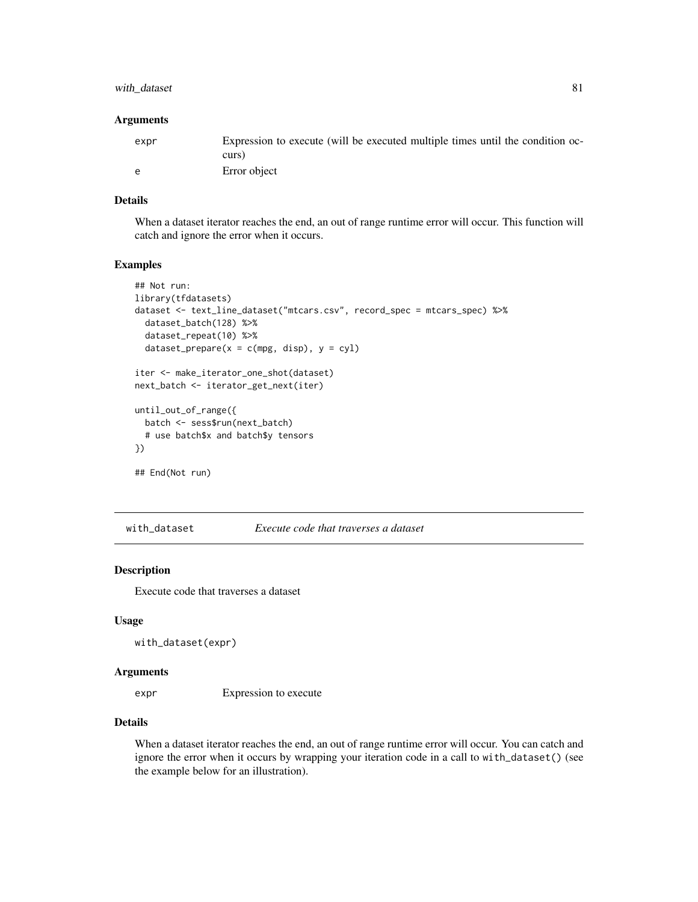# <span id="page-80-0"></span>with\_dataset 81

#### Arguments

| expr | Expression to execute (will be executed multiple times until the condition oc- |
|------|--------------------------------------------------------------------------------|
|      | curs)                                                                          |
| e    | Error object                                                                   |

# Details

When a dataset iterator reaches the end, an out of range runtime error will occur. This function will catch and ignore the error when it occurs.

#### Examples

```
## Not run:
library(tfdatasets)
dataset <- text_line_dataset("mtcars.csv", record_spec = mtcars_spec) %>%
  dataset_batch(128) %>%
  dataset_repeat(10) %>%
  dataset_prepare(x = c(mpg, disp), y = cyl)
iter <- make_iterator_one_shot(dataset)
next_batch <- iterator_get_next(iter)
until_out_of_range({
  batch <- sess$run(next_batch)
  # use batch$x and batch$y tensors
})
## End(Not run)
```
with\_dataset *Execute code that traverses a dataset*

# Description

Execute code that traverses a dataset

# Usage

```
with_dataset(expr)
```
#### Arguments

expr Expression to execute

## Details

When a dataset iterator reaches the end, an out of range runtime error will occur. You can catch and ignore the error when it occurs by wrapping your iteration code in a call to with\_dataset() (see the example below for an illustration).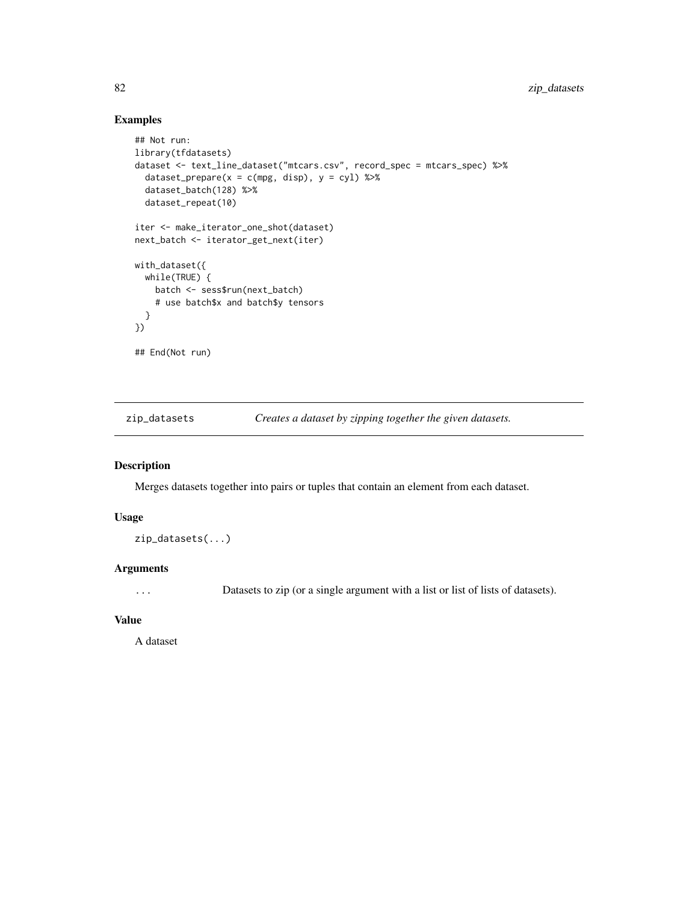# Examples

```
## Not run:
library(tfdatasets)
dataset <- text_line_dataset("mtcars.csv", record_spec = mtcars_spec) %>%
  dataset\_prepare(x = c(mpg, disp), y = cyl) %>%
  dataset_batch(128) %>%
  dataset_repeat(10)
iter <- make_iterator_one_shot(dataset)
next_batch <- iterator_get_next(iter)
with_dataset({
 while(TRUE) {
   batch <- sess$run(next_batch)
   # use batch$x and batch$y tensors
  }
})
## End(Not run)
```
zip\_datasets *Creates a dataset by zipping together the given datasets.*

# Description

Merges datasets together into pairs or tuples that contain an element from each dataset.

#### Usage

zip\_datasets(...)

## Arguments

... Datasets to zip (or a single argument with a list or list of lists of datasets).

## Value

A dataset

<span id="page-81-0"></span>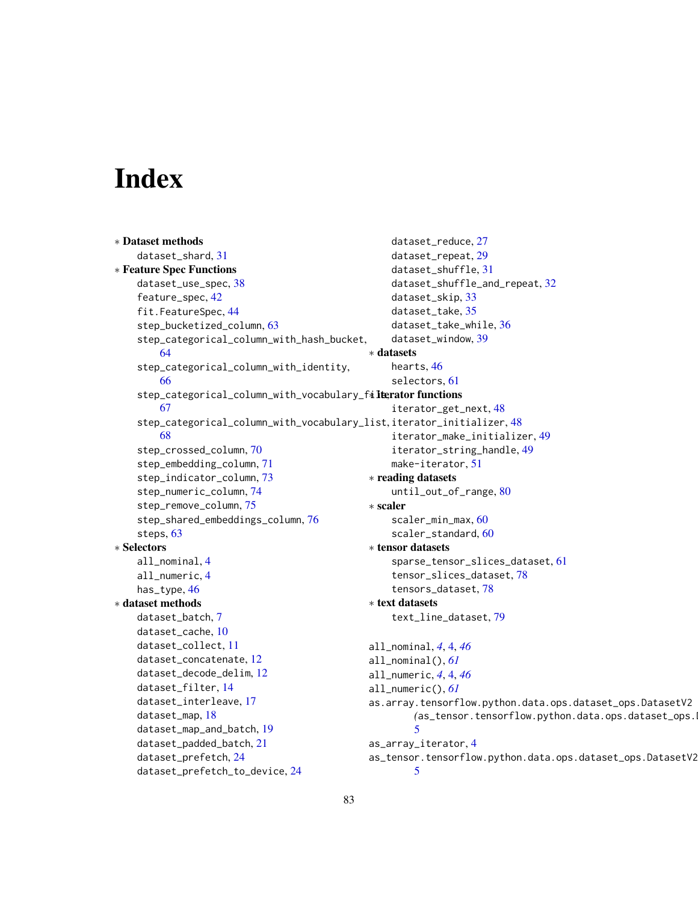# Index

```
∗ Dataset methods
    dataset_shard, 31
∗ Feature Spec Functions
    dataset_use_spec, 38
    feature_spec, 42
    fit.FeatureSpec, 44
    step_bucketized_column, 63
    step_categorical_column_with_hash_bucket,
        64
    step_categorical_column_with_identity,
        66
    step_categorical_column_with_vocabulary_fileratorfunctions
        67
    step_categorical_column_with_vocabulary_list,
iterator_initializer, 48
        68
    step_crossed_column, 70
    step_embedding_column, 71
    step_indicator_column, 73
    step_numeric_column, 74
    step_remove_column, 75
    step_shared_embeddings_column, 76
    steps, 63
∗ Selectors
    all_nominal, 4
    all_numeric, 4
    has_type, 46
∗ dataset methods
    dataset_batch, 7
    dataset_cache, 10
    dataset_collect, 11
    dataset_concatenate, 12
    dataset_decode_delim, 12
    dataset_filter, 14
    dataset_interleave, 17
    dataset_map, 18
    dataset_map_and_batch, 19
    dataset_padded_batch, 21
    dataset_prefetch, 24
    dataset_prefetch_to_device, 24
                                                     dataset_reduce, 27
                                                     dataset_repeat, 29
                                                     dataset_shuffle, 31
                                                     dataset_shuffle_and_repeat, 32
                                                     dataset_skip, 33
                                                     dataset_take, 35
                                                     dataset_take_while, 36
                                                     dataset_window, 39
                                                ∗ datasets
                                                     hearts, 46
                                                     selectors, 61
                                                     iterator_get_next, 48
                                                     iterator_make_initializer, 49
                                                     iterator_string_handle, 49
                                                     make-iterator, 51
                                                ∗ reading datasets
                                                     until_out_of_range, 80
                                                ∗ scaler
                                                     scaler_min_max, 60
                                                     scaler_standard, 60
                                                ∗ tensor datasets
                                                     sparse_tensor_slices_dataset, 61
                                                     tensor_slices_dataset, 78
                                                     tensors_dataset, 78
                                                ∗ text datasets
                                                     text_line_dataset, 79
                                                all_nominal, 4, 4, 46
                                                all_nominal(), 61
                                                all_numeric, 4, 4, 46
                                                all_numeric(), 61
                                                as.array.tensorflow.python.data.ops.dataset_ops.DatasetV2
                                                         (as_tensor.tensorflow.python.data.ops.dataset_ops.DatasetV2),
                                                         5
                                                as_array_iterator, 4
                                                as_tensor.tensorflow.python.data.ops.dataset_ops.DatasetV2,
                                                         5
```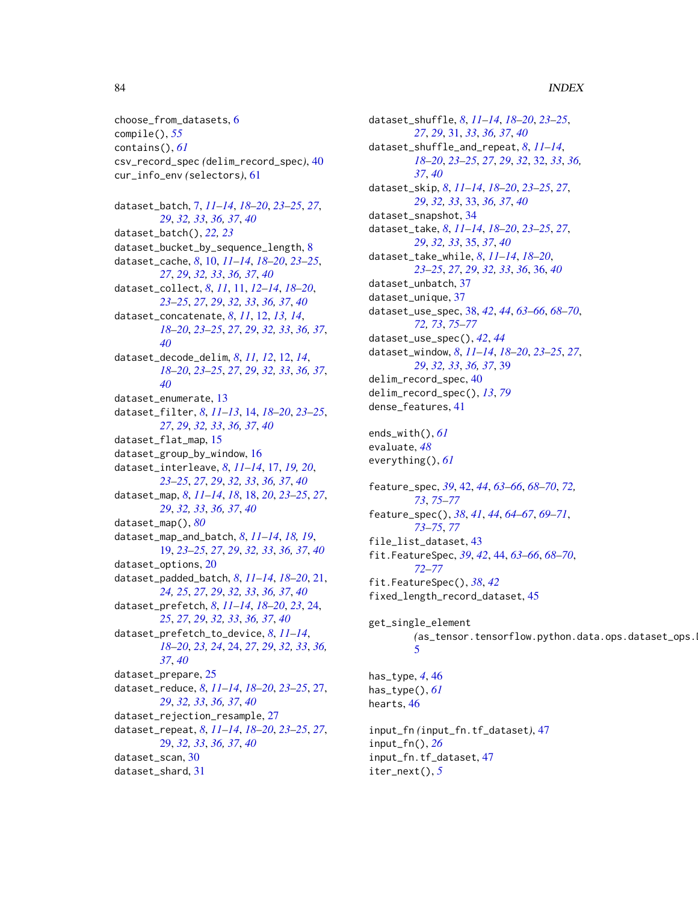## 84 INDEX

choose\_from\_datasets, [6](#page-5-0) compile(), *[55](#page-54-0)* contains(), *[61](#page-60-2)* csv\_record\_spec *(*delim\_record\_spec*)*, [40](#page-39-1) cur\_info\_env *(*selectors*)*, [61](#page-60-2)

dataset\_batch, [7,](#page-6-0) *[11](#page-10-0)[–14](#page-13-0)*, *[18–](#page-17-1)[20](#page-19-0)*, *[23–](#page-22-0)[25](#page-24-0)*, *[27](#page-26-0)*, *[29](#page-28-0)*, *[32,](#page-31-0) [33](#page-32-0)*, *[36,](#page-35-0) [37](#page-36-0)*, *[40](#page-39-1)* dataset\_batch(), *[22,](#page-21-0) [23](#page-22-0)* dataset\_bucket\_by\_sequence\_length, [8](#page-7-0) dataset\_cache, *[8](#page-7-0)*, [10,](#page-9-0) *[11–](#page-10-0)[14](#page-13-0)*, *[18–](#page-17-1)[20](#page-19-0)*, *[23–](#page-22-0)[25](#page-24-0)*, *[27](#page-26-0)*, *[29](#page-28-0)*, *[32,](#page-31-0) [33](#page-32-0)*, *[36,](#page-35-0) [37](#page-36-0)*, *[40](#page-39-1)* dataset\_collect, *[8](#page-7-0)*, *[11](#page-10-0)*, [11,](#page-10-0) *[12–](#page-11-0)[14](#page-13-0)*, *[18–](#page-17-1)[20](#page-19-0)*, *[23](#page-22-0)[–25](#page-24-0)*, *[27](#page-26-0)*, *[29](#page-28-0)*, *[32,](#page-31-0) [33](#page-32-0)*, *[36,](#page-35-0) [37](#page-36-0)*, *[40](#page-39-1)* dataset\_concatenate, *[8](#page-7-0)*, *[11](#page-10-0)*, [12,](#page-11-0) *[13,](#page-12-0) [14](#page-13-0)*, *[18](#page-17-1)[–20](#page-19-0)*, *[23](#page-22-0)[–25](#page-24-0)*, *[27](#page-26-0)*, *[29](#page-28-0)*, *[32,](#page-31-0) [33](#page-32-0)*, *[36,](#page-35-0) [37](#page-36-0)*, *[40](#page-39-1)* dataset\_decode\_delim, *[8](#page-7-0)*, *[11,](#page-10-0) [12](#page-11-0)*, [12,](#page-11-0) *[14](#page-13-0)*, *[18](#page-17-1)[–20](#page-19-0)*, *[23](#page-22-0)[–25](#page-24-0)*, *[27](#page-26-0)*, *[29](#page-28-0)*, *[32,](#page-31-0) [33](#page-32-0)*, *[36,](#page-35-0) [37](#page-36-0)*, *[40](#page-39-1)* dataset\_enumerate, [13](#page-12-0) dataset\_filter, *[8](#page-7-0)*, *[11–](#page-10-0)[13](#page-12-0)*, [14,](#page-13-0) *[18–](#page-17-1)[20](#page-19-0)*, *[23–](#page-22-0)[25](#page-24-0)*, *[27](#page-26-0)*, *[29](#page-28-0)*, *[32,](#page-31-0) [33](#page-32-0)*, *[36,](#page-35-0) [37](#page-36-0)*, *[40](#page-39-1)* dataset\_flat\_map, [15](#page-14-0) dataset\_group\_by\_window, [16](#page-15-0) dataset\_interleave, *[8](#page-7-0)*, *[11–](#page-10-0)[14](#page-13-0)*, [17,](#page-16-0) *[19,](#page-18-0) [20](#page-19-0)*, *[23](#page-22-0)[–25](#page-24-0)*, *[27](#page-26-0)*, *[29](#page-28-0)*, *[32,](#page-31-0) [33](#page-32-0)*, *[36,](#page-35-0) [37](#page-36-0)*, *[40](#page-39-1)* dataset\_map, *[8](#page-7-0)*, *[11](#page-10-0)[–14](#page-13-0)*, *[18](#page-17-1)*, [18,](#page-17-1) *[20](#page-19-0)*, *[23–](#page-22-0)[25](#page-24-0)*, *[27](#page-26-0)*, *[29](#page-28-0)*, *[32,](#page-31-0) [33](#page-32-0)*, *[36,](#page-35-0) [37](#page-36-0)*, *[40](#page-39-1)* dataset\_map(), *[80](#page-79-0)* dataset\_map\_and\_batch, *[8](#page-7-0)*, *[11–](#page-10-0)[14](#page-13-0)*, *[18,](#page-17-1) [19](#page-18-0)*, [19,](#page-18-0) *[23](#page-22-0)[–25](#page-24-0)*, *[27](#page-26-0)*, *[29](#page-28-0)*, *[32,](#page-31-0) [33](#page-32-0)*, *[36,](#page-35-0) [37](#page-36-0)*, *[40](#page-39-1)* dataset\_options, [20](#page-19-0) dataset\_padded\_batch, *[8](#page-7-0)*, *[11–](#page-10-0)[14](#page-13-0)*, *[18–](#page-17-1)[20](#page-19-0)*, [21,](#page-20-0) *[24,](#page-23-0) [25](#page-24-0)*, *[27](#page-26-0)*, *[29](#page-28-0)*, *[32,](#page-31-0) [33](#page-32-0)*, *[36,](#page-35-0) [37](#page-36-0)*, *[40](#page-39-1)* dataset\_prefetch, *[8](#page-7-0)*, *[11–](#page-10-0)[14](#page-13-0)*, *[18–](#page-17-1)[20](#page-19-0)*, *[23](#page-22-0)*, [24,](#page-23-0) *[25](#page-24-0)*, *[27](#page-26-0)*, *[29](#page-28-0)*, *[32,](#page-31-0) [33](#page-32-0)*, *[36,](#page-35-0) [37](#page-36-0)*, *[40](#page-39-1)* dataset\_prefetch\_to\_device, *[8](#page-7-0)*, *[11–](#page-10-0)[14](#page-13-0)*, *[18](#page-17-1)[–20](#page-19-0)*, *[23,](#page-22-0) [24](#page-23-0)*, [24,](#page-23-0) *[27](#page-26-0)*, *[29](#page-28-0)*, *[32,](#page-31-0) [33](#page-32-0)*, *[36,](#page-35-0) [37](#page-36-0)*, *[40](#page-39-1)* dataset\_prepare, [25](#page-24-0) dataset\_reduce, *[8](#page-7-0)*, *[11–](#page-10-0)[14](#page-13-0)*, *[18–](#page-17-1)[20](#page-19-0)*, *[23–](#page-22-0)[25](#page-24-0)*, [27,](#page-26-0) *[29](#page-28-0)*, *[32,](#page-31-0) [33](#page-32-0)*, *[36,](#page-35-0) [37](#page-36-0)*, *[40](#page-39-1)* dataset\_rejection\_resample, [27](#page-26-0) dataset\_repeat, *[8](#page-7-0)*, *[11–](#page-10-0)[14](#page-13-0)*, *[18–](#page-17-1)[20](#page-19-0)*, *[23–](#page-22-0)[25](#page-24-0)*, *[27](#page-26-0)*, [29,](#page-28-0) *[32,](#page-31-0) [33](#page-32-0)*, *[36,](#page-35-0) [37](#page-36-0)*, *[40](#page-39-1)* dataset\_scan, [30](#page-29-0) dataset\_shard, [31](#page-30-0)

dataset\_shuffle, *[8](#page-7-0)*, *[11](#page-10-0)[–14](#page-13-0)*, *[18](#page-17-1)[–20](#page-19-0)*, *[23](#page-22-0)[–25](#page-24-0)*, *[27](#page-26-0)*, *[29](#page-28-0)*, [31,](#page-30-0) *[33](#page-32-0)*, *[36,](#page-35-0) [37](#page-36-0)*, *[40](#page-39-1)* dataset\_shuffle\_and\_repeat, *[8](#page-7-0)*, *[11](#page-10-0)[–14](#page-13-0)*, *[18](#page-17-1)[–20](#page-19-0)*, *[23](#page-22-0)[–25](#page-24-0)*, *[27](#page-26-0)*, *[29](#page-28-0)*, *[32](#page-31-0)*, [32,](#page-31-0) *[33](#page-32-0)*, *[36,](#page-35-0) [37](#page-36-0)*, *[40](#page-39-1)* dataset\_skip, *[8](#page-7-0)*, *[11](#page-10-0)[–14](#page-13-0)*, *[18](#page-17-1)[–20](#page-19-0)*, *[23](#page-22-0)[–25](#page-24-0)*, *[27](#page-26-0)*, *[29](#page-28-0)*, *[32,](#page-31-0) [33](#page-32-0)*, [33,](#page-32-0) *[36,](#page-35-0) [37](#page-36-0)*, *[40](#page-39-1)* dataset\_snapshot, [34](#page-33-0) dataset\_take, *[8](#page-7-0)*, *[11](#page-10-0)[–14](#page-13-0)*, *[18](#page-17-1)[–20](#page-19-0)*, *[23](#page-22-0)[–25](#page-24-0)*, *[27](#page-26-0)*, *[29](#page-28-0)*, *[32,](#page-31-0) [33](#page-32-0)*, [35,](#page-34-0) *[37](#page-36-0)*, *[40](#page-39-1)* dataset\_take\_while, *[8](#page-7-0)*, *[11](#page-10-0)[–14](#page-13-0)*, *[18](#page-17-1)[–20](#page-19-0)*, *[23](#page-22-0)[–25](#page-24-0)*, *[27](#page-26-0)*, *[29](#page-28-0)*, *[32,](#page-31-0) [33](#page-32-0)*, *[36](#page-35-0)*, [36,](#page-35-0) *[40](#page-39-1)* dataset\_unbatch, [37](#page-36-0) dataset\_unique, [37](#page-36-0) dataset\_use\_spec, [38,](#page-37-1) *[42](#page-41-1)*, *[44](#page-43-1)*, *[63](#page-62-2)[–66](#page-65-1)*, *[68](#page-67-1)[–70](#page-69-1)*, *[72,](#page-71-0) [73](#page-72-1)*, *[75](#page-74-1)[–77](#page-76-0)* dataset\_use\_spec(), *[42](#page-41-1)*, *[44](#page-43-1)* dataset\_window, *[8](#page-7-0)*, *[11](#page-10-0)[–14](#page-13-0)*, *[18](#page-17-1)[–20](#page-19-0)*, *[23](#page-22-0)[–25](#page-24-0)*, *[27](#page-26-0)*, *[29](#page-28-0)*, *[32,](#page-31-0) [33](#page-32-0)*, *[36,](#page-35-0) [37](#page-36-0)*, [39](#page-38-0) delim\_record\_spec, [40](#page-39-1) delim\_record\_spec(), *[13](#page-12-0)*, *[79](#page-78-0)* dense\_features, [41](#page-40-0) ends\_with(), *[61](#page-60-2)* evaluate, *[48](#page-47-0)* everything(), *[61](#page-60-2)* feature\_spec, *[39](#page-38-0)*, [42,](#page-41-1) *[44](#page-43-1)*, *[63](#page-62-2)[–66](#page-65-1)*, *[68](#page-67-1)[–70](#page-69-1)*, *[72,](#page-71-0) [73](#page-72-1)*, *[75](#page-74-1)[–77](#page-76-0)* feature\_spec(), *[38](#page-37-1)*, *[41](#page-40-0)*, *[44](#page-43-1)*, *[64](#page-63-1)[–67](#page-66-1)*, *[69](#page-68-0)[–71](#page-70-1)*, *[73](#page-72-1)[–75](#page-74-1)*, *[77](#page-76-0)* file list dataset. [43](#page-42-0) fit.FeatureSpec, *[39](#page-38-0)*, *[42](#page-41-1)*, [44,](#page-43-1) *[63](#page-62-2)[–66](#page-65-1)*, *[68](#page-67-1)[–70](#page-69-1)*, *[72](#page-71-0)[–77](#page-76-0)* fit.FeatureSpec(), *[38](#page-37-1)*, *[42](#page-41-1)* fixed\_length\_record\_dataset, [45](#page-44-0) get\_single\_element  $(as_{\text{r}}$  tensor.tensorflow.python.data.ops.dataset\_ops. [5](#page-4-0) has\_type, *[4](#page-3-0)*, [46](#page-45-0) has\_type(), *[61](#page-60-2)* hearts, [46](#page-45-0) input\_fn *(*input\_fn.tf\_dataset*)*, [47](#page-46-0) input\_fn(), *[26](#page-25-0)* input\_fn.tf\_dataset, [47](#page-46-0) iter\_next(), *[5](#page-4-0)*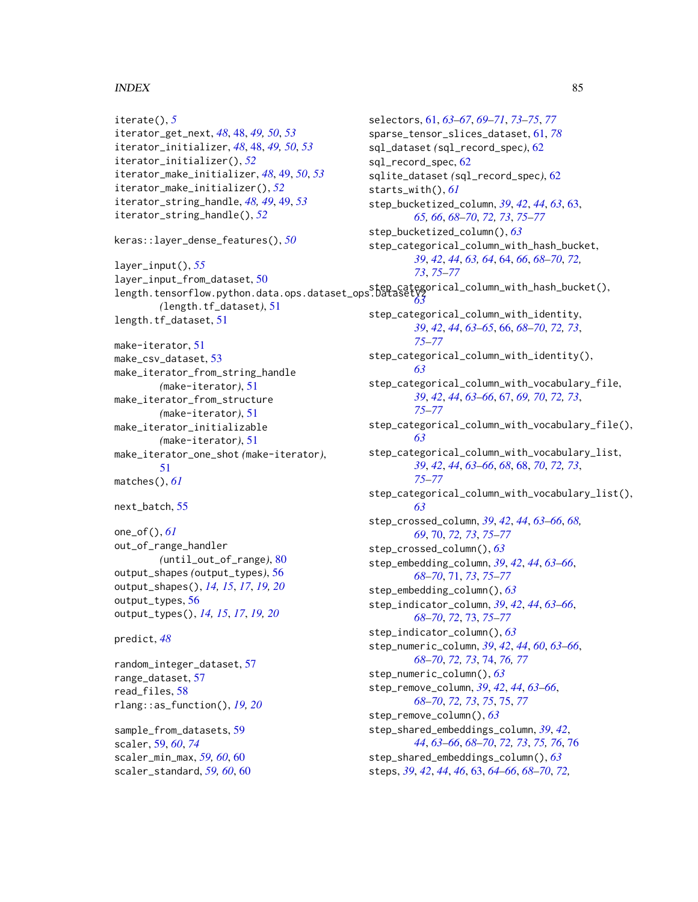## $INDEX$  85

```
iterate(), 5
iterator_get_next, 48, 48, 49, 50, 53
iterator_initializer, 48, 48, 49, 50, 53
iterator_initializer(), 52
iterator_make_initializer, 48, 49, 50, 53
iterator_make_initializer(), 52
iterator_string_handle, 48, 49, 49, 53
iterator_string_handle(), 52
keras::layer_dense_features(), 50
layer_input(), 55
layer_input_from_dataset, 50
length.tensorflow.python.data.ops.dataset_ops.DatasetV2
step_categorical_column_with_hash_bucket(),
        (length.tf_dataset), 51
length.tf_dataset, 51
make-iterator, 51
make_csv_dataset, 53
make_iterator_from_string_handle
        (make-iterator), 51
make_iterator_from_structure
        (make-iterator), 51
make_iterator_initializable
        (make-iterator), 51
make_iterator_one_shot (make-iterator),
        51
matches(), 61
next_batch, 55
one_of(), 61
out_of_range_handler
        (until_out_of_range), 80
output_shapes (output_types), 56
output_shapes(), 14, 15, 17, 19, 20
output_types, 56
output_types(), 14, 15, 17, 19, 20
predict, 48
random_integer_dataset, 57
range_dataset, 57
read_files, 58
rlang::as_function(), 19, 20
sample_from_datasets, 59
scaler, 59, 60, 74
scaler_min_max, 59, 60, 60
scaler_standard, 59, 60, 60
                                                 sql_record_spec, 62
                                                 starts_with(), 61
                                                          73, 75–77
                                                          63
                                                          75–77
                                                          63
                                                          75–77
                                                          63
                                                          75–77
                                                          63
                                                 steps, 39, 42, 44, 46, 63, 64–66, 68–70, 72,
```
selectors, [61,](#page-60-2) *[63](#page-62-2)[–67](#page-66-1)*, *[69](#page-68-0)[–71](#page-70-1)*, *[73](#page-72-1)[–75](#page-74-1)*, *[77](#page-76-0)* sparse\_tensor\_slices\_dataset, [61,](#page-60-2) *[78](#page-77-2)* sql\_dataset *(*sql\_record\_spec*)*, [62](#page-61-0) sqlite\_dataset *(*sql\_record\_spec*)*, [62](#page-61-0) step\_bucketized\_column, *[39](#page-38-0)*, *[42](#page-41-1)*, *[44](#page-43-1)*, *[63](#page-62-2)*, [63,](#page-62-2) *[65,](#page-64-0) [66](#page-65-1)*, *[68](#page-67-1)[–70](#page-69-1)*, *[72,](#page-71-0) [73](#page-72-1)*, *[75](#page-74-1)[–77](#page-76-0)* step\_bucketized\_column(), *[63](#page-62-2)* step\_categorical\_column\_with\_hash\_bucket, *[39](#page-38-0)*, *[42](#page-41-1)*, *[44](#page-43-1)*, *[63,](#page-62-2) [64](#page-63-1)*, [64,](#page-63-1) *[66](#page-65-1)*, *[68](#page-67-1)[–70](#page-69-1)*, *[72,](#page-71-0)* step\_categorical\_column\_with\_identity, *[39](#page-38-0)*, *[42](#page-41-1)*, *[44](#page-43-1)*, *[63](#page-62-2)[–65](#page-64-0)*, [66,](#page-65-1) *[68](#page-67-1)[–70](#page-69-1)*, *[72,](#page-71-0) [73](#page-72-1)*, step\_categorical\_column\_with\_identity(), step\_categorical\_column\_with\_vocabulary\_file, *[39](#page-38-0)*, *[42](#page-41-1)*, *[44](#page-43-1)*, *[63](#page-62-2)[–66](#page-65-1)*, [67,](#page-66-1) *[69,](#page-68-0) [70](#page-69-1)*, *[72,](#page-71-0) [73](#page-72-1)*, step\_categorical\_column\_with\_vocabulary\_file(), step\_categorical\_column\_with\_vocabulary\_list, *[39](#page-38-0)*, *[42](#page-41-1)*, *[44](#page-43-1)*, *[63](#page-62-2)[–66](#page-65-1)*, *[68](#page-67-1)*, [68,](#page-67-1) *[70](#page-69-1)*, *[72,](#page-71-0) [73](#page-72-1)*, step\_categorical\_column\_with\_vocabulary\_list(), step\_crossed\_column, *[39](#page-38-0)*, *[42](#page-41-1)*, *[44](#page-43-1)*, *[63](#page-62-2)[–66](#page-65-1)*, *[68,](#page-67-1) [69](#page-68-0)*, [70,](#page-69-1) *[72,](#page-71-0) [73](#page-72-1)*, *[75](#page-74-1)[–77](#page-76-0)* step\_crossed\_column(), *[63](#page-62-2)* step\_embedding\_column, *[39](#page-38-0)*, *[42](#page-41-1)*, *[44](#page-43-1)*, *[63](#page-62-2)[–66](#page-65-1)*, *[68](#page-67-1)[–70](#page-69-1)*, [71,](#page-70-1) *[73](#page-72-1)*, *[75](#page-74-1)[–77](#page-76-0)* step\_embedding\_column(), *[63](#page-62-2)* step\_indicator\_column, *[39](#page-38-0)*, *[42](#page-41-1)*, *[44](#page-43-1)*, *[63](#page-62-2)[–66](#page-65-1)*, *[68](#page-67-1)[–70](#page-69-1)*, *[72](#page-71-0)*, [73,](#page-72-1) *[75](#page-74-1)[–77](#page-76-0)* step\_indicator\_column(), *[63](#page-62-2)* step\_numeric\_column, *[39](#page-38-0)*, *[42](#page-41-1)*, *[44](#page-43-1)*, *[60](#page-59-0)*, *[63](#page-62-2)[–66](#page-65-1)*, *[68](#page-67-1)[–70](#page-69-1)*, *[72,](#page-71-0) [73](#page-72-1)*, [74,](#page-73-1) *[76,](#page-75-1) [77](#page-76-0)* step\_numeric\_column(), *[63](#page-62-2)* step\_remove\_column, *[39](#page-38-0)*, *[42](#page-41-1)*, *[44](#page-43-1)*, *[63](#page-62-2)[–66](#page-65-1)*, *[68](#page-67-1)[–70](#page-69-1)*, *[72,](#page-71-0) [73](#page-72-1)*, *[75](#page-74-1)*, [75,](#page-74-1) *[77](#page-76-0)* step\_remove\_column(), *[63](#page-62-2)* step\_shared\_embeddings\_column, *[39](#page-38-0)*, *[42](#page-41-1)*, *[44](#page-43-1)*, *[63](#page-62-2)[–66](#page-65-1)*, *[68](#page-67-1)[–70](#page-69-1)*, *[72,](#page-71-0) [73](#page-72-1)*, *[75,](#page-74-1) [76](#page-75-1)*, [76](#page-75-1) step\_shared\_embeddings\_column(), *[63](#page-62-2)*